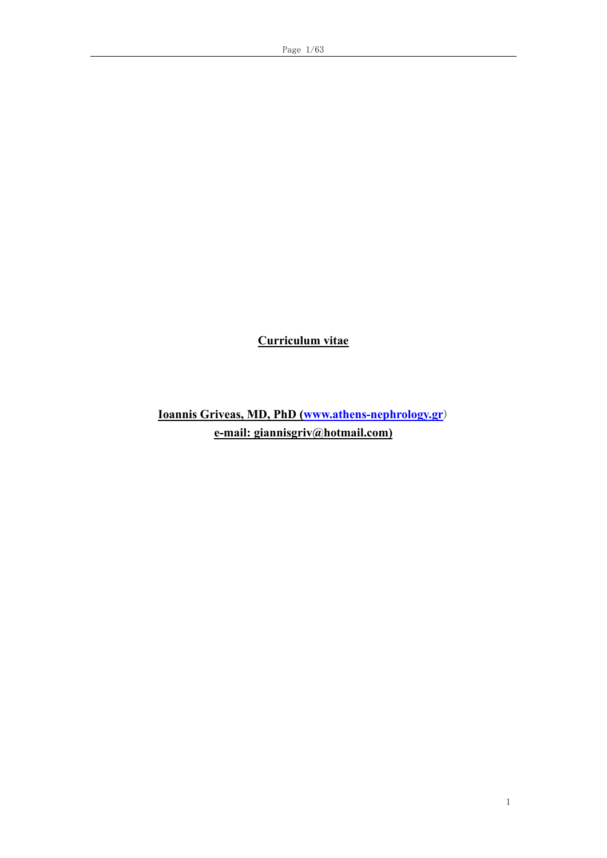**Curriculum vitae**

**Ioannis Griveas, MD, PhD [\(www.athens-nephrology.gr](http://www.athens-nephrology.gr/)**) **e-mail: giannisgriv@hotmail.com)**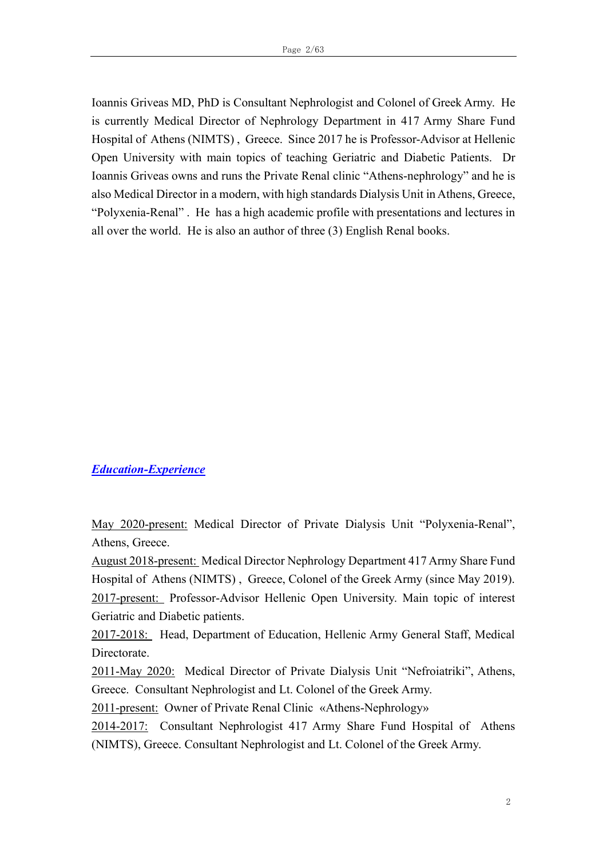Ioannis Griveas MD, PhD is Consultant Nephrologist and Colonel of Greek Army. He is currently Medical Director of Nephrology Department in 417 Army Share Fund Hospital of Athens (NIMTS) , Greece. Since 2017 he is Professor-Advisor at Hellenic Open University with main topics of teaching Geriatric and Diabetic Patients. Dr Ioannis Griveas owns and runs the Private Renal clinic "Athens-nephrology" and he is also Medical Director in a modern, with high standards Dialysis Unit in Athens, Greece, "Polyxenia-Renal" . He has a high academic profile with presentations and lectures in all over the world. He is also an author of three (3) English Renal books.

#### *Education-Experience*

May 2020-present: Medical Director of Private Dialysis Unit "Polyxenia-Renal", Athens, Greece.

August 2018-present: Medical Director Nephrology Department 417 Army Share Fund Hospital of Athens (NIMTS) , Greece, Colonel of the Greek Army (since May 2019). 2017-present: Professor-Advisor Hellenic Open University. Main topic of interest Geriatric and Diabetic patients.

2017-2018: Head, Department of Education, Hellenic Army General Staff, Medical Directorate.

2011-Μay 2020: Medical Director of Private Dialysis Unit "Nefroiatriki", Athens, Greece. Consultant Nephrologist and Lt. Colonel of the Greek Army.

2011-present: Owner of Private Renal Clinic «Athens-Nephrology»

2014-2017: Consultant Nephrologist 417 Army Share Fund Hospital of Athens (NIMTS), Greece. Consultant Nephrologist and Lt. Colonel of the Greek Army.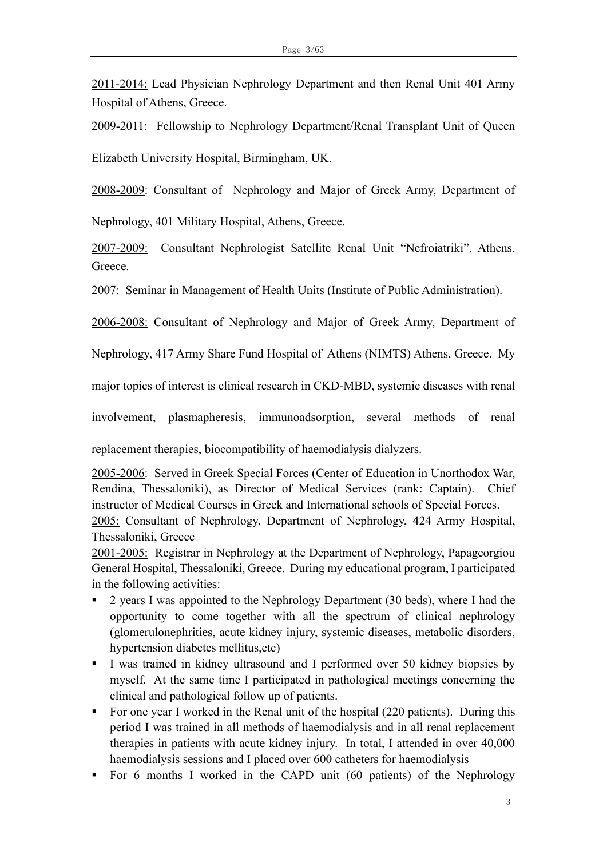2011-2014: Lead Physician Nephrology Department and then Renal Unit 401 Army Hospital of Athens, Greece.

2009-2011: Fellowship to Nephrology Department/Renal Transplant Unit of Queen Elizabeth University Hospital, Birmingham, UK.

2008-2009: Consultant of Nephrology and Major of Greek Army, Department of

Nephrology, 401 Military Hospital, Athens, Greece.

2007-2009: Consultant Nephrologist Satellite Renal Unit "Nefroiatriki", Athens, Greece.

2007: Seminar in Management of Health Units (Institute of Public Administration).

2006-2008: Consultant of Nephrology and Major of Greek Army, Department of

Nephrology, 417 Army Share Fund Hospital of Athens (NIMTS) Athens, Greece. My

major topics of interest is clinical research in CKD-MBD, systemic diseases with renal

involvement, plasmapheresis, immunoadsorption, several methods of renal

replacement therapies, biocompatibility of haemodialysis dialyzers.

2005-2006: Served in Greek Special Forces (Center of Education in Unorthodox War, Rendina, Thessaloniki), as Director of Medical Services (rank: Captain). Chief instructor of Medical Courses in Greek and International schools of Special Forces. 2005: Consultant of Nephrology, Department of Nephrology, 424 Army Hospital, Thessaloniki, Greece

2001-2005: Registrar in Nephrology at the Department of Nephrology, Papageorgiou General Hospital, Thessaloniki, Greece. During my educational program, I participated in the following activities:

- 2 years I was appointed to the Nephrology Department (30 beds), where I had the opportunity to come together with all the spectrum of clinical nephrology (glomerulonephrities, acute kidney injury, systemic diseases, metabolic disorders, hypertension diabetes mellitus,etc)
- **I** was trained in kidney ultrasound and I performed over 50 kidney biopsies by myself. At the same time I participated in pathological meetings concerning the clinical and pathological follow up of patients.
- For one year I worked in the Renal unit of the hospital (220 patients). During this period I was trained in all methods of haemodialysis and in all renal replacement therapies in patients with acute kidney injury. In total, I attended in over 40,000 haemodialysis sessions and I placed over 600 catheters for haemodialysis
- For 6 months I worked in the CAPD unit (60 patients) of the Nephrology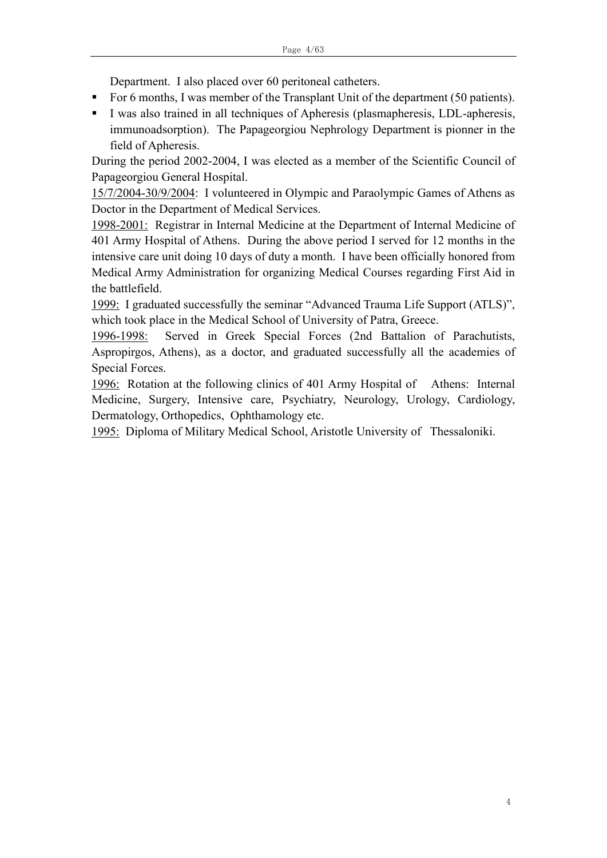Department. I also placed over 60 peritoneal catheters.

- For 6 months, I was member of the Transplant Unit of the department (50 patients).
- I was also trained in all techniques of Apheresis (plasmapheresis, LDL-apheresis, immunoadsorption). The Papageorgiou Nephrology Department is pionner in the field of Apheresis.

During the period 2002-2004, I was elected as a member of the Scientific Council of Papageorgiou General Hospital.

15/7/2004-30/9/2004: I volunteered in Olympic and Paraolympic Games of Athens as Doctor in the Department of Medical Services.

1998-2001: Registrar in Internal Medicine at the Department of Internal Medicine of 401 Army Hospital of Athens. During the above period I served for 12 months in the intensive care unit doing 10 days of duty a month. I have been officially honored from Medical Army Administration for organizing Medical Courses regarding First Aid in the battlefield.

1999: I graduated successfully the seminar "Advanced Trauma Life Support (ATLS)", which took place in the Medical School of University of Patra, Greece.

1996-1998: Served in Greek Special Forces (2nd Battalion of Parachutists, Aspropirgos, Athens), as a doctor, and graduated successfully all the academies of Special Forces.

1996: Rotation at the following clinics of 401 Army Hospital of Athens: Internal Medicine, Surgery, Intensive care, Psychiatry, Neurology, Urology, Cardiology, Dermatology, Orthopedics, Ophthamology etc.

1995: Diploma of Military Medical School, Aristotle University of Thessaloniki.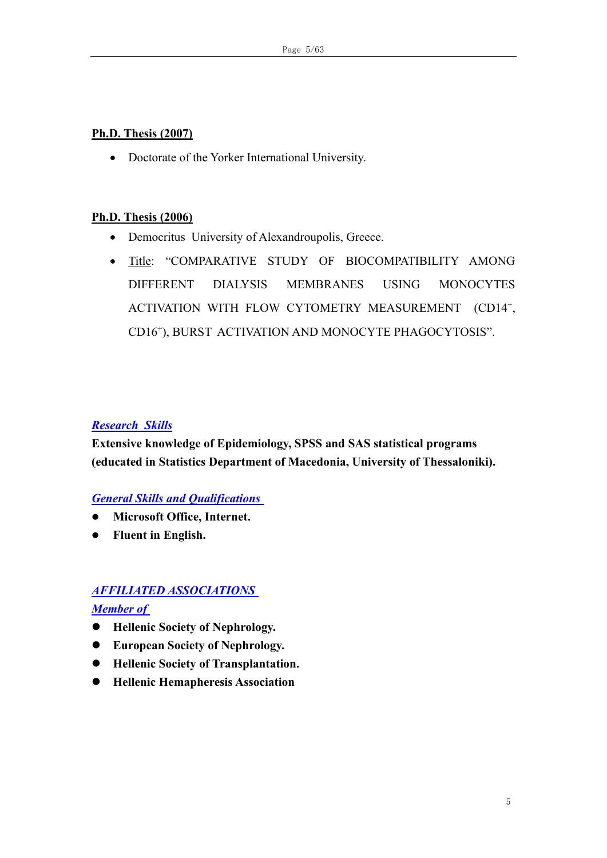### **Ph.D. Thesis (2007)**

• Doctorate of the Yorker International University.

# **Ph.D. Thesis (2006)**

- Democritus University of Alexandroupolis, Greece.
- Title: "COMPARATIVE STUDY OF BIOCOMPATIBILITY AMONG DIFFERENT DIALYSIS MEMBRANES USING MONOCYTES ACTIVATION WITH FLOW CYTOMETRY MEASUREMENT (CD14<sup>+</sup>, CD16<sup>+</sup> ), BURST ACTIVATION AND MONOCYTE PHAGOCYTOSIS".

# *Research Skills*

**Extensive knowledge of Epidemiology, SPSS and SAS statistical programs (educated in Statistics Department of Macedonia, University of Thessaloniki).**

# *General Skills and Qualifications*

- ⚫ **Microsoft Office, Internet.**
- ⚫ **Fluent in English.**

# *AFFILIATED ASSOCIATIONS*

# *Member of*

- ⚫ **Hellenic Society of Nephrology.**
- ⚫ **European Society of Nephrology.**
- ⚫ **Hellenic Society of Transplantation.**
- ⚫ **Hellenic Hemapheresis Association**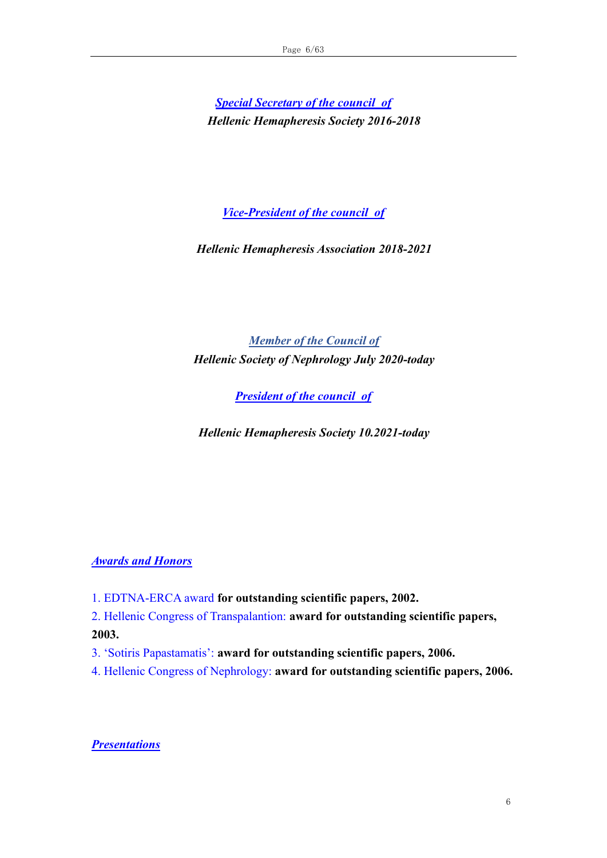*Special Secretary of the council of Hellenic Hemapheresis Society 2016-2018*

*Vice-President of the council of*

*Hellenic Hemapheresis Association 2018-2021*

*Member of the Council of Hellenic Society of Nephrology July 2020-today*

*President of the council of*

*Hellenic Hemapheresis Society 10.2021-today*

*Awards and Honors*

- 1. EDTNA-ERCA award **for outstanding scientific papers, 2002.**
- 2. Hellenic Congress of Transpalantion: **award for outstanding scientific papers,**

**2003.**

- 3. 'Sotiris Papastamatis': **award for outstanding scientific papers, 2006.**
- 4. Hellenic Congress of Nephrology: **award for outstanding scientific papers, 2006.**

*Presentations*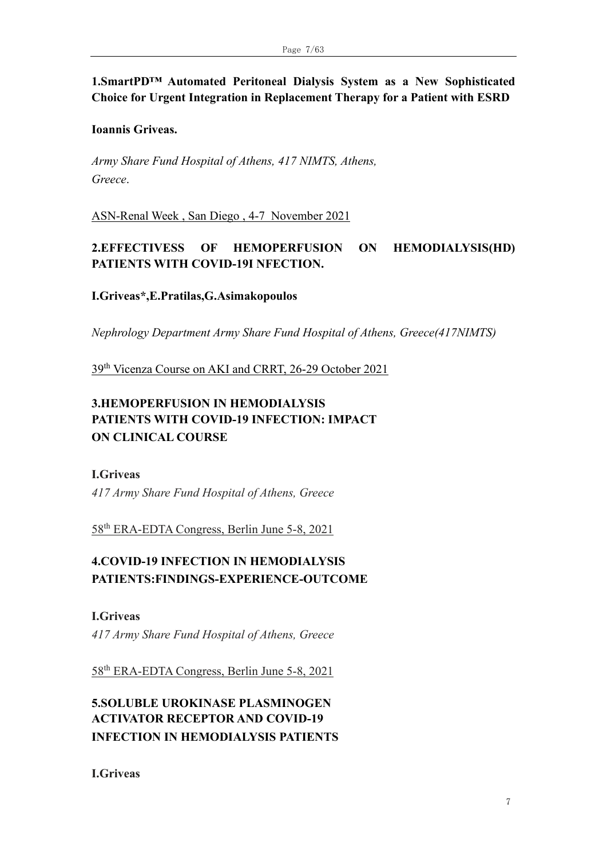# **1.SmartPD™ Automated Peritoneal Dialysis System as a New Sophisticated Choice for Urgent Integration in Replacement Therapy for a Patient with ESRD**

#### **Ioannis Griveas.**

*Army Share Fund Hospital of Athens, 417 NIMTS, Athens, Greece*.

ASN-Renal Week , San Diego , 4-7 November 2021

# **2.EFFECTIVESS OF HEMOPERFUSION ON HEMODIALYSIS(HD) PATIENTS WITH COVID-19I NFECTION.**

#### **I.Griveas\*,E.Pratilas,G.Asimakopoulos**

*Nephrology Department Army Share Fund Hospital of Athens, Greece(417NIMTS)*

39th Vicenza Course on AKI and CRRT, 26-29 October 2021

# **3.HEMOPERFUSION IN HEMODIALYSIS PATIENTS WITH COVID-19 INFECTION: IMPACT ON CLINICAL COURSE**

#### **I.Griveas**

*417 Army Share Fund Hospital of Athens, Greece*

58th ERA-EDTA Congress, Berlin June 5-8, 2021

# **4.COVID-19 INFECTION IN HEMODIALYSIS PATIENTS:FINDINGS-EXPERIENCE-OUTCOME**

**I.Griveas** *417 Army Share Fund Hospital of Athens, Greece*

58th ERA-EDTA Congress, Berlin June 5-8, 2021

# **5.SOLUBLE UROKINASE PLASMINOGEN ACTIVATOR RECEPTOR AND COVID-19 INFECTION IN HEMODIALYSIS PATIENTS**

**I.Griveas**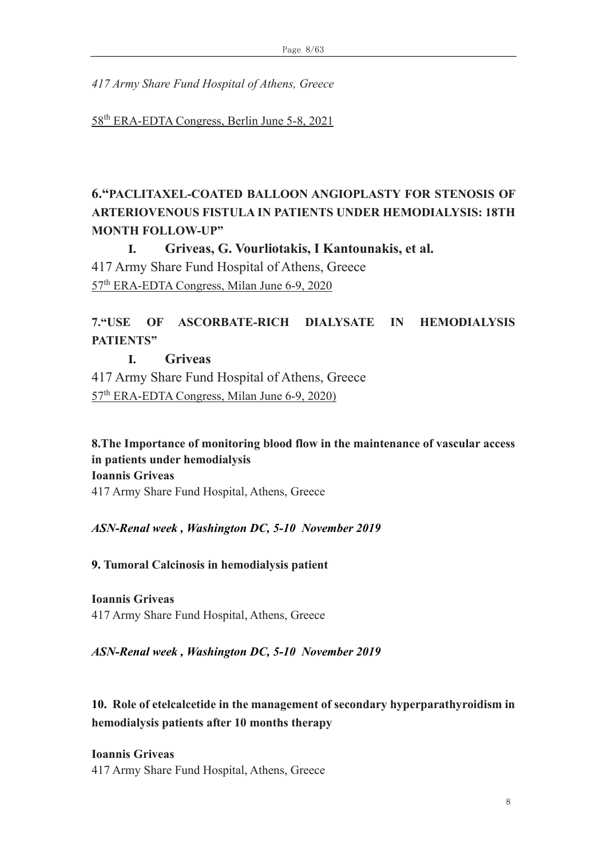*417 Army Share Fund Hospital of Athens, Greece*

58th ERA-EDTA Congress, Berlin June 5-8, 2021

# **6."PACLITAXEL-COATED BALLOON ANGIOPLASTY FOR STENOSIS OF ARTERIOVENOUS FISTULA IN PATIENTS UNDER HEMODIALYSIS: 18TH MONTH FOLLOW-UP"**

**I. Griveas, G. Vourliotakis, I Kantounakis, et al.** 

417 Army Share Fund Hospital of Athens, Greece 57th ERA-EDTA Congress, Milan June 6-9, 2020

# **7."USE OF ASCORBATE-RICH DIALYSATE IN HEMODIALYSIS PATIENTS"**

# **I. Griveas**

417 Army Share Fund Hospital of Athens, Greece 57th ERA-EDTA Congress, Milan June 6-9, 2020)

**8.The Importance of monitoring blood flow in the maintenance of vascular access in patients under hemodialysis Ioannis Griveas** 417 Army Share Fund Hospital, Athens, Greece

*ASN-Renal week , Washington DC, 5-10 November 2019*

**9. Tumoral Calcinosis in hemodialysis patient**

**Ioannis Griveas** 417 Army Share Fund Hospital, Athens, Greece

*ASN-Renal week , Washington DC, 5-10 November 2019*

**10. Role of etelcalcetide in the management of secondary hyperparathyroidism in hemodialysis patients after 10 months therapy**

**Ioannis Griveas**

417 Army Share Fund Hospital, Athens, Greece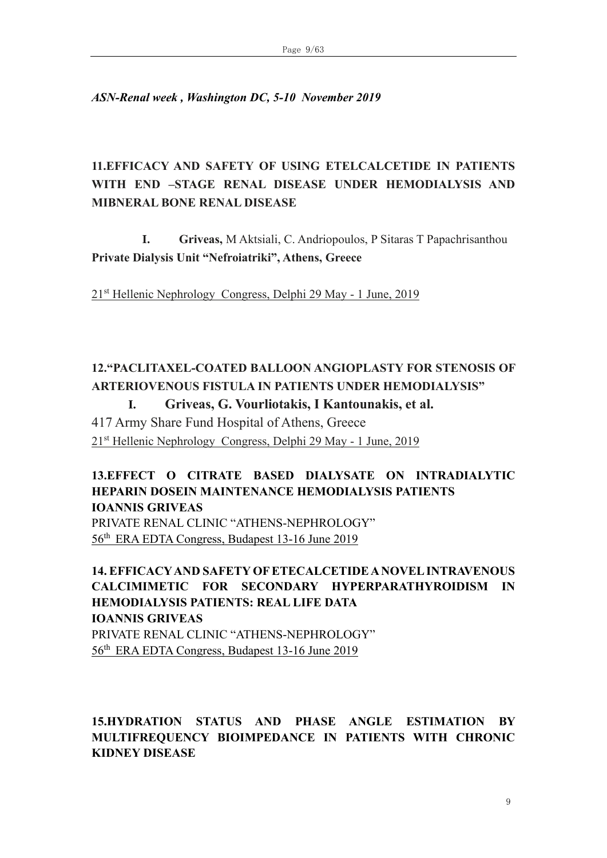*ASN-Renal week , Washington DC, 5-10 November 2019*

# **11.ΕFFICACY AND SAFETY OF USING ETELCALCETIDE IN PATIENTS WITH END –STAGE RENAL DISEASE UNDER HEMODIALYSIS AND MIBNERAL BONE RENAL DISEASE**

**I. Griveas,** M Aktsiali, C. Andriopoulos, P Sitaras T Papachrisanthou **Private Dialysis Unit "Nefroiatriki", Athens, Greece**

21st Hellenic Nephrology Congress, Delphi 29 May - 1 June, 2019

# **12."PACLITAXEL-COATED BALLOON ANGIOPLASTY FOR STENOSIS OF ARTERIOVENOUS FISTULA IN PATIENTS UNDER HEMODIALYSIS"**

**I. Griveas, G. Vourliotakis, I Kantounakis, et al.** 

417 Army Share Fund Hospital of Athens, Greece 21st Hellenic Nephrology Congress, Delphi 29 May - 1 June, 2019

### **13.EFFECT O CITRATE BASED DIALYSATE ON INTRADIALYTIC HEPARIN DOSEIN MAINTENANCE HEMODIALYSIS PATIENTS IOANNIS GRIVEAS**  PRIVATE RENAL CLINIC "ATHENS-NEPHROLOGY"

56th ERA EDTA Congress, Budapest 13-16 June 2019

**14. EFFICACY AND SAFETY OF ETECALCETIDE A NOVEL INTRAVENOUS CALCIMIMETIC FOR SECONDARY HYPERPARATHYROIDISM IN HEMODIALYSIS PATIENTS: REAL LIFE DATA IOANNIS GRIVEAS**  PRIVATE RENAL CLINIC "ATHENS-NEPHROLOGY" 56th ERA EDTA Congress, Budapest 13-16 June 2019

# **15.HYDRATION STATUS AND PHASE ANGLE ESTIMATION BY MULTIFREQUENCY BIOIMPEDANCE IN PATIENTS WITH CHRONIC KIDNEY DISEASE**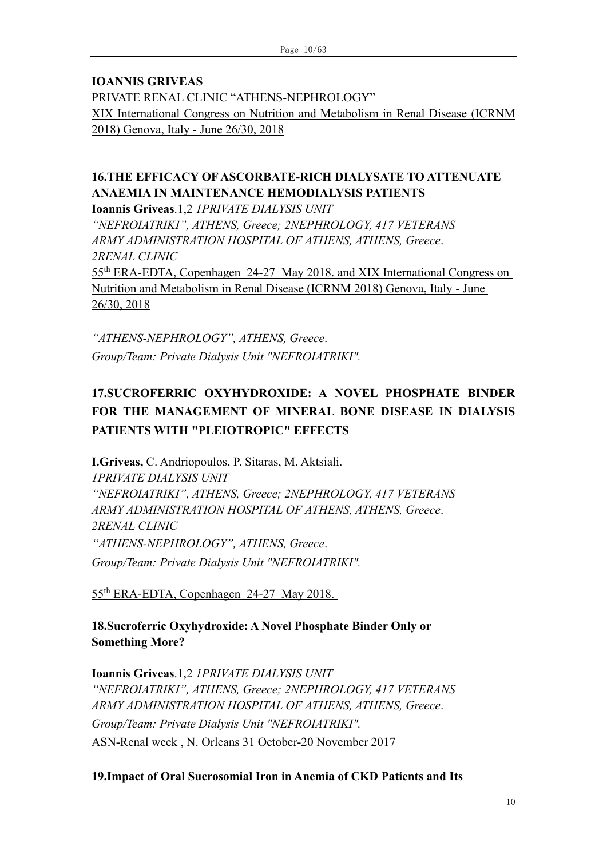#### **IOANNIS GRIVEAS**

PRIVATE RENAL CLINIC "ATHENS-NEPHROLOGY" XIX International Congress on Nutrition and Metabolism in Renal Disease (ICRNM 2018) Genova, Italy - June 26/30, 2018

# **16.THE EFFICACY OF ASCORBATE-RICH DIALYSATE TO ATTENUATE ANAEMIA IN MAINTENANCE HEMODIALYSIS PATIENTS**

**Ioannis Griveas**.1,2 *1PRIVATE DIALYSIS UNIT*

*"NEFROIATRIKI", ATHENS, Greece; 2NEPHROLOGY, 417 VETERANS ARMY ADMINISTRATION HOSPITAL OF ATHENS, ATHENS, Greece*. *2RENAL CLINIC* 55th ERA-EDTA, Copenhagen 24-27 May 2018. and XIX International Congress on Nutrition and Metabolism in Renal Disease (ICRNM 2018) Genova, Italy - June 26/30, 2018

*"ATHENS-NEPHROLOGY", ATHENS, Greece*. *Group/Team: Private Dialysis Unit "NEFROIATRIKI".*

# **17.SUCROFERRIC OXYHYDROXIDE: A NOVEL PHOSPHATE BINDER FOR THE MANAGEMENT OF MINERAL BONE DISEASE IN DIALYSIS PATIENTS WITH "PLEIOTROPIC" EFFECTS**

**I.Griveas,** C. Andriopoulos, P. Sitaras, M. Aktsiali. *1PRIVATE DIALYSIS UNIT "NEFROIATRIKI", ATHENS, Greece; 2NEPHROLOGY, 417 VETERANS ARMY ADMINISTRATION HOSPITAL OF ATHENS, ATHENS, Greece*. *2RENAL CLINIC "ATHENS-NEPHROLOGY", ATHENS, Greece*. *Group/Team: Private Dialysis Unit "NEFROIATRIKI".*

55th ERA-EDTA, Copenhagen 24-27 May 2018.

**18.Sucroferric Oxyhydroxide: A Novel Phosphate Binder Only or Something More?** 

**Ioannis Griveas**.1,2 *1PRIVATE DIALYSIS UNIT "NEFROIATRIKI", ATHENS, Greece; 2NEPHROLOGY, 417 VETERANS ARMY ADMINISTRATION HOSPITAL OF ATHENS, ATHENS, Greece*. *Group/Team: Private Dialysis Unit "NEFROIATRIKI".* ASN-Renal week , N. Orleans 31 October-20 November 2017

#### **19.Impact of Oral Sucrosomial Iron in Anemia of CKD Patients and Its**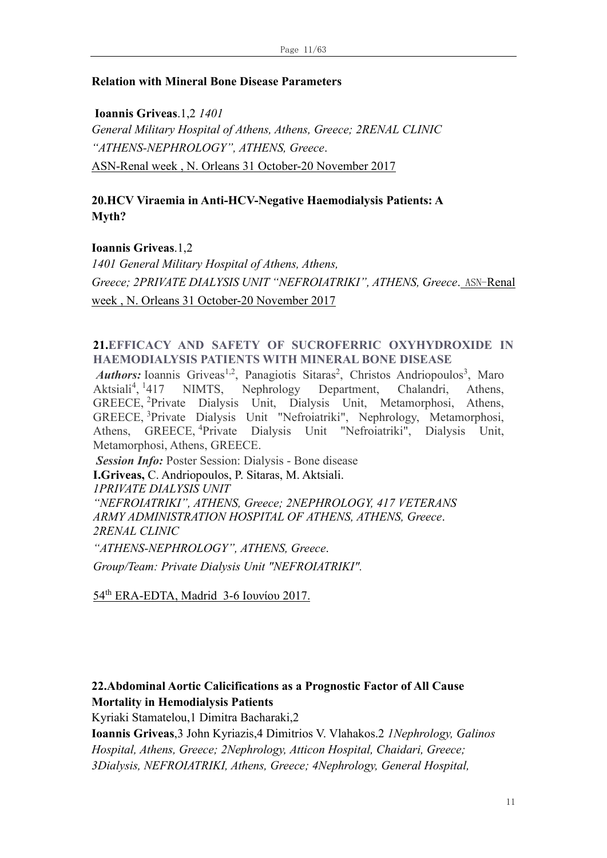#### **Relation with Mineral Bone Disease Parameters**

**Ioannis Griveas**.1,2 *1401 General Military Hospital of Athens, Athens, Greece; 2RENAL CLINIC "ATHENS-NEPHROLOGY", ATHENS, Greece*. ASN-Renal week , N. Orleans 31 October-20 November 2017

### **20.HCV Viraemia in Anti-HCV-Negative Haemodialysis Patients: A Myth?**

#### **Ioannis Griveas**.1,2

*1401 General Military Hospital of Athens, Athens, Greece; 2PRIVATE DIALYSIS UNIT "NEFROIATRIKI", ATHENS, Greece*. ASN-Renal week , N. Orleans 31 October-20 November 2017

#### **21[.EFFICACY AND SAFETY OF SUCROFERRIC OXYHYDROXIDE IN](https://www.abstracts2view.com/era_archive/view.php?nu=ERA17L1_1311&terms=)  [HAEMODIALYSIS PATIENTS WITH MINERAL BONE DISEASE](https://www.abstracts2view.com/era_archive/view.php?nu=ERA17L1_1311&terms=)**

Authors: Ioannis Griveas<sup>1,2</sup>, Panagiotis Sitaras<sup>2</sup>, Christos Andriopoulos<sup>3</sup>, Maro Aktsiali<sup>4</sup>,  $<sup>1</sup>$ </sup> NIMTS, Nephrology Department, Chalandri, Athens, GREECE, <sup>2</sup>Private Dialysis Unit, Dialysis Unit, Metamorphosi, Athens, GREECE, <sup>3</sup>Private Dialysis Unit "Nefroiatriki", Nephrology, Metamorphosi, Athens, GREECE, <sup>4</sup>Private Dialysis Unit "Nefroiatriki", Dialysis Unit, Metamorphosi, Athens, GREECE.

*Session Info:* Poster Session: Dialysis - Bone disease

**I.Griveas,** C. Andriopoulos, P. Sitaras, M. Aktsiali.

*1PRIVATE DIALYSIS UNIT*

*"NEFROIATRIKI", ATHENS, Greece; 2NEPHROLOGY, 417 VETERANS ARMY ADMINISTRATION HOSPITAL OF ATHENS, ATHENS, Greece*. *2RENAL CLINIC*

*"ATHENS-NEPHROLOGY", ATHENS, Greece*.

*Group/Team: Private Dialysis Unit "NEFROIATRIKI".*

54th ERA-EDTA, Madrid 3-6 Iουνίου 2017.

### **22.Abdominal Aortic Calicifications as a Prognostic Factor of All Cause Mortality in Hemodialysis Patients**

Kyriaki Stamatelou,1 Dimitra Bacharaki,2

**Ioannis Griveas**,3 John Kyriazis,4 Dimitrios V. Vlahakos.2 *1Nephrology, Galinos Hospital, Athens, Greece; 2Nephrology, Atticon Hospital, Chaidari, Greece; 3Dialysis, NEFROIATRIKI, Athens, Greece; 4Nephrology, General Hospital,*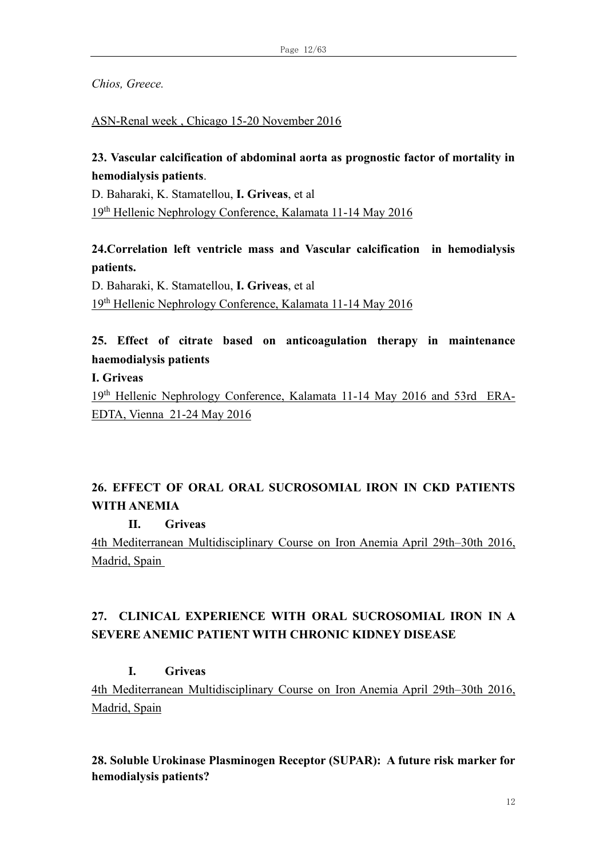*Chios, Greece.*

#### ASN-Renal week , Chicago 15-20 November 2016

# **23. Vascular calcification of abdominal aorta as prognostic factor of mortality in hemodialysis patients**.

D. Baharaki, K. Stamatellou, **I. Griveas**, et al 19th Hellenic Nephrology Conference, Kalamata 11-14 May 2016

# **24.Correlation left ventricle mass and Vascular calcification in hemodialysis patients.**

D. Baharaki, K. Stamatellou, **I. Griveas**, et al 19th Hellenic Nephrology Conference, Kalamata 11-14 May 2016

# **25. Εffect of citrate based on anticoagulation therapy in maintenance haemodialysis patients**

**I. Griveas**

19th Hellenic Nephrology Conference, Kalamata 11-14 May 2016 and 53rd ERA-EDTA, Vienna 21-24 May 2016

# **26. EFFECT OF ORAL ORAL SUCROSOMIAL IRON IN CKD PATIENTS WITH ANEMIA**

**II. Griveas** 

4th Mediterranean Multidisciplinary Course on Iron Anemia April 29th–30th 2016, Madrid, Spain

# **27. CLINICAL EXPERIENCE WITH ORAL SUCROSOMIAL IRON IN A SEVERE ANEMIC PATIENT WITH CHRONIC KIDNEY DISEASE**

# **I. Griveas**

4th Mediterranean Multidisciplinary Course on Iron Anemia April 29th–30th 2016, Madrid, Spain

**28. Soluble Urokinase Plasminogen Receptor (SUPAR): A future risk marker for hemodialysis patients?**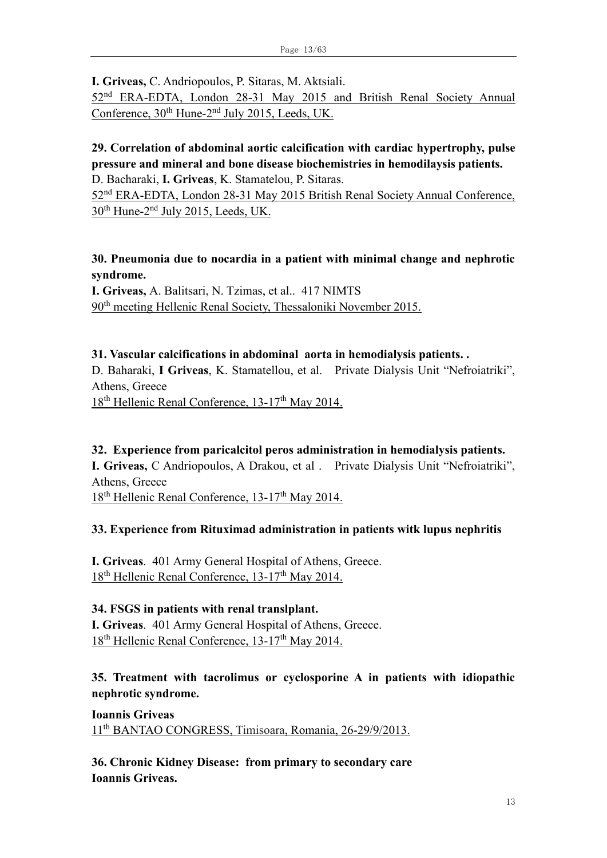**I. Griveas,** C. Andriopoulos, P. Sitaras, M. Aktsiali.

52nd ERA-EDTA, London 28-31 May 2015 and British Renal Society Annual Conference, 30<sup>th</sup> Hune-2<sup>nd</sup> July 2015, Leeds, UK.

# **29. Correlation of abdominal aortic calcification with cardiac hypertrophy, pulse pressure and mineral and bone disease biochemistries in hemodilaysis patients.** D. Bacharaki, **I. Griveas**, K. Stamatelou, P. Sitaras.

52nd ERA-EDTA, London 28-31 May 2015 British Renal Society Annual Conference, 30<sup>th</sup> Hune-2<sup>nd</sup> July 2015, Leeds, UK.

# **30. Pneumonia due to nocardia in a patient with minimal change and nephrotic syndrome.**

**Ι. Griveas,** A. Balitsari, N. Tzimas, et al.. 417 NIMTS 90th meeting Hellenic Renal Society, Thessaloniki November 2015.

# **31. Vascular calcifications in abdominal aorta in hemodialysis patients. .**

D. Baharaki, **I Griveas**, K. Stamatellou, et al. Private Dialysis Unit "Nefroiatriki", Athens, Greece

18<sup>th</sup> Hellenic Renal Conference, 13-17<sup>th</sup> May 2014.

# **32. Experience from paricalcitol peros administration in hemodialysis patients.**

**Ι. Griveas,** C Andriopoulos, A Drakou, et al . Private Dialysis Unit "Nefroiatriki", Athens, Greece

18<sup>th</sup> Hellenic Renal Conference, 13-17<sup>th</sup> May 2014.

# **33. Experience from Rituximad administration in patients witk lupus nephritis**

**Ι. Griveas**. 401 Army General Hospital of Athens, Greece. 18<sup>th</sup> Hellenic Renal Conference, 13-17<sup>th</sup> May 2014.

# **34. FSGS in patients with renal translplant.**

**Ι. Griveas**. 401 Army General Hospital of Athens, Greece.  $18<sup>th</sup>$  Hellenic Renal Conference,  $13-17<sup>th</sup>$  May 2014.

# **35. Treatment with tacrolimus or cyclosporine A in patients with idiopathic nephrotic syndrome.**

**Ioannis Griveas** 11th BANTAO CONGRESS, Timisoara, Romania, 26-29/9/2013.

**36. Chronic Kidney Disease: from primary to secondary care Ioannis Griveas.**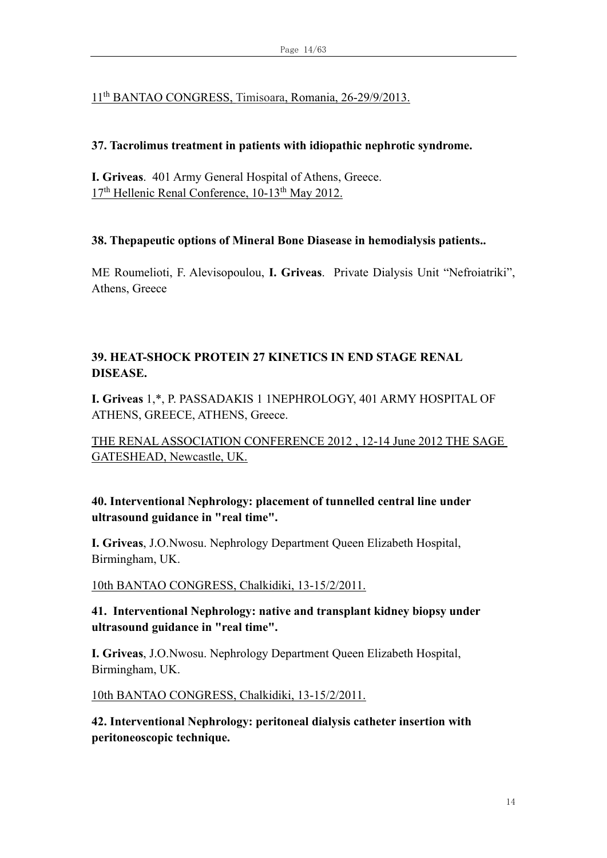# 11th BANTAO CONGRESS, Timisoara, Romania, 26-29/9/2013.

# **37. Tacrolimus treatment in patients with idiopathic nephrotic syndrome.**

**Ι. Griveas**. 401 Army General Hospital of Athens, Greece. 17<sup>th</sup> Hellenic Renal Conference, 10-13<sup>th</sup> May 2012.

# **38. Thepapeutic options of Mineral Bone Diasease in hemodialysis patients..**

ME Roumelioti, F. Alevisopoulou, **Ι. Griveas**. Private Dialysis Unit "Nefroiatriki", Athens, Greece

# **39. HEAT-SHOCK PROTEIN 27 KINETICS IN END STAGE RENAL DISEASE.**

**I. Griveas** 1,\*, P. PASSADAKIS 1 1NEPHROLOGY, 401 ARMY HOSPITAL OF ATHENS, GREECE, ATHENS, Greece.

THE RENAL ASSOCIATION CONFERENCE 2012 , 12-14 June 2012 THE SAGE GATESHEAD, Newcastle, UK.

# **40. Ιnterventional Nephrology: placement of tunnelled central line under ultrasound guidance in "real time".**

**I. Griveas**, J.O.Nwosu. Nephrology Department Queen Elizabeth Hospital, Birmingham, UK.

10th BANTAO CONGRESS, Chalkidiki, 13-15/2/2011.

# **41. Ιnterventional Nephrology: native and transplant kidney biopsy under ultrasound guidance in "real time".**

**I. Griveas**, J.O.Nwosu. Nephrology Department Queen Elizabeth Hospital, Birmingham, UK.

10th BANTAO CONGRESS, Chalkidiki, 13-15/2/2011.

**42. Ιnterventional Nephrology: peritoneal dialysis catheter insertion with peritoneoscopic technique.**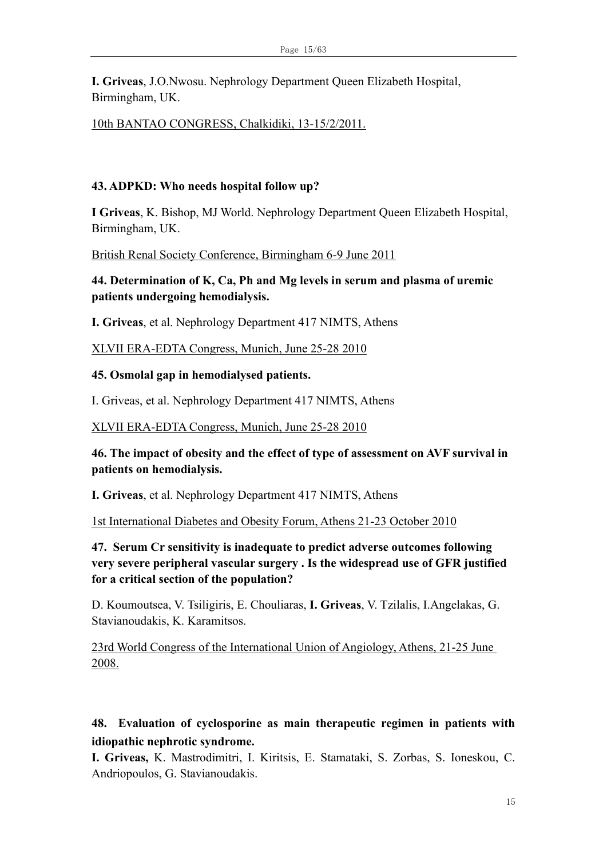**I. Griveas**, J.O.Nwosu. Nephrology Department Queen Elizabeth Hospital, Birmingham, UK.

10th BANTAO CONGRESS, Chalkidiki, 13-15/2/2011.

#### **43. ADPKD: Who needs hospital follow up?**

**I Griveas**, K. Bishop, MJ World. Nephrology Department Queen Elizabeth Hospital, Birmingham, UK.

British Renal Society Conference, Birmingham 6-9 June 2011

**44. Determination of K, Ca, Ph and Mg levels in serum and plasma of uremic patients undergoing hemodialysis.**

**I. Griveas**, et al. Nephrology Department 417 NIMTS, Athens

XLVII ERA-EDTA Congress, Munich, June 25-28 2010

**45. Osmolal gap in hemodialysed patients.**

I. Griveas, et al. Nephrology Department 417 NIMTS, Athens

#### XLVII ERA-EDTA Congress, Munich, June 25-28 2010

**46. The impact of obesity and the effect of type of assessment on AVF survival in patients on hemodialysis.**

**I. Griveas**, et al. Nephrology Department 417 NIMTS, Athens

1st International Diabetes and Obesity Forum, Athens 21-23 October 2010

**47. Serum Cr sensitivity is inadequate to predict adverse outcomes following very severe peripheral vascular surgery . Is the widespread use of GFR justified for a critical section of the population?**

D. Koumoutsea, V. Tsiligiris, E. Chouliaras, **I. Griveas**, V. Tzilalis, I.Angelakas, G. Stavianoudakis, K. Karamitsos.

23rd World Congress of the International Union of Angiology, Athens, 21-25 June 2008.

# **48. Evaluation of cyclosporine as main therapeutic regimen in patients with idiopathic nephrotic syndrome.**

**I. Griveas,** K. Mastrodimitri, I. Kiritsis, E. Stamataki, S. Zorbas, S. Ioneskou, C. Andriopoulos, G. Stavianoudakis.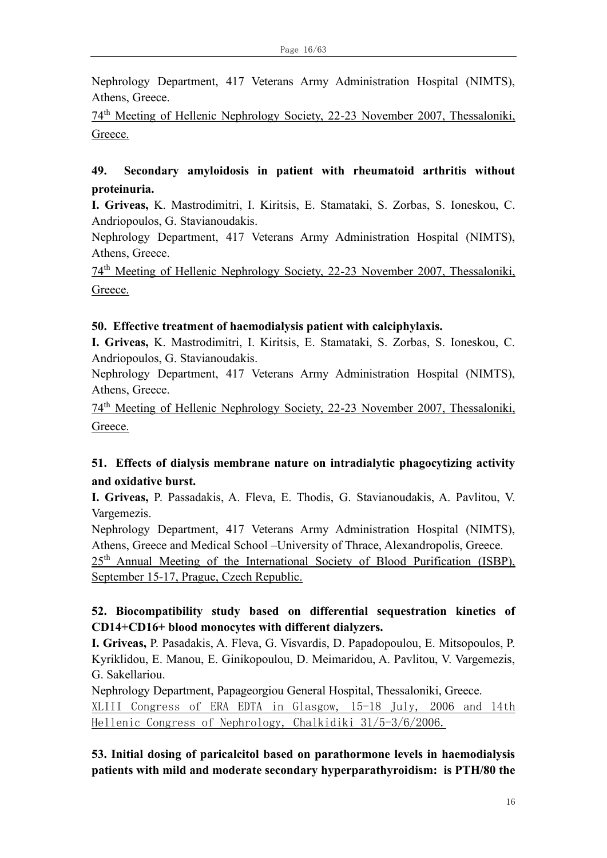Nephrology Department, 417 Veterans Army Administration Hospital (NIMTS), Athens, Greece.

74th Meeting of Hellenic Nephrology Society, 22-23 November 2007, Thessaloniki, Greece.

# **49. Secondary amyloidosis in patient with rheumatoid arthritis without proteinuria.**

**I. Griveas,** K. Mastrodimitri, I. Kiritsis, E. Stamataki, S. Zorbas, S. Ioneskou, C. Andriopoulos, G. Stavianoudakis.

Nephrology Department, 417 Veterans Army Administration Hospital (NIMTS), Athens, Greece.

74th Meeting of Hellenic Nephrology Society, 22-23 November 2007, Thessaloniki, Greece.

### **50. Effective treatment of haemodialysis patient with calciphylaxis.**

**I. Griveas,** K. Mastrodimitri, I. Kiritsis, E. Stamataki, S. Zorbas, S. Ioneskou, C. Andriopoulos, G. Stavianoudakis.

Nephrology Department, 417 Veterans Army Administration Hospital (NIMTS), Athens, Greece.

74th Meeting of Hellenic Nephrology Society, 22-23 November 2007, Thessaloniki, Greece.

# **51. Effects of dialysis membrane nature on intradialytic phagocytizing activity and oxidative burst.**

**I. Griveas,** P. Passadakis, A. Fleva, E. Thodis, G. Stavianoudakis, A. Pavlitou, V. Vargemezis.

Nephrology Department, 417 Veterans Army Administration Hospital (NIMTS), Athens, Greece and Medical School –University of Thrace, Alexandropolis, Greece.

25<sup>th</sup> Annual Meeting of the International Society of Blood Purification (ISBP), September 15-17, Prague, Czech Republic.

# **52. Biocompatibility study based on differential sequestration kinetics of CD14+CD16+ blood monocytes with different dialyzers.**

**I. Griveas,** P. Pasadakis, A. Fleva, G. Visvardis, D. Papadopoulou, E. Mitsopoulos, P. Kyriklidou, E. Manou, E. Ginikopoulou, D. Meimaridou, A. Pavlitou, V. Vargemezis, G. Sakellariou.

Nephrology Department, Papageorgiou General Hospital, Thessaloniki, Greece. XLIII Congress of ERA EDTA in Glasgow, 15-18 July, 2006 and 14th Hellenic Congress of Nephrology, Chalkidiki 31/5-3/6/2006.

**53. Initial dosing of paricalcitol based on parathormone levels in haemodialysis patients with mild and moderate secondary hyperparathyroidism: is PTH/80 the**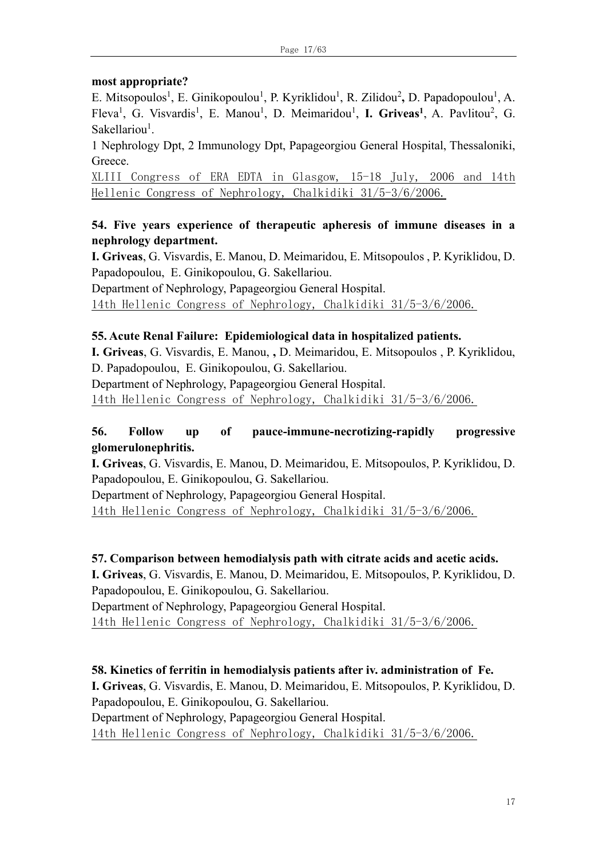#### **most appropriate?**

E. Mitsopoulos<sup>1</sup>, E. Ginikopoulou<sup>1</sup>, P. Kyriklidou<sup>1</sup>, R. Zilidou<sup>2</sup>, D. Papadopoulou<sup>1</sup>, A. Fleva<sup>1</sup>, G. Visvardis<sup>1</sup>, E. Manou<sup>1</sup>, D. Meimaridou<sup>1</sup>, I. Griveas<sup>1</sup>, A. Pavlitou<sup>2</sup>, G. Sakellariou<sup>1</sup>.

1 Nephrology Dpt, 2 Immunology Dpt, Papageorgiou General Hospital, Thessaloniki, Greece.

XLIII Congress of ERA EDTA in Glasgow, 15-18 July, 2006 and 14th Hellenic Congress of Nephrology, Chalkidiki 31/5-3/6/2006.

### **54. Five years experience of therapeutic apheresis of immune diseases in a nephrology department.**

**I. Griveas**, G. Visvardis, E. Manou, D. Meimaridou, E. Mitsopoulos , P. Kyriklidou, D. Papadopoulou, E. Ginikopoulou, G. Sakellariou.

Department of Nephrology, Papageorgiou General Hospital.

14th Hellenic Congress of Nephrology, Chalkidiki 31/5-3/6/2006.

### **55. Acute Renal Failure: Epidemiological data in hospitalized patients.**

**I. Griveas**, G. Visvardis, E. Manou, **,** D. Meimaridou, E. Mitsopoulos , P. Kyriklidou, D. Papadopoulou, E. Ginikopoulou, G. Sakellariou.

Department of Nephrology, Papageorgiou General Hospital.

14th Hellenic Congress of Nephrology, Chalkidiki 31/5-3/6/2006.

# **56. Follow up of pauce-immune-necrotizing-rapidly progressive glomerulonephritis.**

**I. Griveas**, G. Visvardis, E. Manou, D. Meimaridou, E. Mitsopoulos, P. Kyriklidou, D. Papadopoulou, E. Ginikopoulou, G. Sakellariou.

Department of Nephrology, Papageorgiou General Hospital. 14th Hellenic Congress of Nephrology, Chalkidiki 31/5-3/6/2006.

**57. Comparison between hemodialysis path with citrate acids and acetic acids. I. Griveas**, G. Visvardis, E. Manou, D. Meimaridou, E. Mitsopoulos, P. Kyriklidou, D. Papadopoulou, E. Ginikopoulou, G. Sakellariou. Department of Nephrology, Papageorgiou General Hospital.

14th Hellenic Congress of Nephrology, Chalkidiki 31/5-3/6/2006.

**58. Kinetics of ferritin in hemodialysis patients after iv. administration of Fe. I. Griveas**, G. Visvardis, E. Manou, D. Meimaridou, E. Mitsopoulos, P. Kyriklidou, D. Papadopoulou, E. Ginikopoulou, G. Sakellariou. Department of Nephrology, Papageorgiou General Hospital. 14th Hellenic Congress of Nephrology, Chalkidiki 31/5-3/6/2006.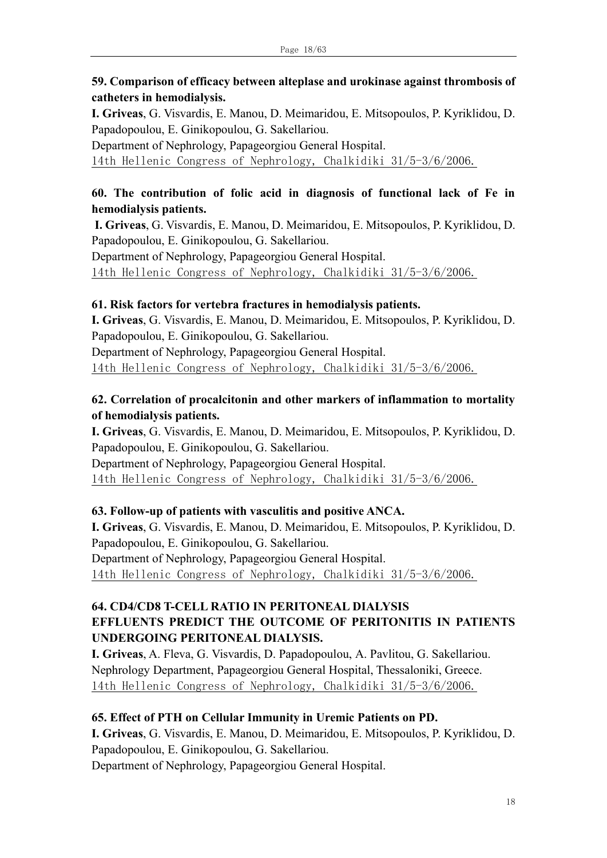# **59. Comparison of efficacy between alteplase and urokinase against thrombosis of catheters in hemodialysis.**

**I. Griveas**, G. Visvardis, E. Manou, D. Meimaridou, E. Mitsopoulos, P. Kyriklidou, D. Papadopoulou, E. Ginikopoulou, G. Sakellariou.

Department of Nephrology, Papageorgiou General Hospital. 14th Hellenic Congress of Nephrology, Chalkidiki 31/5-3/6/2006.

# **60. The contribution of folic acid in diagnosis of functional lack of Fe in hemodialysis patients.**

**I. Griveas**, G. Visvardis, E. Manou, D. Meimaridou, E. Mitsopoulos, P. Kyriklidou, D. Papadopoulou, E. Ginikopoulou, G. Sakellariou.

Department of Nephrology, Papageorgiou General Hospital.

14th Hellenic Congress of Nephrology, Chalkidiki 31/5-3/6/2006.

# **61. Risk factors for vertebra fractures in hemodialysis patients.**

**I. Griveas**, G. Visvardis, E. Manou, D. Meimaridou, E. Mitsopoulos, P. Kyriklidou, D. Papadopoulou, E. Ginikopoulou, G. Sakellariou. Department of Nephrology, Papageorgiou General Hospital.

14th Hellenic Congress of Nephrology, Chalkidiki 31/5-3/6/2006.

# **62. Correlation of procalcitonin and other markers of inflammation to mortality of hemodialysis patients.**

**I. Griveas**, G. Visvardis, E. Manou, D. Meimaridou, E. Mitsopoulos, P. Kyriklidou, D. Papadopoulou, E. Ginikopoulou, G. Sakellariou.

Department of Nephrology, Papageorgiou General Hospital. 14th Hellenic Congress of Nephrology, Chalkidiki 31/5-3/6/2006.

# **63. Follow-up of patients with vasculitis and positive ANCA.**

**I. Griveas**, G. Visvardis, E. Manou, D. Meimaridou, E. Mitsopoulos, P. Kyriklidou, D. Papadopoulou, E. Ginikopoulou, G. Sakellariou. Department of Nephrology, Papageorgiou General Hospital. 14th Hellenic Congress of Nephrology, Chalkidiki 31/5-3/6/2006.

# **64. CD4/CD8 T-CELL RATIO IN PERITONEAL DIALYSIS EFFLUENTS PREDICT THE OUTCOME OF PERITONITIS IN PATIENTS UNDERGOING PERITONEAL DIALYSIS.**

**I. Griveas**, A. Fleva, G. Visvardis, D. Papadopoulou, Α. Pavlitou, G. Sakellariou. Nephrology Department, Papageorgiou General Hospital, Thessaloniki, Greece. 14th Hellenic Congress of Nephrology, Chalkidiki 31/5-3/6/2006.

# **65. Effect of PTH on Cellular Immunity in Uremic Patients on PD.**

**I. Griveas**, G. Visvardis, E. Manou, D. Meimaridou, E. Mitsopoulos, P. Kyriklidou, D. Papadopoulou, E. Ginikopoulou, G. Sakellariou. Department of Nephrology, Papageorgiou General Hospital.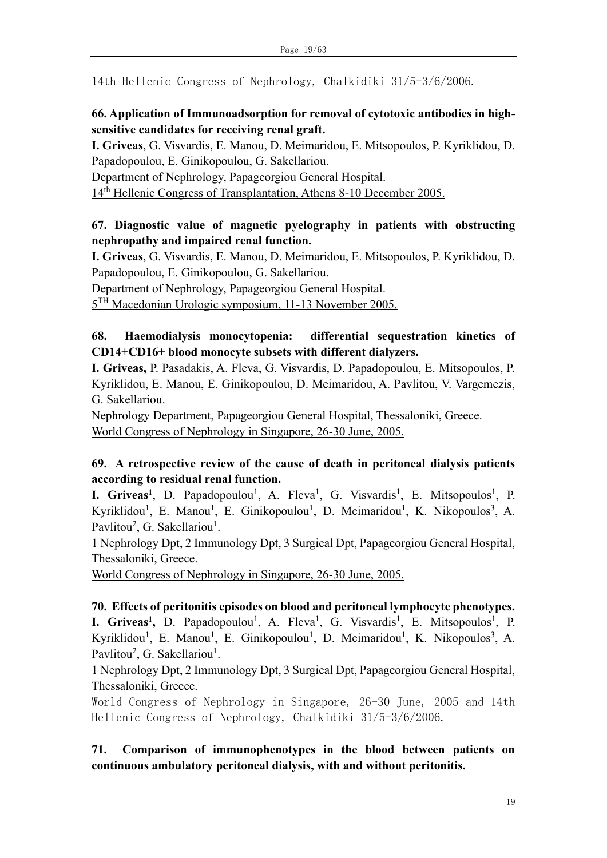14th Hellenic Congress of Nephrology, Chalkidiki 31/5-3/6/2006.

# **66. Application of Immunoadsorption for removal of cytotoxic antibodies in highsensitive candidates for receiving renal graft.**

**I. Griveas**, G. Visvardis, E. Manou, D. Meimaridou, E. Mitsopoulos, P. Kyriklidou, D. Papadopoulou, E. Ginikopoulou, G. Sakellariou.

Department of Nephrology, Papageorgiou General Hospital.

14th Hellenic Congress of Transplantation, Athens 8-10 December 2005.

# **67. Diagnostic value of magnetic pyelography in patients with obstructing nephropathy and impaired renal function.**

**I. Griveas**, G. Visvardis, E. Manou, D. Meimaridou, E. Mitsopoulos, P. Kyriklidou, D. Papadopoulou, E. Ginikopoulou, G. Sakellariou.

Department of Nephrology, Papageorgiou General Hospital.

5<sup>TH</sup> Macedonian Urologic symposium, 11-13 November 2005.

# **68. Ηaemodialysis monocytopenia: differential sequestration kinetics of CD14+CD16+ blood monocyte subsets with different dialyzers.**

**I. Griveas,** P. Pasadakis, A. Fleva, G. Visvardis, D. Papadopoulou, E. Mitsopoulos, P. Kyriklidou, E. Manou, E. Ginikopoulou, D. Meimaridou, A. Pavlitou, V. Vargemezis, G. Sakellariou.

Nephrology Department, Papageorgiou General Hospital, Thessaloniki, Greece. World Congress of Nephrology in Singapore, 26-30 June, 2005.

# **69. A retrospective review of the cause of death in peritoneal dialysis patients according to residual renal function.**

**I. Griveas<sup>1</sup>**, D. Papadopoulou<sup>1</sup>, A. Fleva<sup>1</sup>, G. Visvardis<sup>1</sup>, E. Mitsopoulos<sup>1</sup>, P. Kyriklidou<sup>1</sup>, E. Manou<sup>1</sup>, E. Ginikopoulou<sup>1</sup>, D. Meimaridou<sup>1</sup>, K. Nikopoulos<sup>3</sup>, A. Pavlitou<sup>2</sup>, G. Sakellariou<sup>1</sup>.

1 Nephrology Dpt, 2 Immunology Dpt, 3 Surgical Dpt, Papageorgiou General Hospital, Thessaloniki, Greece.

World Congress of Nephrology in Singapore, 26-30 June, 2005.

# **70. Effects of peritonitis episodes on blood and peritoneal lymphocyte phenotypes.**

**I. Griveas<sup>1</sup>,** D. Papadopoulou<sup>1</sup>, A. Fleva<sup>1</sup>, G. Visvardis<sup>1</sup>, E. Mitsopoulos<sup>1</sup>, P. Kyriklidou<sup>1</sup>, E. Manou<sup>1</sup>, E. Ginikopoulou<sup>1</sup>, D. Meimaridou<sup>1</sup>, K. Nikopoulos<sup>3</sup>, A. Pavlitou<sup>2</sup>, G. Sakellariou<sup>1</sup>.

1 Nephrology Dpt, 2 Immunology Dpt, 3 Surgical Dpt, Papageorgiou General Hospital, Thessaloniki, Greece.

World Congress of Nephrology in Singapore, 26-30 June, 2005 and 14th Hellenic Congress of Nephrology, Chalkidiki 31/5-3/6/2006.

**71. Comparison of immunophenotypes in the blood between patients on continuous ambulatory peritoneal dialysis, with and without peritonitis.**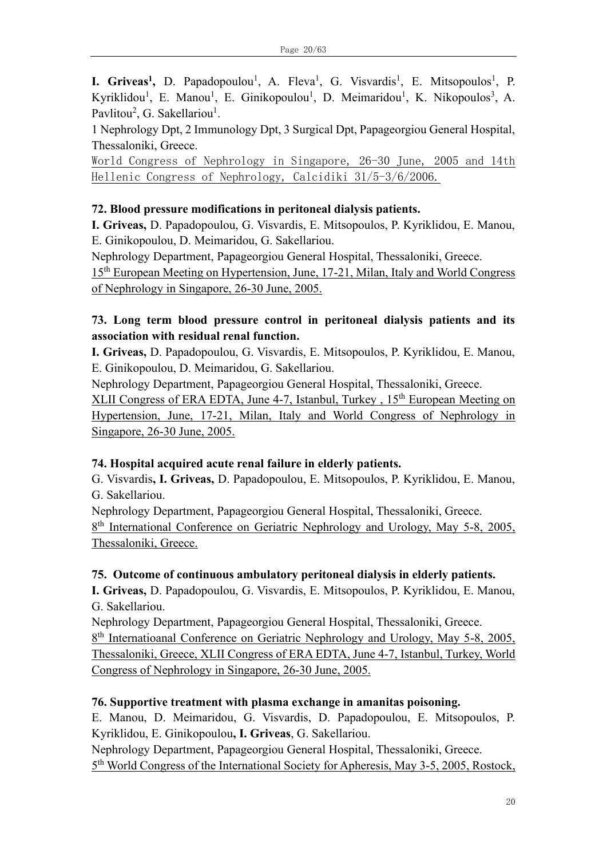**I. Griveas<sup>1</sup>,** D. Papadopoulou<sup>1</sup>, A. Fleva<sup>1</sup>, G. Visvardis<sup>1</sup>, E. Mitsopoulos<sup>1</sup>, P. Kyriklidou<sup>1</sup>, E. Manou<sup>1</sup>, E. Ginikopoulou<sup>1</sup>, D. Meimaridou<sup>1</sup>, K. Nikopoulos<sup>3</sup>, A. Pavlitou<sup>2</sup>, G. Sakellariou<sup>1</sup>.

1 Nephrology Dpt, 2 Immunology Dpt, 3 Surgical Dpt, Papageorgiou General Hospital, Thessaloniki, Greece.

World Congress of Nephrology in Singapore, 26-30 June, 2005 and 14th Hellenic Congress of Nephrology, Calcidiki 31/5-3/6/2006.

# **72. Blood pressure modifications in peritoneal dialysis patients.**

**I. Griveas,** D. Papadopoulou, G. Visvardis, E. Mitsopoulos, P. Kyriklidou, E. Manou, E. Ginikopoulou, D. Meimaridou, G. Sakellariou.

Nephrology Department, Papageorgiou General Hospital, Thessaloniki, Greece. 15th European Meeting on Hypertension, June, 17-21, Milan, Italy and World Congress of Nephrology in Singapore, 26-30 June, 2005.

# **73. Long term blood pressure control in peritoneal dialysis patients and its association with residual renal function.**

**I. Griveas,** D. Papadopoulou, G. Visvardis, E. Mitsopoulos, P. Kyriklidou, E. Manou, E. Ginikopoulou, D. Meimaridou, G. Sakellariou.

Nephrology Department, Papageorgiou General Hospital, Thessaloniki, Greece.

XLII Congress of ERA EDTA, June 4-7, Istanbul, Turkey, 15<sup>th</sup> European Meeting on Hypertension, June, 17-21, Milan, Italy and World Congress of Nephrology in Singapore, 26-30 June, 2005.

# **74. Hospital acquired acute renal failure in elderly patients.**

G. Visvardis**, I. Griveas,** D. Papadopoulou, E. Mitsopoulos, P. Kyriklidou, E. Manou, G. Sakellariou.

Nephrology Department, Papageorgiou General Hospital, Thessaloniki, Greece. 8<sup>th</sup> International Conference on Geriatric Nephrology and Urology, May 5-8, 2005, Thessaloniki, Greece.

# **75. Outcome of continuous ambulatory peritoneal dialysis in elderly patients.**

**I. Griveas,** D. Papadopoulou, G. Visvardis, E. Mitsopoulos, P. Kyriklidou, E. Manou, G. Sakellariou.

Nephrology Department, Papageorgiou General Hospital, Thessaloniki, Greece. 8<sup>th</sup> Internatioanal Conference on Geriatric Nephrology and Urology, May 5-8, 2005, Thessaloniki, Greece, XLII Congress of ERA EDTA, June 4-7, Istanbul, Turkey, World Congress of Nephrology in Singapore, 26-30 June, 2005.

# **76. Supportive treatment with plasma exchange in amanitas poisoning.**

E. Manou, D. Meimaridou, G. Visvardis, D. Papadopoulou, E. Mitsopoulos, P. Kyriklidou, E. Ginikopoulou**, I. Griveas**, G. Sakellariou.

Nephrology Department, Papageorgiou General Hospital, Thessaloniki, Greece. 5<sup>th</sup> World Congress of the International Society for Apheresis, May 3-5, 2005, Rostock,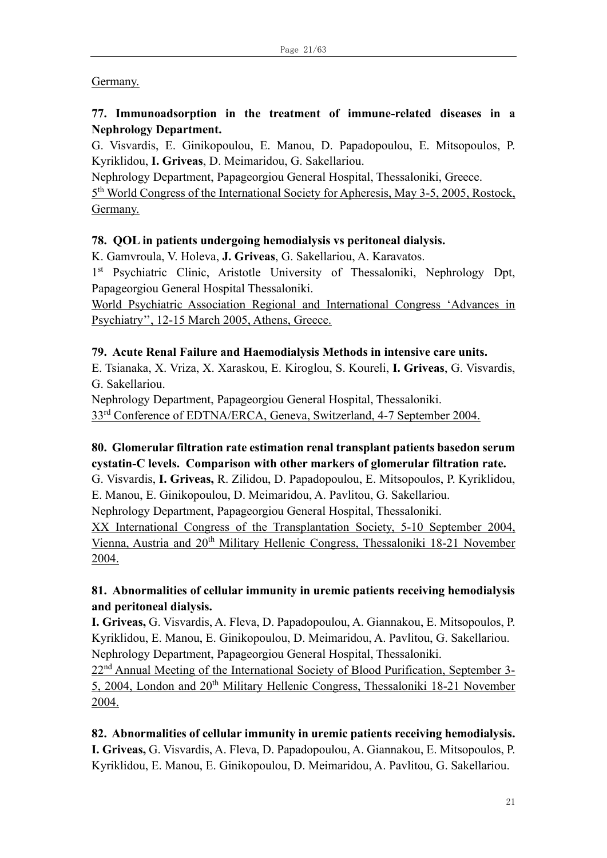### Germany.

# **77. Immunoadsorption in the treatment of immune-related diseases in a Nephrology Department.**

G. Visvardis, E. Ginikopoulou, E. Manou, D. Papadopoulou, E. Mitsopoulos, P. Kyriklidou, **I. Griveas**, D. Meimaridou, G. Sakellariou.

Nephrology Department, Papageorgiou General Hospital, Thessaloniki, Greece.

5<sup>th</sup> World Congress of the International Society for Apheresis, May 3-5, 2005, Rostock, Germany.

# **78. QOL in patients undergoing hemodialysis vs peritoneal dialysis.**

K. Gamvroula, V. Holeva, **J. Griveas**, G. Sakellariou, A. Karavatos.

1<sup>st</sup> Psychiatric Clinic, Aristotle University of Thessaloniki, Nephrology Dpt, Papageorgiou General Hospital Thessaloniki.

World Psychiatric Association Regional and International Congress 'Advances in Psychiatry'', 12-15 March 2005, Athens, Greece.

# **79. Acute Renal Failure and Haemodialysis Methods in intensive care units.**

E. Tsianaka, X. Vriza, X. Xaraskou, E. Kiroglou, S. Koureli, **I. Griveas**, G. Visvardis, G. Sakellariou.

Nephrology Department, Papageorgiou General Hospital, Thessaloniki.

33rd Conference of EDTNA/ERCA, Geneva, Switzerland, 4-7 September 2004.

# **80. Glomerular filtration rate estimation renal transplant patients basedon serum cystatin-C levels. Comparison with other markers of glomerular filtration rate.**

G. Visvardis, **I. Griveas,** R. Zilidou, D. Papadopoulou, E. Mitsopoulos, P. Kyriklidou, E. Manou, E. Ginikopoulou, D. Meimaridou, A. Pavlitou, G. Sakellariou.

Nephrology Department, Papageorgiou General Hospital, Thessaloniki.

XX International Congress of the Transplantation Society, 5-10 September 2004, Vienna, Austria and 20<sup>th</sup> Military Hellenic Congress, Thessaloniki 18-21 November 2004.

# **81. Abnormalities of cellular immunity in uremic patients receiving hemodialysis and peritoneal dialysis.**

**I. Griveas,** G. Visvardis, A. Fleva, D. Papadopoulou, A. Giannakou, E. Mitsopoulos, P. Kyriklidou, E. Manou, E. Ginikopoulou, D. Meimaridou, A. Pavlitou, G. Sakellariou. Nephrology Department, Papageorgiou General Hospital, Thessaloniki.

22<sup>nd</sup> Annual Meeting of the International Society of Blood Purification, September 3-5, 2004, London and 20th Military Hellenic Congress, Thessaloniki 18-21 November 2004.

# **82. Abnormalities of cellular immunity in uremic patients receiving hemodialysis.**

**I. Griveas,** G. Visvardis, A. Fleva, D. Papadopoulou, A. Giannakou, E. Mitsopoulos, P. Kyriklidou, E. Manou, E. Ginikopoulou, D. Meimaridou, A. Pavlitou, G. Sakellariou.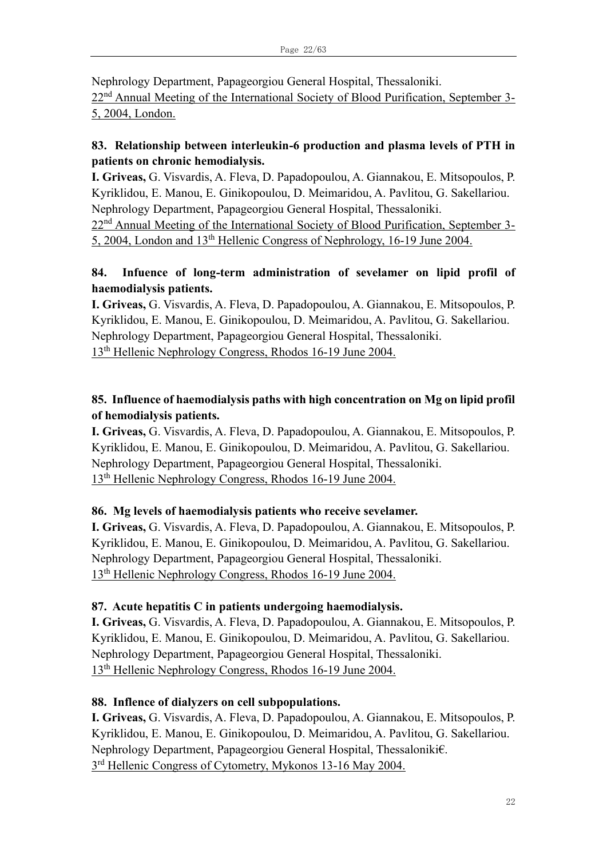Nephrology Department, Papageorgiou General Hospital, Thessaloniki.

22nd Annual Meeting of the International Society of Blood Purification, September 3- 5, 2004, London.

# **83. Relationship between interleukin-6 production and plasma levels of PTH in patients on chronic hemodialysis.**

**I. Griveas,** G. Visvardis, A. Fleva, D. Papadopoulou, A. Giannakou, E. Mitsopoulos, P. Kyriklidou, E. Manou, E. Ginikopoulou, D. Meimaridou, A. Pavlitou, G. Sakellariou. Nephrology Department, Papageorgiou General Hospital, Thessaloniki.

22<sup>nd</sup> Annual Meeting of the International Society of Blood Purification, September 3-5, 2004, London and 13th Hellenic Congress of Nephrology, 16-19 June 2004.

# **84. Infuence of long-term administration of sevelamer on lipid profil of haemodialysis patients.**

**I. Griveas,** G. Visvardis, A. Fleva, D. Papadopoulou, A. Giannakou, E. Mitsopoulos, P. Kyriklidou, E. Manou, E. Ginikopoulou, D. Meimaridou, A. Pavlitou, G. Sakellariou. Nephrology Department, Papageorgiou General Hospital, Thessaloniki. 13th Hellenic Nephrology Congress, Rhodos 16-19 June 2004.

# **85. Influence of haemodialysis paths with high concentration on Mg on lipid profil of hemodialysis patients.**

**I. Griveas,** G. Visvardis, A. Fleva, D. Papadopoulou, A. Giannakou, E. Mitsopoulos, P. Kyriklidou, E. Manou, E. Ginikopoulou, D. Meimaridou, A. Pavlitou, G. Sakellariou. Nephrology Department, Papageorgiou General Hospital, Thessaloniki. 13th Hellenic Nephrology Congress, Rhodos 16-19 June 2004.

# **86. Mg levels of haemodialysis patients who receive sevelamer.**

**I. Griveas,** G. Visvardis, A. Fleva, D. Papadopoulou, A. Giannakou, E. Mitsopoulos, P. Kyriklidou, E. Manou, E. Ginikopoulou, D. Meimaridou, A. Pavlitou, G. Sakellariou. Nephrology Department, Papageorgiou General Hospital, Thessaloniki. 13th Hellenic Nephrology Congress, Rhodos 16-19 June 2004.

# **87. Acute hepatitis C in patients undergoing haemodialysis.**

**I. Griveas,** G. Visvardis, A. Fleva, D. Papadopoulou, A. Giannakou, E. Mitsopoulos, P. Kyriklidou, E. Manou, E. Ginikopoulou, D. Meimaridou, A. Pavlitou, G. Sakellariou. Nephrology Department, Papageorgiou General Hospital, Thessaloniki. 13th Hellenic Nephrology Congress, Rhodos 16-19 June 2004.

# **88. Inflence of dialyzers on cell subpopulations.**

**I. Griveas,** G. Visvardis, A. Fleva, D. Papadopoulou, A. Giannakou, E. Mitsopoulos, P. Kyriklidou, E. Manou, E. Ginikopoulou, D. Meimaridou, A. Pavlitou, G. Sakellariou. Nephrology Department, Papageorgiou General Hospital, Thessaloniki€. 3<sup>rd</sup> Hellenic Congress of Cytometry, Mykonos 13-16 May 2004.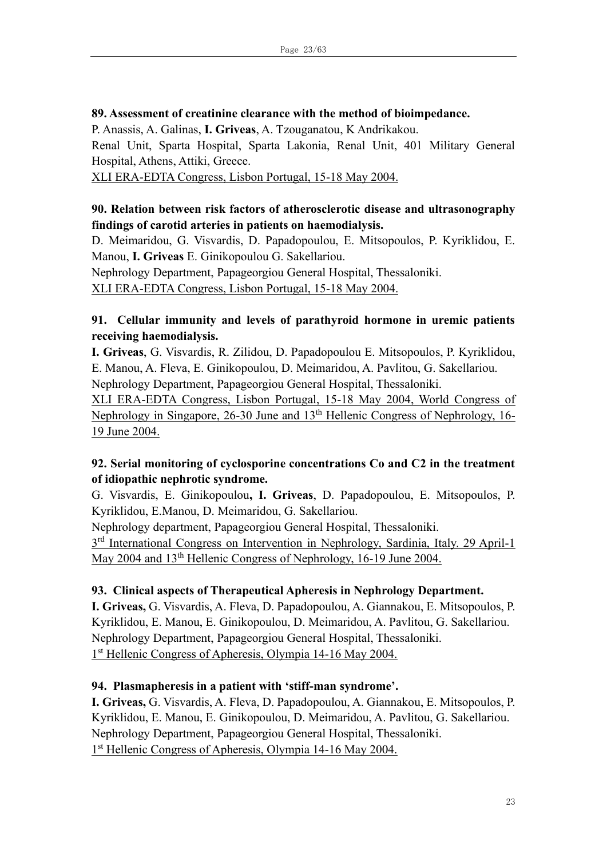#### **89. Assessment of creatinine clearance with the method of bioimpedance.**

P. Anassis, A. Galinas, **I. Griveas**, A. Tzouganatou, K Andrikakou.

Renal Unit, Sparta Hospital, Sparta Lakonia, Renal Unit, 401 Military General Hospital, Athens, Attiki, Greece.

XLI ERA-EDTA Congress, Lisbon Portugal, 15-18 May 2004.

# **90. Relation between risk factors of atherosclerotic disease and ultrasonography findings of carotid arteries in patients on haemodialysis.**

D. Meimaridou, G. Visvardis, D. Papadopoulou, E. Mitsopoulos, P. Kyriklidou, E. Manou, **I. Griveas** E. Ginikopoulou G. Sakellariou.

Nephrology Department, Papageorgiou General Hospital, Thessaloniki.

XLI ERA-EDTA Congress, Lisbon Portugal, 15-18 May 2004.

# **91. Cellular immunity and levels of parathyroid hormone in uremic patients receiving haemodialysis.**

**I. Griveas**, G. Visvardis, R. Zilidou, D. Papadopoulou E. Mitsopoulos, P. Kyriklidou, E. Manou, A. Fleva, E. Ginikopoulou, D. Meimaridou, A. Pavlitou, G. Sakellariou. Nephrology Department, Papageorgiou General Hospital, Thessaloniki.

XLI ERA-EDTA Congress, Lisbon Portugal, 15-18 May 2004, World Congress of Nephrology in Singapore, 26-30 June and 13<sup>th</sup> Hellenic Congress of Nephrology, 16-19 June 2004.

# **92. Serial monitoring of cyclosporine concentrations Co and C2 in the treatment of idiopathic nephrotic syndrome.**

G. Visvardis, E. Ginikopoulou**, I. Griveas**, D. Papadopoulou, E. Mitsopoulos, P. Kyriklidou, E.Manou, D. Meimaridou, G. Sakellariou.

Nephrology department, Papageorgiou General Hospital, Thessaloniki.

3<sup>rd</sup> International Congress on Intervention in Nephrology, Sardinia, Italy. 29 April-1 May 2004 and 13<sup>th</sup> Hellenic Congress of Nephrology, 16-19 June 2004.

# **93. Clinical aspects of Therapeutical Apheresis in Nephrology Department.**

**I. Griveas,** G. Visvardis, A. Fleva, D. Papadopoulou, A. Giannakou, E. Mitsopoulos, P. Kyriklidou, E. Manou, E. Ginikopoulou, D. Meimaridou, A. Pavlitou, G. Sakellariou. Nephrology Department, Papageorgiou General Hospital, Thessaloniki. 1<sup>st</sup> Hellenic Congress of Apheresis, Olympia 14-16 May 2004.

# **94. Plasmapheresis in a patient with 'stiff-man syndrome'.**

**I. Griveas,** G. Visvardis, A. Fleva, D. Papadopoulou, A. Giannakou, E. Mitsopoulos, P. Kyriklidou, E. Manou, E. Ginikopoulou, D. Meimaridou, A. Pavlitou, G. Sakellariou. Nephrology Department, Papageorgiou General Hospital, Thessaloniki. 1<sup>st</sup> Hellenic Congress of Apheresis, Olympia 14-16 May 2004.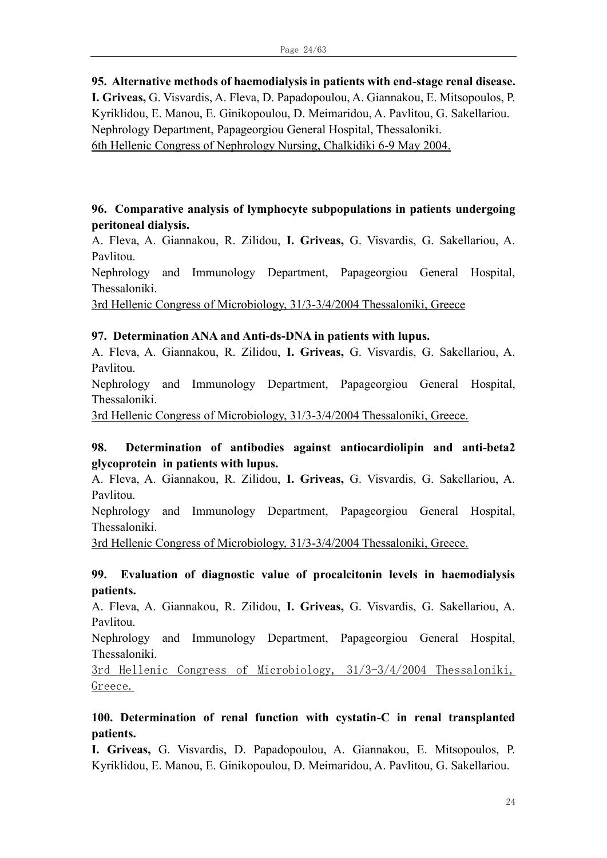# **95. Alternative methods of haemodialysis in patients with end-stage renal disease.**

**I. Griveas,** G. Visvardis, A. Fleva, D. Papadopoulou, A. Giannakou, E. Mitsopoulos, P. Kyriklidou, E. Manou, E. Ginikopoulou, D. Meimaridou, A. Pavlitou, G. Sakellariou. Nephrology Department, Papageorgiou General Hospital, Thessaloniki. 6th Hellenic Congress of Nephrology Nursing, Chalkidiki 6-9 May 2004.

### **96. Comparative analysis of lymphocyte subpopulations in patients undergoing peritoneal dialysis.**

A. Fleva, A. Giannakou, R. Zilidou, **I. Griveas,** G. Visvardis, G. Sakellariou, A. Pavlitou.

Nephrology and Immunology Department, Papageorgiou General Hospital, Thessaloniki.

3rd Hellenic Congress of Microbiology, 31/3-3/4/2004 Thessaloniki, Greece

#### **97. Determination ANA and Anti-ds-DNA in patients with lupus.**

A. Fleva, A. Giannakou, R. Zilidou, **I. Griveas,** G. Visvardis, G. Sakellariou, A. Pavlitou.

Nephrology and Immunology Department, Papageorgiou General Hospital, Thessaloniki.

3rd Hellenic Congress of Microbiology, 31/3-3/4/2004 Thessaloniki, Greece.

### **98. Determination of antibodies against antiocardiolipin and anti-beta2 glycoprotein in patients with lupus.**

A. Fleva, A. Giannakou, R. Zilidou, **I. Griveas,** G. Visvardis, G. Sakellariou, A. Pavlitou.

Nephrology and Immunology Department, Papageorgiou General Hospital, Thessaloniki.

3rd Hellenic Congress of Microbiology, 31/3-3/4/2004 Thessaloniki, Greece.

### **99. Evaluation of diagnostic value of procalcitonin levels in haemodialysis patients.**

A. Fleva, A. Giannakou, R. Zilidou, **I. Griveas,** G. Visvardis, G. Sakellariou, A. Pavlitou.

Nephrology and Immunology Department, Papageorgiou General Hospital, Thessaloniki.

3rd Hellenic Congress of Microbiology, 31/3-3/4/2004 Thessaloniki, Greece.

### **100. Determination of renal function with cystatin-C in renal transplanted patients.**

**I. Griveas,** G. Visvardis, D. Papadopoulou, A. Giannakou, E. Mitsopoulos, P. Kyriklidou, E. Manou, E. Ginikopoulou, D. Meimaridou, A. Pavlitou, G. Sakellariou.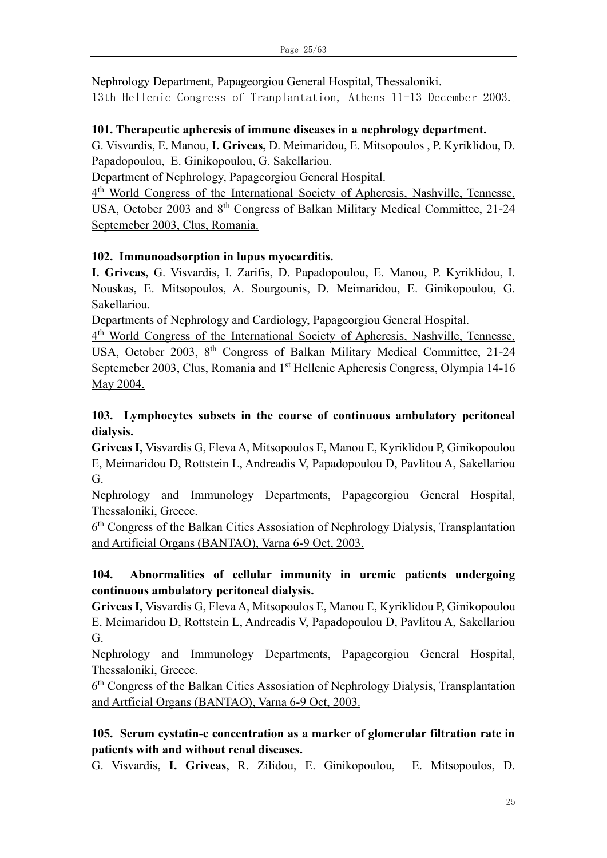Nephrology Department, Papageorgiou General Hospital, Thessaloniki. 13th Hellenic Congress of Tranplantation, Athens 11-13 December 2003.

### **101. Therapeutic apheresis of immune diseases in a nephrology department.**

G. Visvardis, E. Manou, **I. Griveas,** D. Meimaridou, E. Mitsopoulos , P. Kyriklidou, D. Papadopoulou, E. Ginikopoulou, G. Sakellariou.

Department of Nephrology, Papageorgiou General Hospital.

4<sup>th</sup> World Congress of the International Society of Apheresis, Nashville, Tennesse, USA, October 2003 and 8th Congress of Balkan Military Medical Committee, 21-24 Septemeber 2003, Clus, Romania.

# **102. Ιmmunoadsorption in lupus myocarditis.**

**I. Griveas,** G. Visvardis, I. Zarifis, D. Papadopoulou, E. Manou, P. Kyriklidou, I. Nouskas, E. Mitsopoulos, A. Sourgounis, D. Meimaridou, E. Ginikopoulou, G. Sakellariou.

Departments of Nephrology and Cardiology, Papageorgiou General Hospital.

4<sup>th</sup> World Congress of the International Society of Apheresis, Nashville, Tennesse, USA, October 2003, 8<sup>th</sup> Congress of Balkan Military Medical Committee, 21-24 Septemeber 2003, Clus, Romania and 1<sup>st</sup> Hellenic Apheresis Congress, Olympia 14-16 May 2004.

# **103. Lymphocytes subsets in the course of continuous ambulatory peritoneal dialysis.**

**Griveas I,** Visvardis G, Fleva A, Mitsopoulos E, Manou E, Kyriklidou P, Ginikopoulou E, Meimaridou D, Rottstein L, Andreadis V, Papadopoulou D, Pavlitou A, Sakellariou G.

Nephrology and Immunology Departments, Papageorgiou General Hospital, Thessaloniki, Greece.

6<sup>th</sup> Congress of the Balkan Cities Assosiation of Nephrology Dialysis, Transplantation and Artificial Organs (BANTAO), Varna 6-9 Oct, 2003.

# **104. Abnormalities of cellular immunity in uremic patients undergoing continuous ambulatory peritoneal dialysis.**

**Griveas I,** Visvardis G, Fleva A, Mitsopoulos E, Manou E, Kyriklidou P, Ginikopoulou E, Meimaridou D, Rottstein L, Andreadis V, Papadopoulou D, Pavlitou A, Sakellariou G.

Nephrology and Immunology Departments, Papageorgiou General Hospital, Thessaloniki, Greece.

6<sup>th</sup> Congress of the Balkan Cities Assosiation of Nephrology Dialysis, Transplantation and Artficial Organs (BANTAO), Varna 6-9 Oct, 2003.

# **105. Serum cystatin-c concentration as a marker of glomerular filtration rate in patients with and without renal diseases.**

G. Visvardis, **I. Griveas**, R. Zilidou, E. Ginikopoulou, E. Mitsopoulos, D.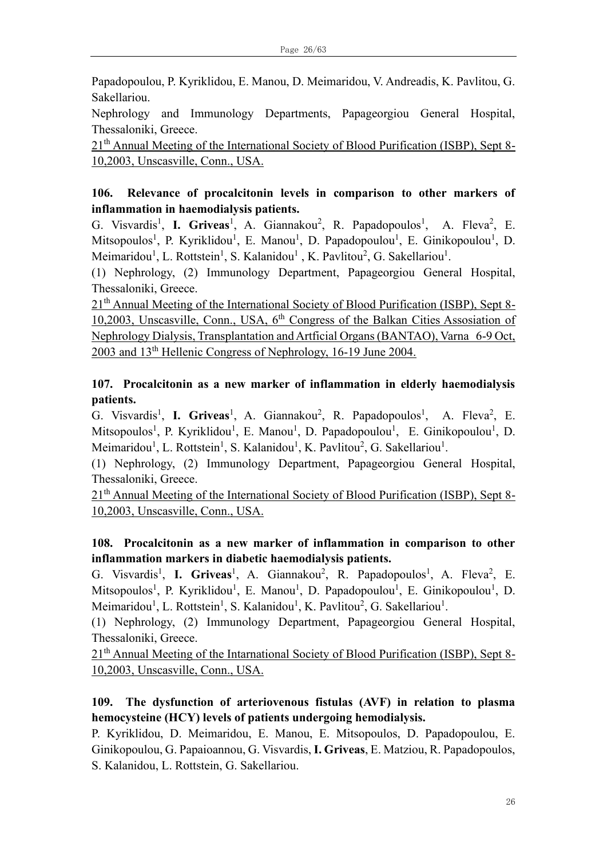Papadopoulou, P. Kyriklidou, E. Manou, D. Meimaridou, V. Andreadis, K. Pavlitou, G. Sakellariou.

Nephrology and Immunology Departments, Papageorgiou General Hospital, Thessaloniki, Greece.

21<sup>th</sup> Annual Meeting of the International Society of Blood Purification (ISBP), Sept 8-10,2003, Unscasville, Conn., USA.

# **106. Relevance of procalcitonin levels in comparison to other markers of inflammation in haemodialysis patients.**

G. Visvardis<sup>1</sup>, **I. Griveas**<sup>1</sup>, A. Giannakou<sup>2</sup>, R. Papadopoulos<sup>1</sup>, A. Fleva<sup>2</sup>, E. Mitsopoulos<sup>1</sup>, P. Kyriklidou<sup>1</sup>, E. Manou<sup>1</sup>, D. Papadopoulou<sup>1</sup>, E. Ginikopoulou<sup>1</sup>, D. Meimaridou<sup>1</sup>, L. Rottstein<sup>1</sup>, S. Kalanidou<sup>1</sup>, K. Pavlitou<sup>2</sup>, G. Sakellariou<sup>1</sup>.

(1) Nephrology, (2) Immunology Department, Papageorgiou General Hospital, Thessaloniki, Greece.

21<sup>th</sup> Annual Meeting of the International Society of Blood Purification (ISBP), Sept 8-10,2003, Unscasville, Conn., USA,  $6<sup>th</sup>$  Congress of the Balkan Cities Assosiation of Nephrology Dialysis, Transplantation and Artficial Organs (BANTAO), Varna 6-9 Oct, 2003 and 13th Hellenic Congress of Nephrology, 16-19 June 2004.

# **107. Procalcitonin as a new marker of inflammation in elderly haemodialysis patients.**

G. Visvardis<sup>1</sup>, **I. Griveas**<sup>1</sup>, A. Giannakou<sup>2</sup>, R. Papadopoulos<sup>1</sup>, A. Fleva<sup>2</sup>, E. Mitsopoulos<sup>1</sup>, P. Kyriklidou<sup>1</sup>, E. Manou<sup>1</sup>, D. Papadopoulou<sup>1</sup>, E. Ginikopoulou<sup>1</sup>, D. Meimaridou<sup>1</sup>, L. Rottstein<sup>1</sup>, S. Kalanidou<sup>1</sup>, K. Pavlitou<sup>2</sup>, G. Sakellariou<sup>1</sup>.

(1) Nephrology, (2) Immunology Department, Papageorgiou General Hospital, Thessaloniki, Greece.

21<sup>th</sup> Annual Meeting of the International Society of Blood Purification (ISBP), Sept 8-10,2003, Unscasville, Conn., USA.

# **108. Procalcitonin as a new marker of inflammation in comparison to other inflammation markers in diabetic haemodialysis patients.**

G. Visvardis<sup>1</sup>, **I. Griveas**<sup>1</sup>, A. Giannakou<sup>2</sup>, R. Papadopoulos<sup>1</sup>, A. Fleva<sup>2</sup>, E. Mitsopoulos<sup>1</sup>, P. Kyriklidou<sup>1</sup>, E. Manou<sup>1</sup>, D. Papadopoulou<sup>1</sup>, E. Ginikopoulou<sup>1</sup>, D. Meimaridou<sup>1</sup>, L. Rottstein<sup>1</sup>, S. Kalanidou<sup>1</sup>, K. Pavlitou<sup>2</sup>, G. Sakellariou<sup>1</sup>.

(1) Nephrology, (2) Immunology Department, Papageorgiou General Hospital, Thessaloniki, Greece.

21<sup>th</sup> Annual Meeting of the Intarnational Society of Blood Purification (ISBP), Sept 8-10,2003, Unscasville, Conn., USA.

# **109. The dysfunction of arteriovenous fistulas (AVF) in relation to plasma hemocysteine (HCY) levels of patients undergoing hemodialysis.**

P. Kyriklidou, D. Meimaridou, E. Manou, E. Mitsopoulos, D. Papadopoulou, E. Ginikopoulou, G. Papaioannou, G. Visvardis, **I. Griveas**, E. Matziou, R. Papadopoulos, S. Kalanidou, L. Rottstein, G. Sakellariou.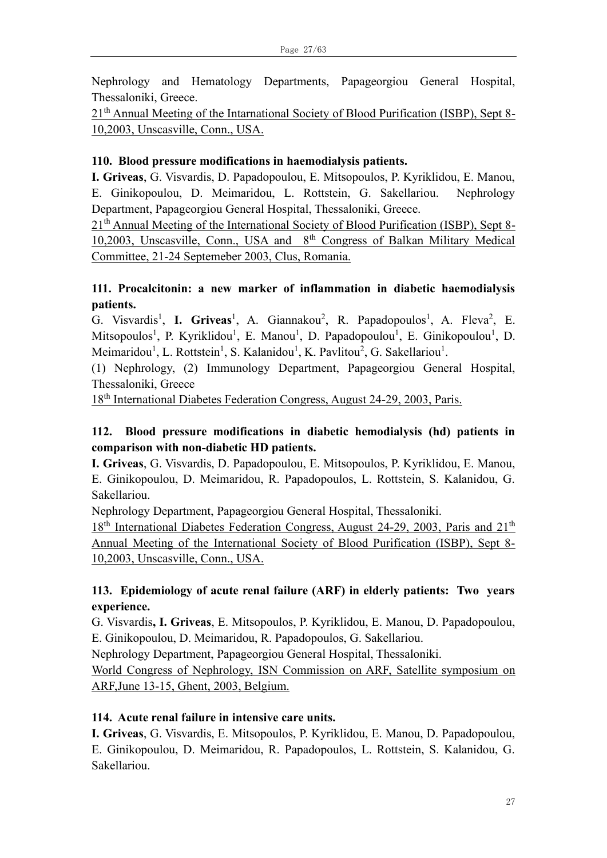Nephrology and Hematology Departments, Papageorgiou General Hospital, Thessaloniki, Greece.

21<sup>th</sup> Annual Meeting of the Intarnational Society of Blood Purification (ISBP), Sept 8-10,2003, Unscasville, Conn., USA.

### **110. Blood pressure modifications in haemodialysis patients.**

**I. Griveas**, G. Visvardis, D. Papadopoulou, E. Mitsopoulos, P. Kyriklidou, E. Manou, E. Ginikopoulou, D. Meimaridou, L. Rottstein, G. Sakellariou. Nephrology Department, Papageorgiou General Hospital, Thessaloniki, Greece.

21<sup>th</sup> Annual Meeting of the International Society of Blood Purification (ISBP), Sept 8-10,2003, Unscasville, Conn., USA and 8<sup>th</sup> Congress of Balkan Military Medical Committee, 21-24 Septemeber 2003, Clus, Romania.

# **111. Procalcitonin: a new marker of inflammation in diabetic haemodialysis patients.**

G. Visvardis<sup>1</sup>, **I. Griveas**<sup>1</sup>, A. Giannakou<sup>2</sup>, R. Papadopoulos<sup>1</sup>, A. Fleva<sup>2</sup>, E. Mitsopoulos<sup>1</sup>, P. Kyriklidou<sup>1</sup>, E. Manou<sup>1</sup>, D. Papadopoulou<sup>1</sup>, E. Ginikopoulou<sup>1</sup>, D. Meimaridou<sup>1</sup>, L. Rottstein<sup>1</sup>, S. Kalanidou<sup>1</sup>, K. Pavlitou<sup>2</sup>, G. Sakellariou<sup>1</sup>.

(1) Nephrology, (2) Immunology Department, Papageorgiou General Hospital, Thessaloniki, Greece

18<sup>th</sup> International Diabetes Federation Congress, August 24-29, 2003, Paris.

# **112. Blood pressure modifications in diabetic hemodialysis (hd) patients in comparison with non-diabetic HD patients.**

**I. Griveas**, G. Visvardis, D. Papadopoulou, E. Mitsopoulos, P. Kyriklidou, E. Manou, E. Ginikopoulou, D. Meimaridou, R. Papadopoulos, L. Rottstein, S. Kalanidou, G. Sakellariou.

Nephrology Department, Papageorgiou General Hospital, Thessaloniki.

 $18<sup>th</sup>$  International Diabetes Federation Congress, August 24-29, 2003, Paris and  $21<sup>th</sup>$ Annual Meeting of the International Society of Blood Purification (ISBP), Sept 8- 10,2003, Unscasville, Conn., USA.

# **113. Epidemiology of acute renal failure (ARF) in elderly patients: Two years experience.**

G. Visvardis**, I. Griveas**, E. Mitsopoulos, P. Kyriklidou, E. Manou, D. Papadopoulou, E. Ginikopoulou, D. Meimaridou, R. Papadopoulos, G. Sakellariou.

Nephrology Department, Papageorgiou General Hospital, Thessaloniki.

World Congress of Nephrology, ISN Commission on ARF, Satellite symposium on ARF,June 13-15, Ghent, 2003, Belgium.

#### **114. Acute renal failure in intensive care units.**

**I. Griveas**, G. Visvardis, E. Mitsopoulos, P. Kyriklidou, E. Manou, D. Papadopoulou, E. Ginikopoulou, D. Meimaridou, R. Papadopoulos, L. Rottstein, S. Kalanidou, G. Sakellariou.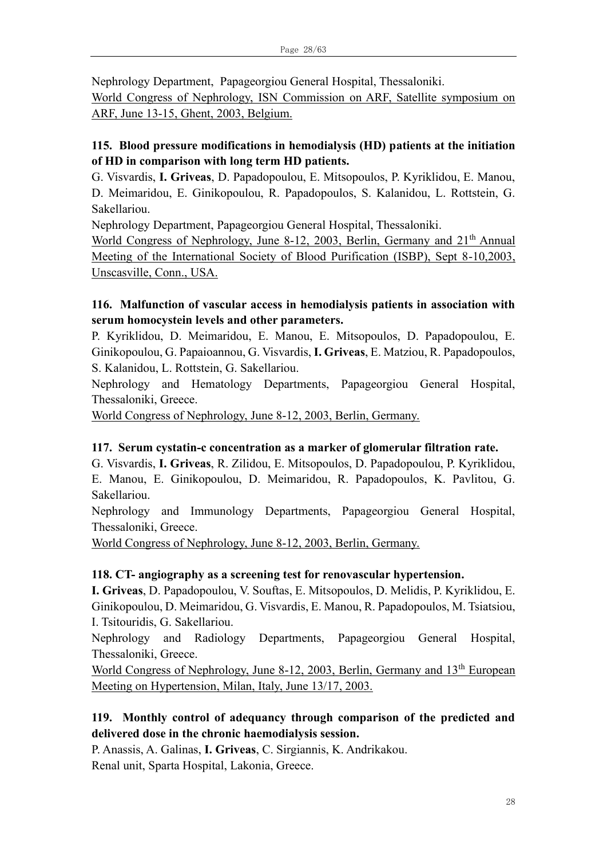Nephrology Department, Papageorgiou General Hospital, Thessaloniki.

World Congress of Nephrology, ISN Commission on ARF, Satellite symposium on ARF, June 13-15, Ghent, 2003, Belgium.

# **115. Blood pressure modifications in hemodialysis (HD) patients at the initiation of HD in comparison with long term HD patients.**

G. Visvardis, **I. Griveas**, D. Papadopoulou, E. Mitsopoulos, P. Kyriklidou, E. Manou, D. Meimaridou, E. Ginikopoulou, R. Papadopoulos, S. Kalanidou, L. Rottstein, G. Sakellariou.

Nephrology Department, Papageorgiou General Hospital, Thessaloniki.

World Congress of Nephrology, June 8-12, 2003, Berlin, Germany and  $21<sup>th</sup>$  Annual Meeting of the International Society of Blood Purification (ISBP), Sept 8-10,2003, Unscasville, Conn., USA.

### **116. Malfunction of vascular access in hemodialysis patients in association with serum homocystein levels and other parameters.**

P. Kyriklidou, D. Meimaridou, E. Manou, E. Mitsopoulos, D. Papadopoulou, E. Ginikopoulou, G. Papaioannou, G. Visvardis, **I. Griveas**, E. Matziou, R. Papadopoulos, S. Kalanidou, L. Rottstein, G. Sakellariou.

Nephrology and Hematology Departments, Papageorgiou General Hospital, Thessaloniki, Greece.

World Congress of Nephrology, June 8-12, 2003, Berlin, Germany.

# **117. Serum cystatin-c concentration as a marker of glomerular filtration rate.**

G. Visvardis, **I. Griveas**, R. Zilidou, E. Mitsopoulos, D. Papadopoulou, P. Kyriklidou, E. Manou, E. Ginikopoulou, D. Meimaridou, R. Papadopoulos, K. Pavlitou, G. Sakellariou.

Nephrology and Immunology Departments, Papageorgiou General Hospital, Thessaloniki, Greece.

World Congress of Nephrology, June 8-12, 2003, Berlin, Germany.

#### **118. CT- angiography as a screening test for renovascular hypertension.**

**I. Griveas**, D. Papadopoulou, V. Souftas, E. Mitsopoulos, D. Melidis, P. Kyriklidou, E. Ginikopoulou, D. Meimaridou, G. Visvardis, E. Manou, R. Papadopoulos, M. Tsiatsiou, I. Tsitouridis, G. Sakellariou.

Nephrology and Radiology Departments, Papageorgiou General Hospital, Thessaloniki, Greece.

World Congress of Nephrology, June 8-12, 2003, Berlin, Germany and 13<sup>th</sup> European Meeting on Hypertension, Milan, Italy, June 13/17, 2003.

# **119. Monthly control of adequancy through comparison of the predicted and delivered dose in the chronic haemodialysis session.**

P. Anassis, A. Galinas, **I. Griveas**, C. Sirgiannis, K. Andrikakou. Renal unit, Sparta Hospital, Lakonia, Greece.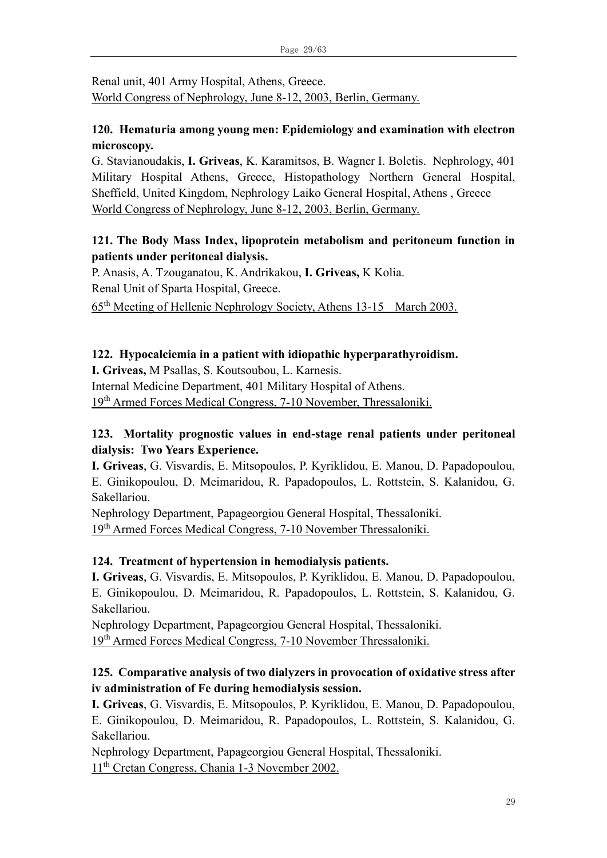Renal unit, 401 Army Hospital, Athens, Greece. World Congress of Nephrology, June 8-12, 2003, Berlin, Germany.

### **120. Ηematuria among young men: Epidemiology and examination with electron microscopy.**

G. Stavianoudakis, **I. Griveas**, K. Karamitsos, B. Wagner I. Boletis. Nephrology, 401 Military Hospital Athens, Greece, Histopathology Northern General Hospital, Sheffield, United Kingdom, Nephrology Laiko General Hospital, Athens , Greece World Congress of Nephrology, June 8-12, 2003, Berlin, Germany.

# **121. The Body Mass Index, lipoprotein metabolism and peritoneum function in patients under peritoneal dialysis.**

P. Anasis, A. Tzouganatou, K. Andrikakou, **I. Griveas,** K Kolia. Renal Unit of Sparta Hospital, Greece.

65th Meeting of Hellenic Nephrology Society, Athens 13-15 March 2003.

### **122. Hypocalciemia in a patient with idiopathic hyperparathyroidism.**

**I. Griveas,** M Psallas, S. Koutsoubou, L. Karnesis.

Internal Medicine Department, 401 Military Hospital of Athens.

19th Armed Forces Medical Congress, 7-10 November, Thressaloniki.

# **123. Mortality prognostic values in end-stage renal patients under peritoneal dialysis: Two Years Experience.**

**I. Griveas**, G. Visvardis, E. Mitsopoulos, P. Kyriklidou, E. Manou, D. Papadopoulou, E. Ginikopoulou, D. Meimaridou, R. Papadopoulos, L. Rottstein, S. Kalanidou, G. Sakellariou.

Nephrology Department, Papageorgiou General Hospital, Thessaloniki. 19th Armed Forces Medical Congress, 7-10 November Thressaloniki.

# **124. Treatment of hypertension in hemodialysis patients.**

**I. Griveas**, G. Visvardis, E. Mitsopoulos, P. Kyriklidou, E. Manou, D. Papadopoulou, E. Ginikopoulou, D. Meimaridou, R. Papadopoulos, L. Rottstein, S. Kalanidou, G. Sakellariou.

Nephrology Department, Papageorgiou General Hospital, Thessaloniki. 19th Armed Forces Medical Congress, 7-10 November Thressaloniki.

# **125. Comparative analysis of two dialyzers in provocation of oxidative stress after iv administration of Fe during hemodialysis session.**

**I. Griveas**, G. Visvardis, E. Mitsopoulos, P. Kyriklidou, E. Manou, D. Papadopoulou, E. Ginikopoulou, D. Meimaridou, R. Papadopoulos, L. Rottstein, S. Kalanidou, G. Sakellariou.

Nephrology Department, Papageorgiou General Hospital, Thessaloniki. 11th Cretan Congress, Chania 1-3 November 2002.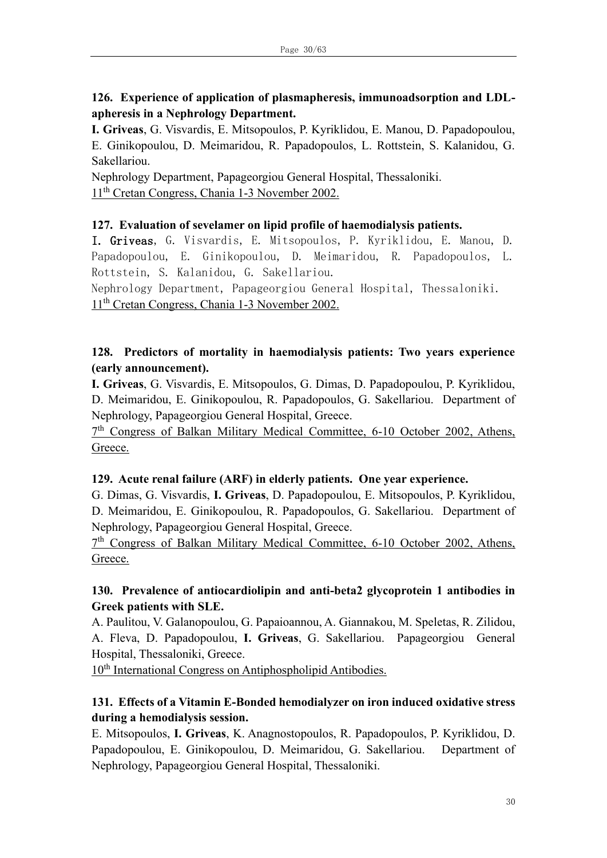# **126. Experience of application of plasmapheresis, immunoadsorption and LDLapheresis in a Nephrology Department.**

**I. Griveas**, G. Visvardis, E. Mitsopoulos, P. Kyriklidou, E. Manou, D. Papadopoulou, E. Ginikopoulou, D. Meimaridou, R. Papadopoulos, L. Rottstein, S. Kalanidou, G. Sakellariou.

Nephrology Department, Papageorgiou General Hospital, Thessaloniki. 11th Cretan Congress, Chania 1-3 November 2002.

#### **127. Evaluation of sevelamer on lipid profile of haemodialysis patients.**

I. Griveas, G. Visvardis, E. Mitsopoulos, P. Kyriklidou, E. Manou, D. Papadopoulou, E. Ginikopoulou, D. Meimaridou, R. Papadopoulos, L. Rottstein, S. Kalanidou, G. Sakellariou.

Nephrology Department, Papageorgiou General Hospital, Thessaloniki. 11th Cretan Congress, Chania 1-3 November 2002.

### **128. Predictors of mortality in haemodialysis patients: Two years experience (early announcement).**

**I. Griveas**, G. Visvardis, E. Mitsopoulos, G. Dimas, D. Papadopoulou, P. Kyriklidou, D. Meimaridou, E. Ginikopoulou, R. Papadopoulos, G. Sakellariou. Department of Nephrology, Papageorgiou General Hospital, Greece.

7<sup>th</sup> Congress of Balkan Military Medical Committee, 6-10 October 2002, Athens, Greece.

#### **129. Acute renal failure (ARF) in elderly patients. One year experience.**

G. Dimas, G. Visvardis, **I. Griveas**, D. Papadopoulou, E. Mitsopoulos, P. Kyriklidou, D. Meimaridou, E. Ginikopoulou, R. Papadopoulos, G. Sakellariou. Department of Nephrology, Papageorgiou General Hospital, Greece.

7<sup>th</sup> Congress of Balkan Military Medical Committee, 6-10 October 2002, Athens, Greece.

# **130. Prevalence of antiocardiolipin and anti-beta2 glycoprotein 1 antibodies in Greek patients with SLE.**

A. Paulitou, V. Galanopoulou, G. Papaioannou, A. Giannakou, M. Speletas, R. Zilidou, A. Fleva, D. Papadopoulou, **I. Griveas**, G. Sakellariou. Papageorgiou General Hospital, Thessaloniki, Greece.

10<sup>th</sup> International Congress on Antiphospholipid Antibodies.

# **131. Effects of a Vitamin E-Bonded hemodialyzer on iron induced oxidative stress during a hemodialysis session.**

E. Mitsopoulos, **I. Griveas**, K. Anagnostopoulos, R. Papadopoulos, P. Kyriklidou, D. Papadopoulou, E. Ginikopoulou, D. Meimaridou, G. Sakellariou. Department of Nephrology, Papageorgiou General Hospital, Thessaloniki.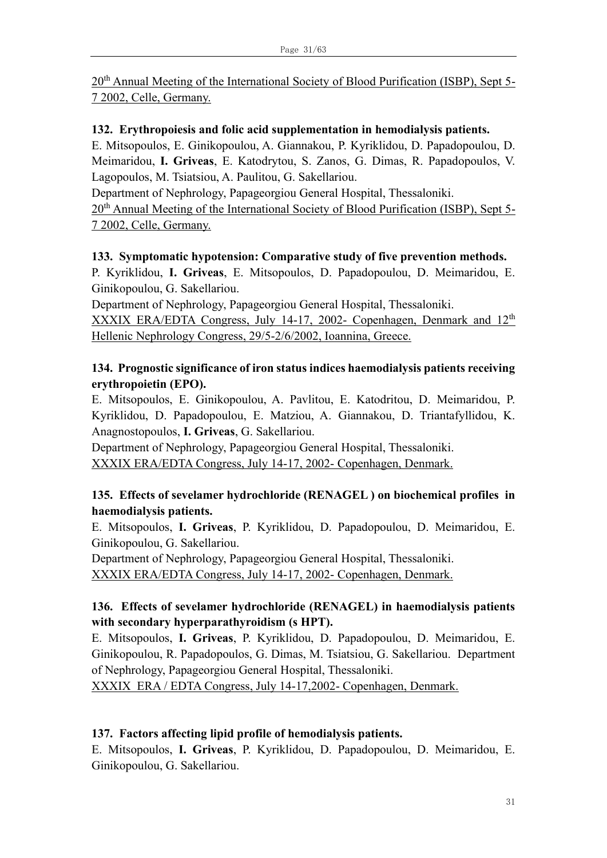20<sup>th</sup> Annual Meeting of the International Society of Blood Purification (ISBP), Sept 5-7 2002, Celle, Germany.

#### **132. Erythropoiesis and folic acid supplementation in hemodialysis patients.**

E. Mitsopoulos, E. Ginikopoulou, A. Giannakou, P. Kyriklidou, D. Papadopoulou, D. Meimaridou, **I. Griveas**, E. Katodrytou, S. Zanos, G. Dimas, R. Papadopoulos, V. Lagopoulos, M. Tsiatsiou, A. Paulitou, G. Sakellariou.

Department of Nephrology, Papageorgiou General Hospital, Thessaloniki.

20<sup>th</sup> Annual Meeting of the International Society of Blood Purification (ISBP), Sept 5-7 2002, Celle, Germany.

#### **133. Symptomatic hypotension: Comparative study of five prevention methods.**

P. Kyriklidou, **I. Griveas**, E. Mitsopoulos, D. Papadopoulou, D. Meimaridou, E. Ginikopoulou, G. Sakellariou.

Department of Nephrology, Papageorgiou General Hospital, Thessaloniki.

ΧΧΧΙΧ ERA/EDTA Congress, July 14-17, 2002- Copenhagen, Denmark and 12th Hellenic Nephrology Congress, 29/5-2/6/2002, Ioannina, Greece.

### **134. Prognostic significance of iron status indices haemodialysis patients receiving erythropoietin (EPO).**

E. Mitsopoulos, E. Ginikopoulou, A. Pavlitou, E. Katodritou, D. Meimaridou, P. Kyriklidou, D. Papadopoulou, E. Matziou, A. Giannakou, D. Triantafyllidou, K. Anagnostopoulos, **I. Griveas**, G. Sakellariou.

Department of Nephrology, Papageorgiou General Hospital, Thessaloniki. ΧΧΧΙΧ ERA/EDTA Congress, July 14-17, 2002- Copenhagen, Denmark.

# **135. Εffects of sevelamer hydrochloride (RENAGEL ) on biochemical profiles in haemodialysis patients.**

E. Mitsopoulos, **I. Griveas**, P. Kyriklidou, D. Papadopoulou, D. Meimaridou, E. Ginikopoulou, G. Sakellariou.

Department of Nephrology, Papageorgiou General Hospital, Thessaloniki. ΧΧΧΙΧ ERA/EDTA Congress, July 14-17, 2002- Copenhagen, Denmark.

# **136. Εffects of sevelamer hydrochloride (RENAGEL) in haemodialysis patients with secondary hyperparathyroidism (s HPT).**

E. Mitsopoulos, **I. Griveas**, P. Kyriklidou, D. Papadopoulou, D. Meimaridou, E. Ginikopoulou, R. Papadopoulos, G. Dimas, M. Tsiatsiou, G. Sakellariou. Department of Nephrology, Papageorgiou General Hospital, Thessaloniki.

ΧΧΧΙΧ ERA / EDTA Congress, July 14-17,2002- Copenhagen, Denmark.

#### **137. Factors affecting lipid profile of hemodialysis patients.**

E. Mitsopoulos, **I. Griveas**, P. Kyriklidou, D. Papadopoulou, D. Meimaridou, E. Ginikopoulou, G. Sakellariou.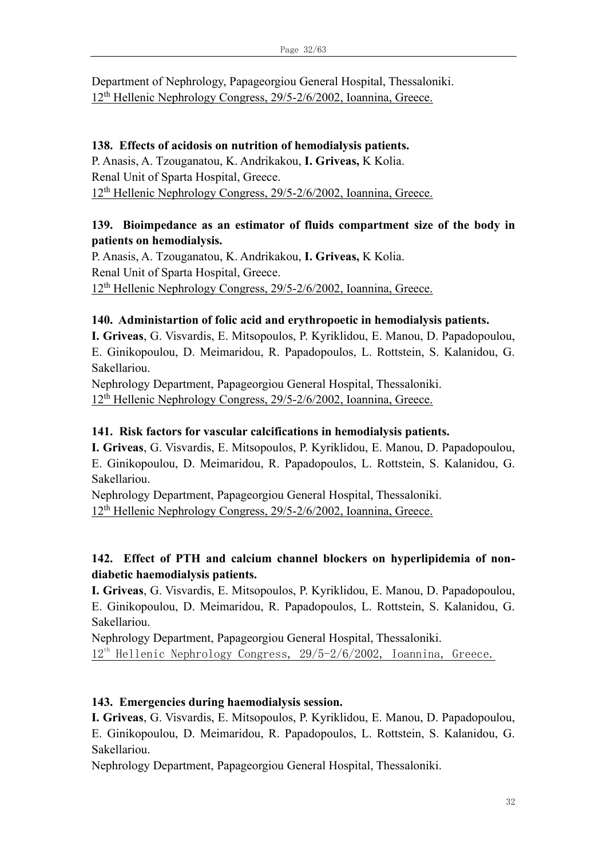Department of Nephrology, Papageorgiou General Hospital, Thessaloniki. 12th Hellenic Nephrology Congress, 29/5-2/6/2002, Ioannina, Greece.

#### **138. Effects of acidosis on nutrition of hemodialysis patients.**

P. Anasis, A. Tzouganatou, K. Andrikakou, **I. Griveas,** K Kolia. Renal Unit of Sparta Hospital, Greece. 12th Hellenic Nephrology Congress, 29/5-2/6/2002, Ioannina, Greece.

#### **139. Bioimpedance as an estimator of fluids compartment size of the body in patients on hemodialysis.**

P. Anasis, A. Tzouganatou, K. Andrikakou, **I. Griveas,** K Kolia. Renal Unit of Sparta Hospital, Greece.  $12<sup>th</sup>$  Hellenic Nephrology Congress, 29/5-2/6/2002, Ioannina, Greece.

#### **140. Administartion of folic acid and erythropoetic in hemodialysis patients.**

**I. Griveas**, G. Visvardis, E. Mitsopoulos, P. Kyriklidou, E. Manou, D. Papadopoulou, E. Ginikopoulou, D. Meimaridou, R. Papadopoulos, L. Rottstein, S. Kalanidou, G. Sakellariou.

Nephrology Department, Papageorgiou General Hospital, Thessaloniki. 12th Hellenic Nephrology Congress, 29/5-2/6/2002, Ioannina, Greece.

#### **141. Risk factors for vascular calcifications in hemodialysis patients.**

**I. Griveas**, G. Visvardis, E. Mitsopoulos, P. Kyriklidou, E. Manou, D. Papadopoulou, E. Ginikopoulou, D. Meimaridou, R. Papadopoulos, L. Rottstein, S. Kalanidou, G. Sakellariou.

Nephrology Department, Papageorgiou General Hospital, Thessaloniki. 12th Hellenic Nephrology Congress, 29/5-2/6/2002, Ioannina, Greece.

### **142. Effect of PTH and calcium channel blockers on hyperlipidemia of nondiabetic haemodialysis patients.**

**I. Griveas**, G. Visvardis, E. Mitsopoulos, P. Kyriklidou, E. Manou, D. Papadopoulou, E. Ginikopoulou, D. Meimaridou, R. Papadopoulos, L. Rottstein, S. Kalanidou, G. Sakellariou.

Nephrology Department, Papageorgiou General Hospital, Thessaloniki.  $12<sup>th</sup>$  Hellenic Nephrology Congress,  $29/5-2/6/2002$ , Ioannina, Greece.

#### **143. Emergencies during haemodialysis session.**

**I. Griveas**, G. Visvardis, E. Mitsopoulos, P. Kyriklidou, E. Manou, D. Papadopoulou, E. Ginikopoulou, D. Meimaridou, R. Papadopoulos, L. Rottstein, S. Kalanidou, G. Sakellariou.

Nephrology Department, Papageorgiou General Hospital, Thessaloniki.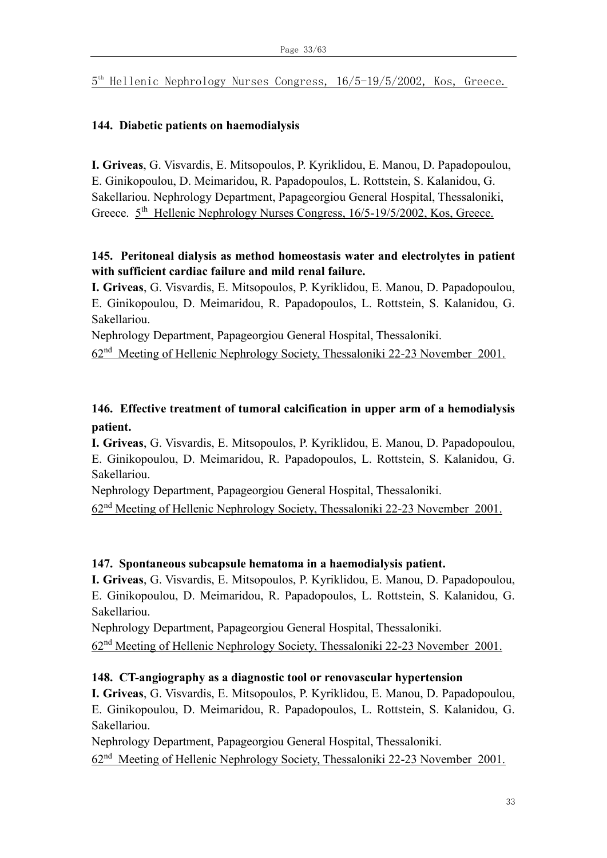5 th Hellenic Nephrology Nurses Congress, 16/5-19/5/2002, Kos, Greece.

### **144. Diabetic patients on haemodialysis**

**I. Griveas**, G. Visvardis, E. Mitsopoulos, P. Kyriklidou, E. Manou, D. Papadopoulou, E. Ginikopoulou, D. Meimaridou, R. Papadopoulos, L. Rottstein, S. Kalanidou, G. Sakellariou. Nephrology Department, Papageorgiou General Hospital, Thessaloniki, Greece.  $5<sup>th</sup>$  Hellenic Nephrology Nurses Congress, 16/5-19/5/2002, Kos, Greece.

# **145. Peritoneal dialysis as method homeostasis water and electrolytes in patient with sufficient cardiac failure and mild renal failure.**

**I. Griveas**, G. Visvardis, E. Mitsopoulos, P. Kyriklidou, E. Manou, D. Papadopoulou, E. Ginikopoulou, D. Meimaridou, R. Papadopoulos, L. Rottstein, S. Kalanidou, G. Sakellariou.

Nephrology Department, Papageorgiou General Hospital, Thessaloniki.

62<sup>nd</sup> Meeting of Hellenic Nephrology Society, Thessaloniki 22-23 November 2001.

# **146. Effective treatment of tumoral calcification in upper arm of a hemodialysis patient.**

**I. Griveas**, G. Visvardis, E. Mitsopoulos, P. Kyriklidou, E. Manou, D. Papadopoulou, E. Ginikopoulou, D. Meimaridou, R. Papadopoulos, L. Rottstein, S. Kalanidou, G. Sakellariou.

Nephrology Department, Papageorgiou General Hospital, Thessaloniki.

62nd Meeting of Hellenic Nephrology Society, Thessaloniki 22-23 November 2001.

#### **147. Spontaneous subcapsule hematoma in a haemodialysis patient.**

**I. Griveas**, G. Visvardis, E. Mitsopoulos, P. Kyriklidou, E. Manou, D. Papadopoulou, E. Ginikopoulou, D. Meimaridou, R. Papadopoulos, L. Rottstein, S. Kalanidou, G. Sakellariou.

Nephrology Department, Papageorgiou General Hospital, Thessaloniki.

62nd Meeting of Hellenic Nephrology Society, Thessaloniki 22-23 November 2001.

#### **148. CT-angiography as a diagnostic tool or renovascular hypertension**

**I. Griveas**, G. Visvardis, E. Mitsopoulos, P. Kyriklidou, E. Manou, D. Papadopoulou, E. Ginikopoulou, D. Meimaridou, R. Papadopoulos, L. Rottstein, S. Kalanidou, G. Sakellariou.

Nephrology Department, Papageorgiou General Hospital, Thessaloniki. 62<sup>nd</sup> Meeting of Hellenic Nephrology Society, Thessaloniki 22-23 November 2001.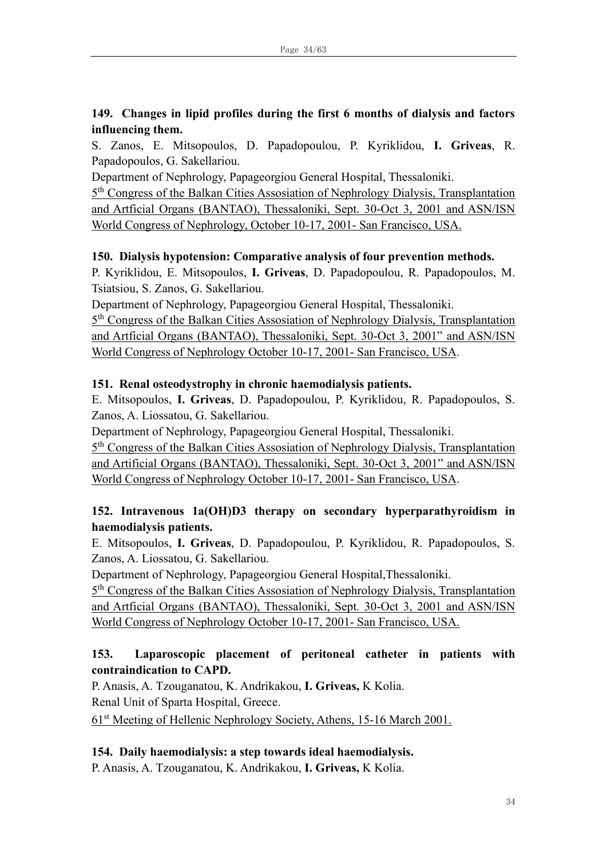# **149. Changes in lipid profiles during the first 6 months of dialysis and factors influencing them.**

S. Zanos, E. Mitsopoulos, D. Papadopoulou, P. Kyriklidou, **I. Griveas**, R. Papadopoulos, G. Sakellariou.

Department of Nephrology, Papageorgiou General Hospital, Thessaloniki.

<sup>5th</sup> Congress of the Balkan Cities Assosiation of Nephrology Dialysis, Transplantation and Artficial Organs (BANTAO), Thessaloniki, Sept. 30-Oct 3, 2001 and ASN/ISN World Congress of Nephrology, October 10-17, 2001- San Francisco, USA.

# **150. Dialysis hypotension: Comparative analysis of four prevention methods.**

P. Kyriklidou, E. Mitsopoulos, **I. Griveas**, D. Papadopoulou, R. Papadopoulos, M. Tsiatsiou, S. Zanos, G. Sakellariou.

Department of Nephrology, Papageorgiou General Hospital, Thessaloniki.

<sup>5th</sup> Congress of the Balkan Cities Assosiation of Nephrology Dialysis, Transplantation and Artficial Organs (BANTAO), Thessaloniki, Sept. 30-Oct 3, 2001" and ASN/ISN World Congress of Nephrology October 10-17, 2001- San Francisco, USA.

# **151. Renal osteodystrophy in chronic haemodialysis patients.**

E. Mitsopoulos, **I. Griveas**, D. Papadopoulou, P. Kyriklidou, R. Papadopoulos, S. Zanos, A. Liossatou, G. Sakellariou.

Department of Nephrology, Papageorgiou General Hospital, Thessaloniki.

<sup>5th</sup> Congress of the Balkan Cities Assosiation of Nephrology Dialysis, Transplantation and Artificial Organs (BANTAO), Thessaloniki, Sept. 30-Oct 3, 2001" and ASN/ISN World Congress of Nephrology October 10-17, 2001- San Francisco, USA.

# **152. Intravenous 1a(OH)D3 therapy on secondary hyperparathyroidism in haemodialysis patients.**

E. Mitsopoulos, **I. Griveas**, D. Papadopoulou, P. Kyriklidou, R. Papadopoulos, S. Zanos, A. Liossatou, G. Sakellariou.

Department of Nephrology, Papageorgiou General Hospital,Thessaloniki.

5<sup>th</sup> Congress of the Balkan Cities Assosiation of Nephrology Dialysis, Transplantation and Artficial Organs (BANTAO), Thessaloniki, Sept. 30-Oct 3, 2001 and ASN/ISN World Congress of Nephrology October 10-17, 2001- San Francisco, USA.

# **153. Laparoscopic placement of peritoneal catheter in patients with contraindication to CAPD.**

P. Anasis, A. Tzouganatou, K. Andrikakou, **I. Griveas,** K Kolia. Renal Unit of Sparta Hospital, Greece.

61st Meeting of Hellenic Nephrology Society, Athens, 15-16 March 2001.

# **154. Daily haemodialysis: a step towards ideal haemodialysis.**

P. Anasis, A. Tzouganatou, K. Andrikakou, **I. Griveas,** K Kolia.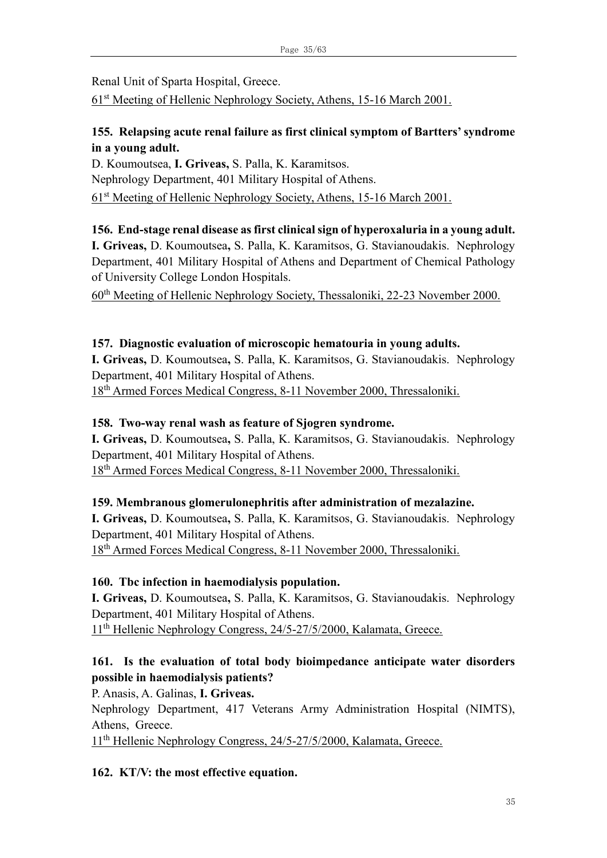Renal Unit of Sparta Hospital, Greece.

61st Meeting of Hellenic Nephrology Society, Athens, 15-16 March 2001.

# **155. Relapsing acute renal failure as first clinical symptom of Bartters' syndrome in a young adult.**

D. Koumoutsea, **I. Griveas,** S. Palla, K. Karamitsos. Nephrology Department, 401 Military Hospital of Athens. 61st Meeting of Hellenic Nephrology Society, Athens, 15-16 March 2001.

**156. End-stage renal disease as first clinical sign of hyperoxaluria in a young adult. I. Griveas,** D. Koumoutsea**,** S. Palla, K. Karamitsos, G. Stavianoudakis. Nephrology Department, 401 Military Hospital of Athens and Department of Chemical Pathology of University College London Hospitals.

60th Meeting of Hellenic Nephrology Society, Thessaloniki, 22-23 November 2000.

# **157. Diagnostic evaluation of microscopic hematouria in young adults.**

**I. Griveas,** D. Koumoutsea**,** S. Palla, K. Karamitsos, G. Stavianoudakis. Nephrology Department, 401 Military Hospital of Athens.

18th Armed Forces Medical Congress, 8-11 November 2000, Thressaloniki.

# **158. Two-way renal wash as feature of Sjogren syndrome.**

**I. Griveas,** D. Koumoutsea**,** S. Palla, K. Karamitsos, G. Stavianoudakis. Nephrology Department, 401 Military Hospital of Athens.

18th Armed Forces Medical Congress, 8-11 November 2000, Thressaloniki.

# **159. Membranous glomerulonephritis after administration of mezalazine.**

**I. Griveas,** D. Koumoutsea**,** S. Palla, K. Karamitsos, G. Stavianoudakis. Nephrology Department, 401 Military Hospital of Athens. 18th Armed Forces Medical Congress, 8-11 November 2000, Thressaloniki.

# **160. Tbc infection in haemodialysis population.**

**I. Griveas,** D. Koumoutsea**,** S. Palla, K. Karamitsos, G. Stavianoudakis. Nephrology Department, 401 Military Hospital of Athens. 11<sup>th</sup> Hellenic Nephrology Congress, 24/5-27/5/2000, Kalamata, Greece.

# **161. Is the evaluation of total body bioimpedance anticipate water disorders possible in haemodialysis patients?**

P. Anasis, A. Galinas, **I. Griveas.** 

Nephrology Department, 417 Veterans Army Administration Hospital (NIMTS), Athens, Greece.

11<sup>th</sup> Hellenic Nephrology Congress, 24/5-27/5/2000, Kalamata, Greece.

# **162. KT/V: the most effective equation.**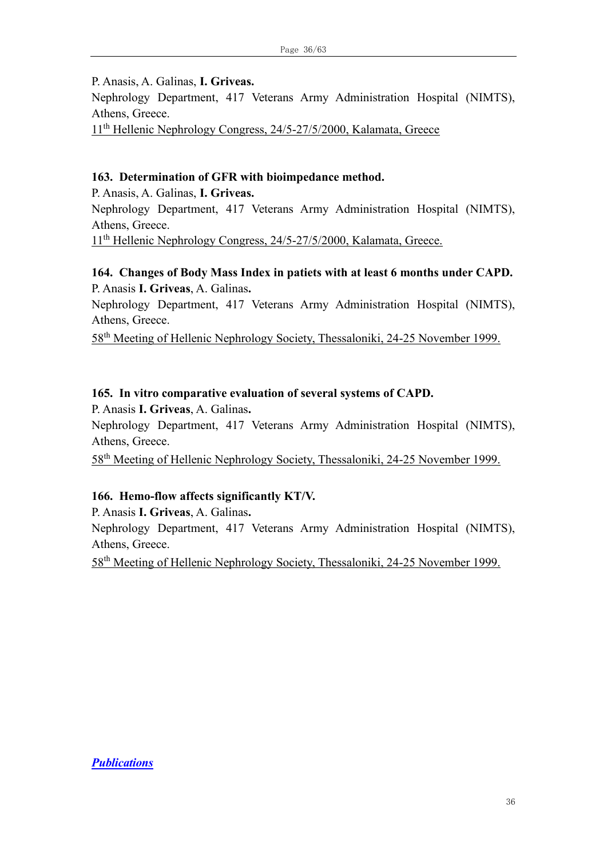P. Anasis, A. Galinas, **I. Griveas.** 

Nephrology Department, 417 Veterans Army Administration Hospital (NIMTS), Athens, Greece.

11th Hellenic Nephrology Congress, 24/5-27/5/2000, Kalamata, Greece

#### **163. Determination of GFR with bioimpedance method.**

P. Anasis, A. Galinas, **I. Griveas.**  Nephrology Department, 417 Veterans Army Administration Hospital (NIMTS), Athens, Greece. 11<sup>th</sup> Hellenic Nephrology Congress, 24/5-27/5/2000, Kalamata, Greece.

### **164. Changes of Body Mass Index in patiets with at least 6 months under CAPD.** P. Anasis **I. Griveas**, A. Galinas**.**

Nephrology Department, 417 Veterans Army Administration Hospital (NIMTS), Athens, Greece.

58th Meeting of Hellenic Nephrology Society, Thessaloniki, 24-25 November 1999.

#### **165. In vitro comparative evaluation of several systems of CAPD.**

P. Anasis **I. Griveas**, A. Galinas**.** 

Nephrology Department, 417 Veterans Army Administration Hospital (NIMTS), Athens, Greece.

58th Meeting of Hellenic Nephrology Society, Thessaloniki, 24-25 November 1999.

#### **166. Hemo-flow affects significantly KT/V.**

P. Anasis **I. Griveas**, A. Galinas**.** 

Nephrology Department, 417 Veterans Army Administration Hospital (NIMTS), Athens, Greece.

58th Meeting of Hellenic Nephrology Society, Thessaloniki, 24-25 November 1999.

*Publications*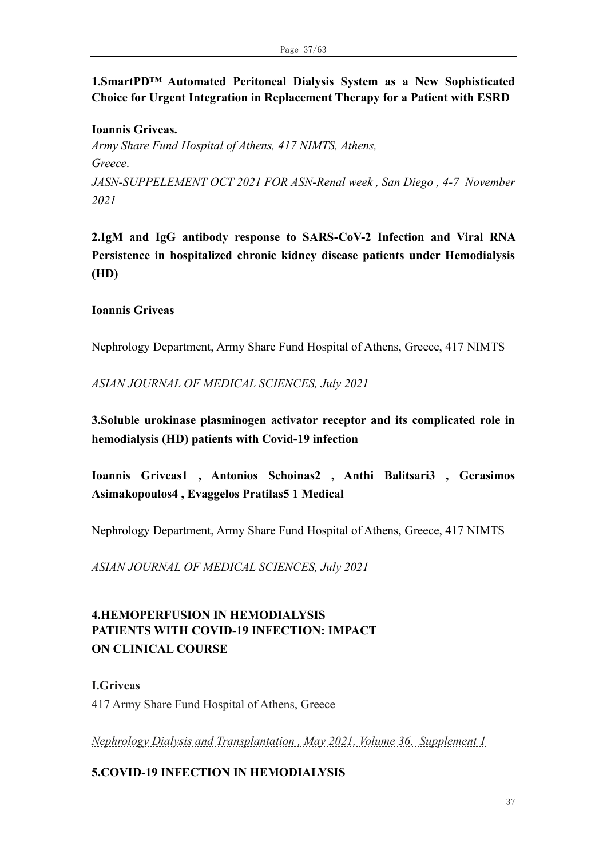# **1.SmartPD™ Automated Peritoneal Dialysis System as a New Sophisticated Choice for Urgent Integration in Replacement Therapy for a Patient with ESRD**

**Ioannis Griveas.**  *Army Share Fund Hospital of Athens, 417 NIMTS, Athens, Greece*. *JASN-SUPPELEMENT OCT 2021 FOR ASN-Renal week , San Diego , 4-7 November 2021*

**2.IgM and IgG antibody response to SARS-CoV-2 Infection and Viral RNA Persistence in hospitalized chronic kidney disease patients under Hemodialysis (HD)**

#### **Ioannis Griveas**

Nephrology Department, Army Share Fund Hospital of Athens, Greece, 417 NIMTS

*ASIAN JOURNAL OF MEDICAL SCIENCES, July 2021* 

**3.Soluble urokinase plasminogen activator receptor and its complicated role in hemodialysis (HD) patients with Covid-19 infection** 

**Ioannis Griveas1 , Antonios Schoinas2 , Anthi Balitsari3 , Gerasimos Asimakopoulos4 , Evaggelos Pratilas5 1 Medical** 

Nephrology Department, Army Share Fund Hospital of Athens, Greece, 417 NIMTS

*ASIAN JOURNAL OF MEDICAL SCIENCES, July 2021* 

# **4.HEMOPERFUSION IN HEMODIALYSIS PATIENTS WITH COVID-19 INFECTION: IMPACT ON CLINICAL COURSE**

**I.Griveas** 417 Army Share Fund Hospital of Athens, Greece

*Nephrology Dialysis and Transplantation , May 2021, Volume 36, Supplement 1*

#### **5.COVID-19 INFECTION IN HEMODIALYSIS**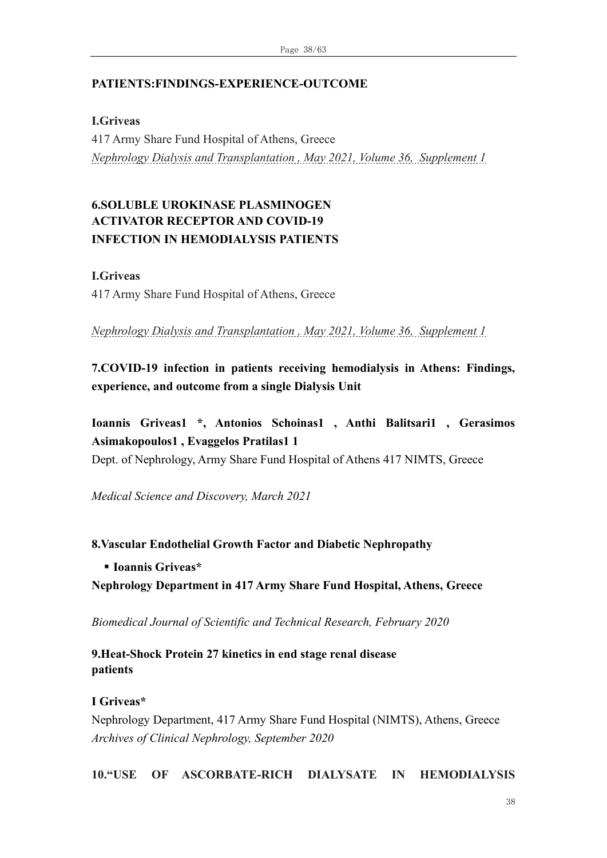### **PATIENTS:FINDINGS-EXPERIENCE-OUTCOME**

**I.Griveas**

417 Army Share Fund Hospital of Athens, Greece *Nephrology Dialysis and Transplantation , May 2021, Volume 36, Supplement 1*

# **6.SOLUBLE UROKINASE PLASMINOGEN ACTIVATOR RECEPTOR AND COVID-19 INFECTION IN HEMODIALYSIS PATIENTS**

**I.Griveas**

417 Army Share Fund Hospital of Athens, Greece

*Nephrology Dialysis and Transplantation , May 2021, Volume 36, Supplement 1*

**7.COVID-19 infection in patients receiving hemodialysis in Athens: Findings, experience, and outcome from a single Dialysis Unit** 

**Ioannis Griveas1 \*, Antonios Schoinas1 , Anthi Balitsari1 , Gerasimos Asimakopoulos1 , Evaggelos Pratilas1 1** 

Dept. of Nephrology, Army Share Fund Hospital of Athens 417 NIMTS, Greece

*Medical Science and Discovery, March 2021*

**8.Vascular Endothelial Growth Factor and Diabetic Nephropathy** 

▪ **Ioannis Griveas\*** 

**Nephrology Department in 417 Army Share Fund Hospital, Athens, Greece**

*Biomedical Journal of Scientific and Technical Research, February 2020*

**9.Heat-Shock Protein 27 kinetics in end stage renal disease patients**

**I Griveas\***

Nephrology Department, 417 Army Share Fund Hospital (NIMTS), Athens, Greece *Archives of Clinical Nephrology, September 2020*

**10."USE OF ASCORBATE-RICH DIALYSATE IN HEMODIALYSIS**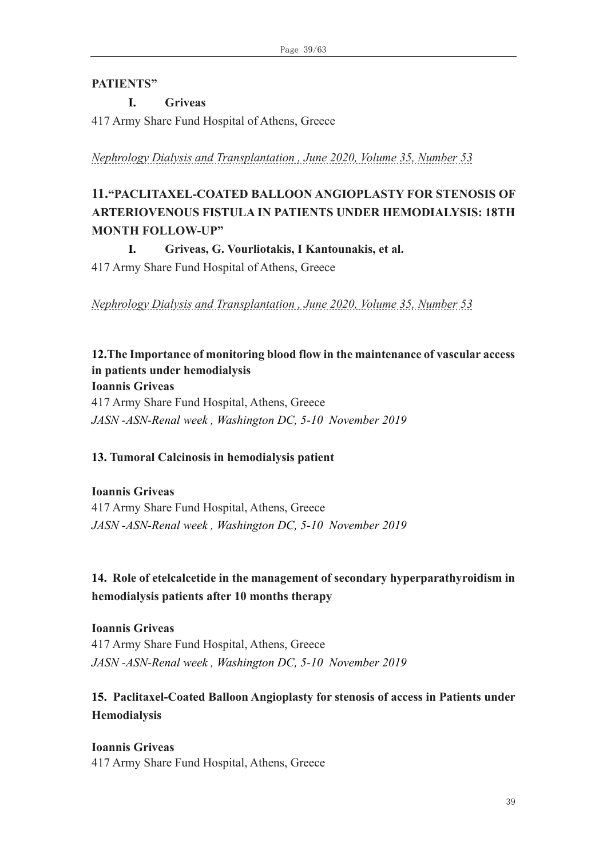### **PATIENTS"**

# **I. Griveas**

417 Army Share Fund Hospital of Athens, Greece

*Nephrology Dialysis and Transplantation , June 2020, Volume 35, Number 53*

# **11."PACLITAXEL-COATED BALLOON ANGIOPLASTY FOR STENOSIS OF ARTERIOVENOUS FISTULA IN PATIENTS UNDER HEMODIALYSIS: 18TH MONTH FOLLOW-UP"**

**I. Griveas, G. Vourliotakis, I Kantounakis, et al.** 

417 Army Share Fund Hospital of Athens, Greece

*Nephrology Dialysis and Transplantation , June 2020, Volume 35, Number 53*

# **12.The Importance of monitoring blood flow in the maintenance of vascular access in patients under hemodialysis Ioannis Griveas** 417 Army Share Fund Hospital, Athens, Greece

*JASN -ASN-Renal week , Washington DC, 5-10 November 2019*

# **13. Tumoral Calcinosis in hemodialysis patient**

**Ioannis Griveas** 417 Army Share Fund Hospital, Athens, Greece *JASN -ASN-Renal week , Washington DC, 5-10 November 2019*

# **14. Role of etelcalcetide in the management of secondary hyperparathyroidism in hemodialysis patients after 10 months therapy**

**Ioannis Griveas** 417 Army Share Fund Hospital, Athens, Greece *JASN -ASN-Renal week , Washington DC, 5-10 November 2019*

# **15. Paclitaxel-Coated Balloon Angioplasty for stenosis of access in Patients under Hemodialysis**

**Ioannis Griveas** 417 Army Share Fund Hospital, Athens, Greece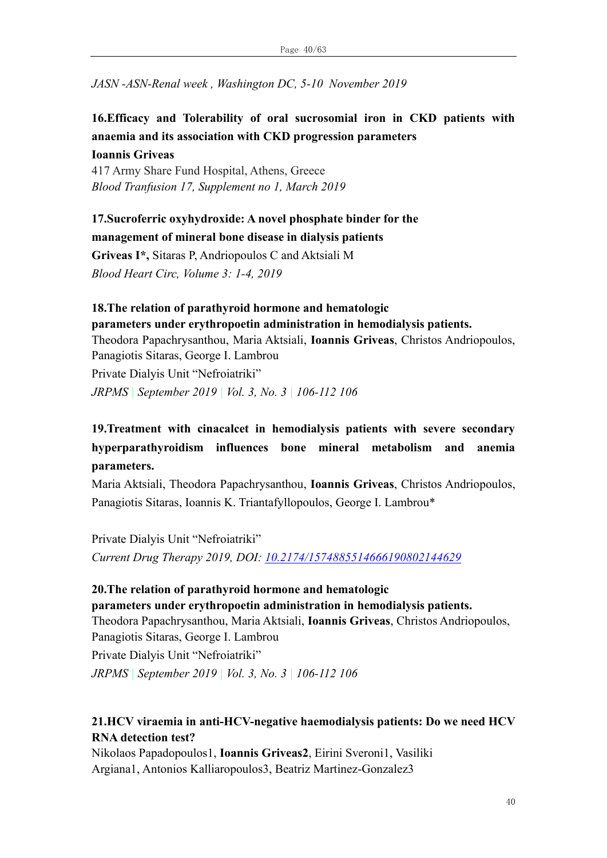*JASN -ASN-Renal week , Washington DC, 5-10 November 2019*

# **16.Efficacy and Tolerability of oral sucrosomial iron in CKD patients with anaemia and its association with CKD progression parameters Ioannis Griveas**

417 Army Share Fund Hospital, Athens, Greece *Blood Tranfusion 17, Supplement no 1, March 2019* 

### **17.Sucroferric oxyhydroxide: A novel phosphate binder for the management of mineral bone disease in dialysis patients**

**Griveas I\*,** Sitaras P, Andriopoulos C and Aktsiali M *Blood Heart Circ, Volume 3: 1-4, 2019*

# **18.The relation of parathyroid hormone and hematologic parameters under erythropoetin administration in hemodialysis patients.**

Theodora Papachrysanthou, Maria Aktsiali, **Ioannis Griveas**, Christos Andriopoulos, Panagiotis Sitaras, George I. Lambrou

Private Dialyis Unit "Nefroiatriki"

*JRPMS | September 2019 | Vol. 3, No. 3 | 106-112 106*

# **19.Treatment with cinacalcet in hemodialysis patients with severe secondary hyperparathyroidism influences bone mineral metabolism and anemia parameters.**

[Maria Aktsiali,](javascript:ShowAffiliation() [Theodora Papachrysanthou,](javascript:ShowAffiliation() **[Ioannis Griveas](javascript:ShowAffiliation()**, [Christos Andriopoulos,](javascript:ShowAffiliation() [Panagiotis Sitaras,](javascript:ShowAffiliation() [Ioannis K. Triantafyllopoulos,](javascript:ShowAffiliation() [George I. Lambrou\\*](javascript:ShowAffiliation()

Private Dialyis Unit "Nefroiatriki" *Current Drug Therapy 2019, DOI: [10.2174/1574885514666190802144629](https://doi.org/10.2174/1574885514666190802144629)*

# **20.The relation of parathyroid hormone and hematologic**

**parameters under erythropoetin administration in hemodialysis patients.**

Theodora Papachrysanthou, Maria Aktsiali, **Ioannis Griveas**, Christos Andriopoulos, Panagiotis Sitaras, George I. Lambrou

Private Dialyis Unit "Nefroiatriki"

*JRPMS | September 2019 | Vol. 3, No. 3 | 106-112 106*

# **21.HCV viraemia in anti-HCV-negative haemodialysis patients: Do we need HCV RNA detection test?**

Nikolaos Papadopoulos1, **Ioannis Griveas2**, Eirini Sveroni1, Vasiliki Argiana1, Antonios Kalliaropoulos3, Beatriz Martinez-Gonzalez3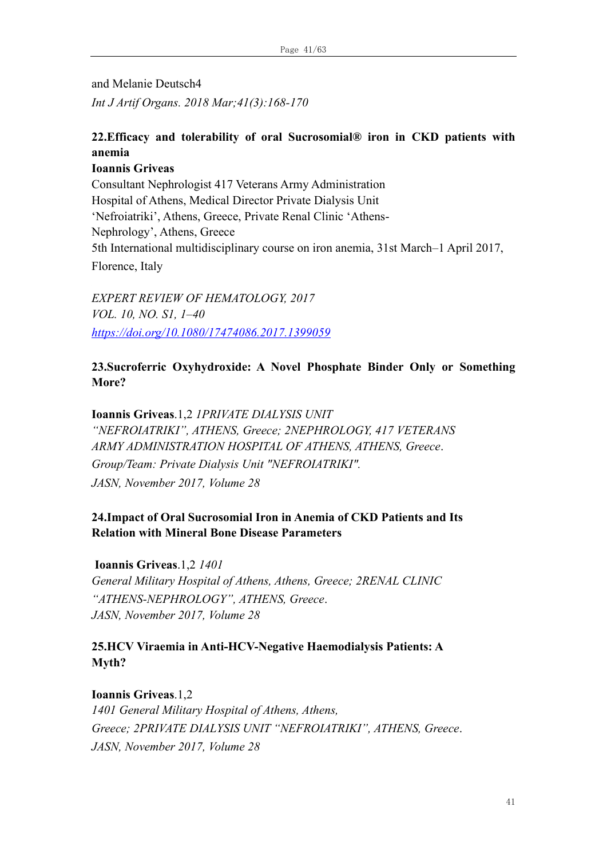and Melanie Deutsch4 *Int J Artif Organs. 2018 Mar;41(3):168-170*

### **22.Efficacy and tolerability of oral Sucrosomial® iron in CKD patients with anemia**

**Ioannis Griveas** Consultant Nephrologist 417 Veterans Army Administration Hospital of Athens, Medical Director Private Dialysis Unit 'Nefroiatriki', Athens, Greece, Private Renal Clinic 'Athens-Nephrology', Athens, Greece 5th International multidisciplinary course on iron anemia, 31st March–1 April 2017, Florence, Italy

*EXPERT REVIEW OF HEMATOLOGY, 2017 VOL. 10, NO. S1, 1–40 <https://doi.org/10.1080/17474086.2017.1399059>*

### **23.Sucroferric Oxyhydroxide: A Novel Phosphate Binder Only or Something More?**

**Ioannis Griveas**.1,2 *1PRIVATE DIALYSIS UNIT "NEFROIATRIKI", ATHENS, Greece; 2NEPHROLOGY, 417 VETERANS ARMY ADMINISTRATION HOSPITAL OF ATHENS, ATHENS, Greece*. *Group/Team: Private Dialysis Unit "NEFROIATRIKI". JASN, November 2017, Volume 28*

# **24.Impact of Oral Sucrosomial Iron in Anemia of CKD Patients and Its Relation with Mineral Bone Disease Parameters**

**Ioannis Griveas**.1,2 *1401 General Military Hospital of Athens, Athens, Greece; 2RENAL CLINIC "ATHENS-NEPHROLOGY", ATHENS, Greece*. *JASN, November 2017, Volume 28*

# **25.HCV Viraemia in Anti-HCV-Negative Haemodialysis Patients: A Myth?**

**Ioannis Griveas**.1,2 *1401 General Military Hospital of Athens, Athens, Greece; 2PRIVATE DIALYSIS UNIT "NEFROIATRIKI", ATHENS, Greece*. *JASN, November 2017, Volume 28*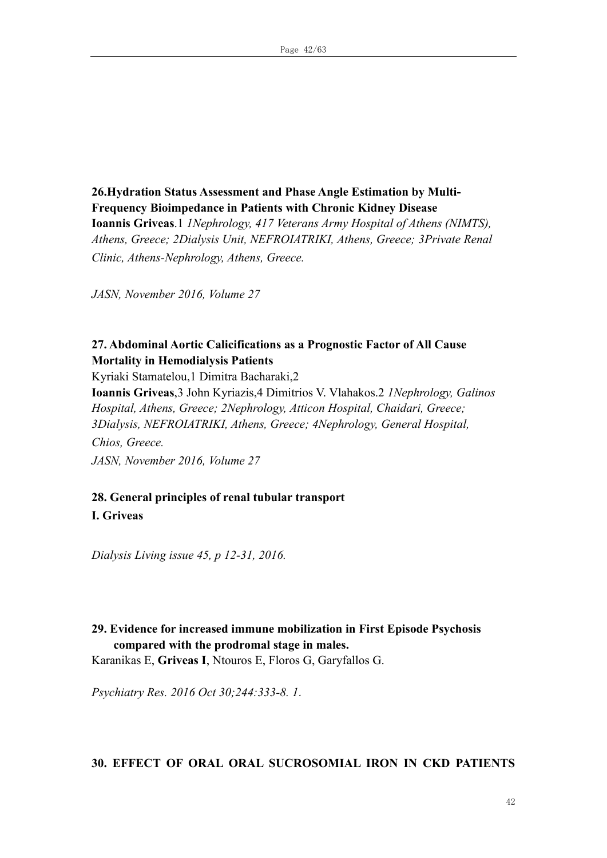**26.Hydration Status Assessment and Phase Angle Estimation by Multi-Frequency Bioimpedance in Patients with Chronic Kidney Disease Ioannis Griveas**.1 *1Nephrology, 417 Veterans Army Hospital of Athens (NIMTS), Athens, Greece; 2Dialysis Unit, NEFROIATRIKI, Athens, Greece; 3Private Renal Clinic, Athens-Nephrology, Athens, Greece.*

*JASN, November 2016, Volume 27*

### **27. Abdominal Aortic Calicifications as a Prognostic Factor of All Cause Mortality in Hemodialysis Patients**

Kyriaki Stamatelou,1 Dimitra Bacharaki,2

**Ioannis Griveas**,3 John Kyriazis,4 Dimitrios V. Vlahakos.2 *1Nephrology, Galinos Hospital, Athens, Greece; 2Nephrology, Atticon Hospital, Chaidari, Greece; 3Dialysis, NEFROIATRIKI, Athens, Greece; 4Nephrology, General Hospital, Chios, Greece. JASN, November 2016, Volume 27*

# **28. General principles of renal tubular transport**

**I. Griveas**

*Dialysis Living issue 45, p 12-31, 2016.*

# **29. Evidence for increased immune mobilization in First Episode Psychosis compared with the prodromal stage in males.**

[Karanikas E,](https://www.ncbi.nlm.nih.gov/pubmed/?term=Karanikas%20E%5BAuthor%5D&cauthor=true&cauthor_uid=27517343) **[Griveas I](https://www.ncbi.nlm.nih.gov/pubmed/?term=Griveas%20I%5BAuthor%5D&cauthor=true&cauthor_uid=27517343)**, [Ntouros E,](https://www.ncbi.nlm.nih.gov/pubmed/?term=Ntouros%20E%5BAuthor%5D&cauthor=true&cauthor_uid=27517343) [Floros G,](https://www.ncbi.nlm.nih.gov/pubmed/?term=Floros%20G%5BAuthor%5D&cauthor=true&cauthor_uid=27517343) [Garyfallos G.](https://www.ncbi.nlm.nih.gov/pubmed/?term=Garyfallos%20G%5BAuthor%5D&cauthor=true&cauthor_uid=27517343)

*[Psychiatry Res.](https://www.ncbi.nlm.nih.gov/pubmed/27517343) 2016 Oct 30;244:333-8. 1*.

#### **30. EFFECT OF ORAL ORAL SUCROSOMIAL IRON IN CKD PATIENTS**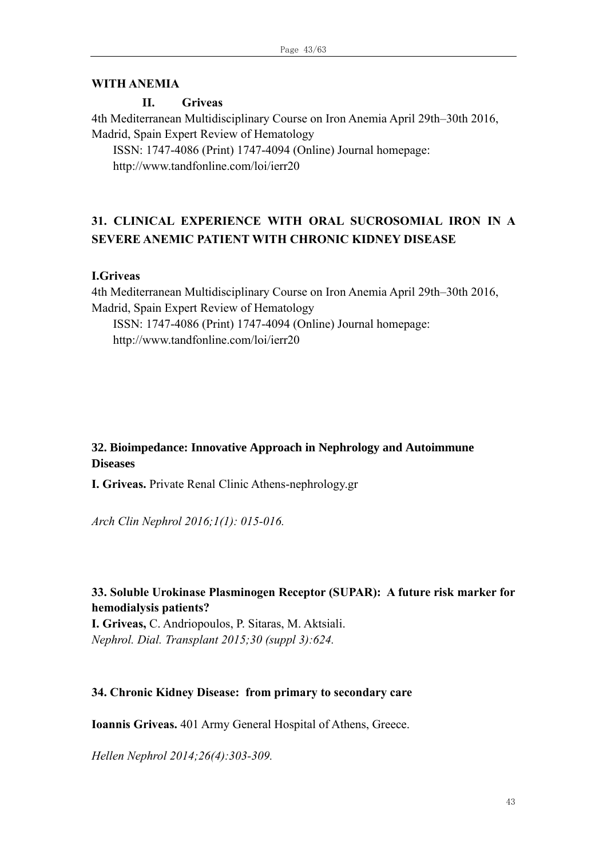#### **WITH ANEMIA**

#### **II. Griveas**

4th Mediterranean Multidisciplinary Course on Iron Anemia April 29th–30th 2016, Madrid, Spain Expert Review of Hematology

ISSN: 1747-4086 (Print) 1747-4094 (Online) Journal homepage: http://www.tandfonline.com/loi/ierr20

# **31. CLINICAL EXPERIENCE WITH ORAL SUCROSOMIAL IRON IN A SEVERE ANEMIC PATIENT WITH CHRONIC KIDNEY DISEASE**

#### **I.Griveas**

4th Mediterranean Multidisciplinary Course on Iron Anemia April 29th–30th 2016, Madrid, Spain Expert Review of Hematology

ISSN: 1747-4086 (Print) 1747-4094 (Online) Journal homepage: http://www.tandfonline.com/loi/ierr20

#### **32. Bioimpedance: Innovative Approach in Nephrology and Autoimmune Diseases**

**I. Griveas.** Private Renal Clinic Athens-nephrology.gr

*Arch Clin Nephrol 2016;1(1): 015-016.*

### **33. Soluble Urokinase Plasminogen Receptor (SUPAR): A future risk marker for hemodialysis patients?**

**I. Griveas,** C. Andriopoulos, P. Sitaras, M. Aktsiali. *Nephrol. Dial. Transplant 2015;30 (suppl 3):624.*

#### **34. Chronic Kidney Disease: from primary to secondary care**

**Ioannis Griveas.** 401 Army General Hospital of Athens, Greece.

*Hellen Nephrol 2014;26(4):303-309.*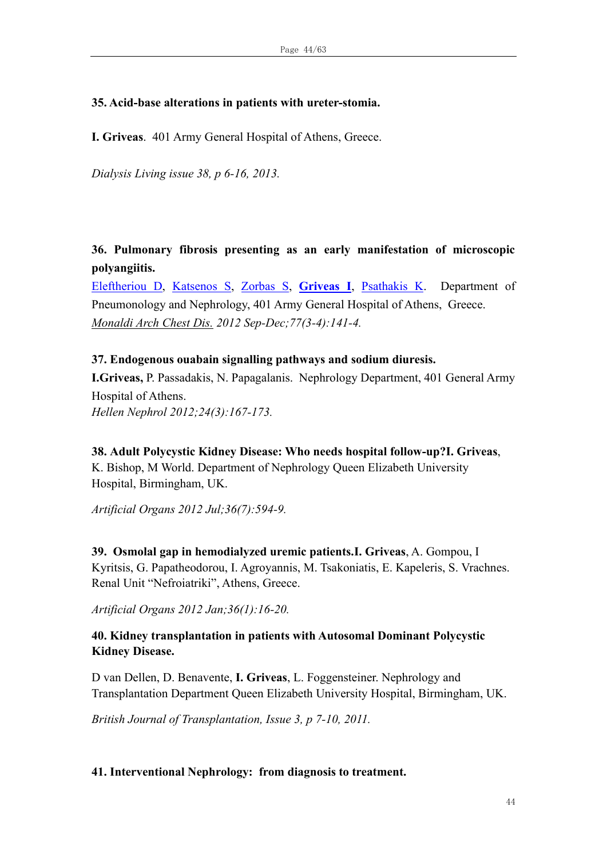#### **35. Acid-base alterations in patients with ureter-stomia.**

**Ι. Griveas**. 401 Army General Hospital of Athens, Greece.

*Dialysis Living issue 38, p 6-16, 2013.*

**36. Pulmonary fibrosis presenting as an early manifestation of microscopic polyangiitis.**

[Eleftheriou D,](http://www.ncbi.nlm.nih.gov/pubmed?term=Eleftheriou%20D%5BAuthor%5D&cauthor=true&cauthor_uid=23461252) [Katsenos S,](http://www.ncbi.nlm.nih.gov/pubmed?term=Katsenos%20S%5BAuthor%5D&cauthor=true&cauthor_uid=23461252) [Zorbas S,](http://www.ncbi.nlm.nih.gov/pubmed?term=Zorbas%20S%5BAuthor%5D&cauthor=true&cauthor_uid=23461252) **[Griveas I](http://www.ncbi.nlm.nih.gov/pubmed?term=Griveas%20I%5BAuthor%5D&cauthor=true&cauthor_uid=23461252)**, [Psathakis K.](http://www.ncbi.nlm.nih.gov/pubmed?term=Psathakis%20K%5BAuthor%5D&cauthor=true&cauthor_uid=23461252)Department of Pneumonology and Nephrology, 401 Army General Hospital of Athens, Greece. *[Monaldi Arch Chest Dis.](http://www.ncbi.nlm.nih.gov/pubmed/23461252) 2012 Sep-Dec;77(3-4):141-4.* 

#### **37. Endogenous ouabain signalling pathways and sodium diuresis.**

**I.Griveas,** P. Passadakis, N. Papagalanis. Nephrology Department, 401 General Army Hospital of Athens. *Hellen Nephrol 2012;24(3):167-173.*

**38. Αdult Polycystic Kidney Disease: Who needs hospital follow-up?I. Griveas**, K. Bishop, M World. Department of Nephrology Queen Elizabeth University Hospital, Birmingham, UK.

*Artificial Organs 2012 Jul;36(7):594-9.* 

**39. Osmolal gap in hemodialyzed uremic patients.I. Griveas**, A. Gompou, I Kyritsis, G. Papatheodorou, I. Agroyannis, M. Tsakoniatis, E. Kapeleris, S. Vrachnes. Renal Unit "Nefroiatriki", Athens, Greece.

*Artificial Organs 2012 Jan;36(1):16-20.* 

# **40. Kidney transplantation in patients with Autosomal Dominant Polycystic Kidney Disease.**

D van Dellen, D. Benavente, **I. Griveas**, L. Foggensteiner. Nephrology and Transplantation Department Queen Elizabeth University Hospital, Birmingham, UK.

*British Journal of Transplantation, Issue 3, p 7-10, 2011.* 

#### **41. Interventional Nephrology: from diagnosis to treatment.**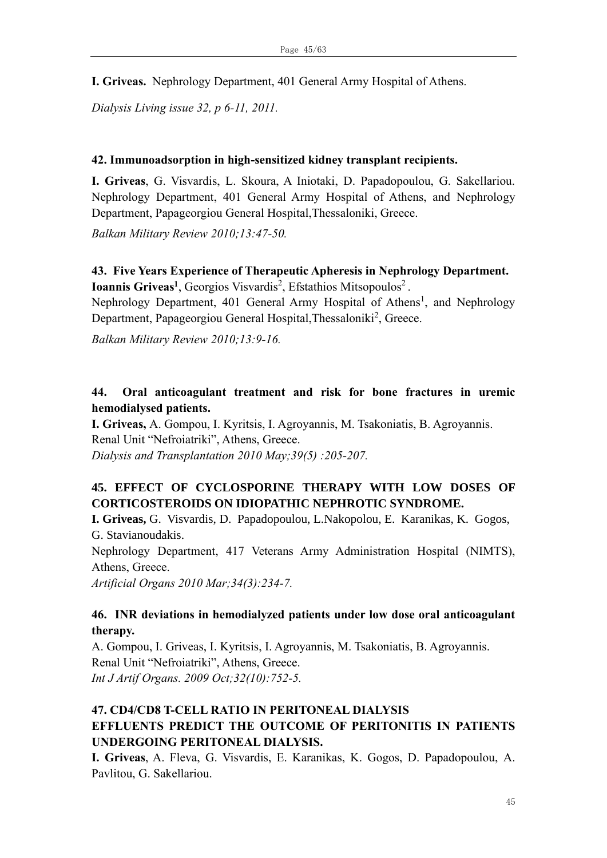**I. Griveas.** Nephrology Department, 401 General Army Hospital of Athens.

*Dialysis Living issue 32, p 6-11, 2011.*

#### **42. Immunoadsorption in high-sensitized kidney transplant recipients.**

**I. Griveas**, G. Visvardis, L. Skoura, A Iniotaki, D. Papadopoulou, G. Sakellariou. Nephrology Department, 401 General Army Hospital of Athens, and Nephrology Department, Papageorgiou General Hospital,Thessaloniki, Greece.

*Balkan Military Review 2010;13:47-50.* 

### **43. Five Years Experience of Therapeutic Apheresis in Nephrology Department. Ioannis Griveas<sup>1</sup>**, Georgios Visvardis<sup>2</sup>, Efstathios Mitsopoulos<sup>2</sup>.

Nephrology Department, 401 General Army Hospital of Athens<sup>1</sup>, and Nephrology Department, Papageorgiou General Hospital, Thessaloniki<sup>2</sup>, Greece.

*Balkan Military Review 2010;13:9-16.* 

#### **44. Oral anticoagulant treatment and risk for bone fractures in uremic hemodialysed patients.**

**I. Griveas,** A. Gompou, I. Kyritsis, I. Agroyannis, M. Tsakoniatis, B. Agroyannis. Renal Unit "Nefroiatriki", Athens, Greece. *Dialysis and Transplantation 2010 May;39(5) :205-207.*

# **45. EFFECT OF CYCLOSPORINE THERAPY WITH LOW DOSES OF CORTICOSTEROIDS ON IDIOPATHIC NEPHROTIC SYNDROME.**

**I. Griveas,** G. Visvardis, D. Papadopoulou, L.Nakopolou, E. Karanikas, K. Gogos, G. Stavianoudakis.

Nephrology Department, 417 Veterans Army Administration Hospital (NIMTS), Athens, Greece.

*Artificial Organs 2010 Mar;34(3):234-7.*

#### **46. INR deviations in hemodialyzed patients under low dose oral anticoagulant therapy.**

A. Gompou, I. Griveas, I. Kyritsis, I. Agroyannis, M. Tsakoniatis, B. Agroyannis. Renal Unit "Nefroiatriki", Athens, Greece. *[Int J Artif Organs.](javascript:AL_get(this,%20) 2009 Oct;32(10):752-5.*

# **47. CD4/CD8 T-CELL RATIO IN PERITONEAL DIALYSIS EFFLUENTS PREDICT THE OUTCOME OF PERITONITIS IN PATIENTS UNDERGOING PERITONEAL DIALYSIS.**

**I. Griveas**, A. Fleva, G. Visvardis, E. Karanikas, K. Gogos, D. Papadopoulou, Α. Pavlitou, G. Sakellariou.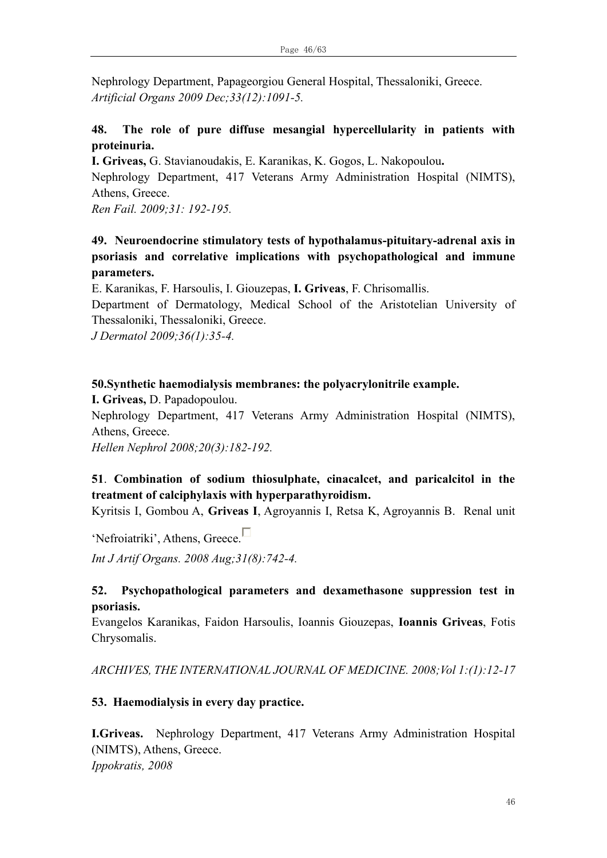Nephrology Department, Papageorgiou General Hospital, Thessaloniki, Greece. *Artificial Organs 2009 Dec;33(12):1091-5.*

### **48. The role of pure diffuse mesangial hypercellularity in patients with proteinuria.**

**I. Griveas,** G. Stavianoudakis, E. Karanikas, K. Gogos, L. Nakopoulou**.**

Nephrology Department, 417 Veterans Army Administration Hospital (NIMTS), Athens, Greece.

*[Ren Fail.](javascript:AL_get(this,%20) 2009;31: 192-195.*

# **49. Neuroendocrine stimulatory tests of hypothalamus-pituitary-adrenal axis in psoriasis and correlative implications with psychopathological and immune parameters.**

E. Karanikas, F. Harsoulis, I. Giouzepas, **I. Griveas**, F. Chrisomallis.

Department of Dermatology, Medical School of the Aristotelian University of Thessaloniki, Thessaloniki, Greece.

*J Dermatol 2009;36(1):35-4.*

#### **50.Synthetic haemodialysis membranes: the polyacrylonitrile example.**

**I. Griveas,** D. Papadopoulou.

Nephrology Department, 417 Veterans Army Administration Hospital (NIMTS), Athens, Greece.

*Hellen Nephrol 2008;20(3):182-192.*

# **51**. **Combination of sodium thiosulphate, cinacalcet, and paricalcitol in the treatment of calciphylaxis with hyperparathyroidism.**

[Kyritsis I, Gombou A,](http://www.ncbi.nlm.nih.gov/sites/entrez?Db=pubmed&Cmd=Search&Term=) **[Griveas I](http://www.ncbi.nlm.nih.gov/sites/entrez?Db=pubmed&Cmd=Search&Term=)**, [Agroyannis I, Retsa K, Agroyannis B.](http://www.ncbi.nlm.nih.gov/sites/entrez?Db=pubmed&Cmd=Search&Term=) Renal unit

'Nefroiatriki', Athens, Greece.

*[Int J Artif Organs.](javascript:AL_get(this,%20) 2008 Aug;31(8):742-4.*

#### **52. Psychopathological parameters and dexamethasone suppression test in psoriasis.**

Evangelos Karanikas, Faidon Harsoulis, Ioannis Giouzepas, **Ioannis Griveas**, Fotis Chrysomalis.

*ARCHIVES, THE INTERNATIONAL JOURNAL OF MEDICINE. 2008;Vol 1:(1):12-17*

#### **53. Haemodialysis in every day practice.**

**I.Griveas.** Nephrology Department, 417 Veterans Army Administration Hospital (NIMTS), Athens, Greece. *Ippokratis, 2008*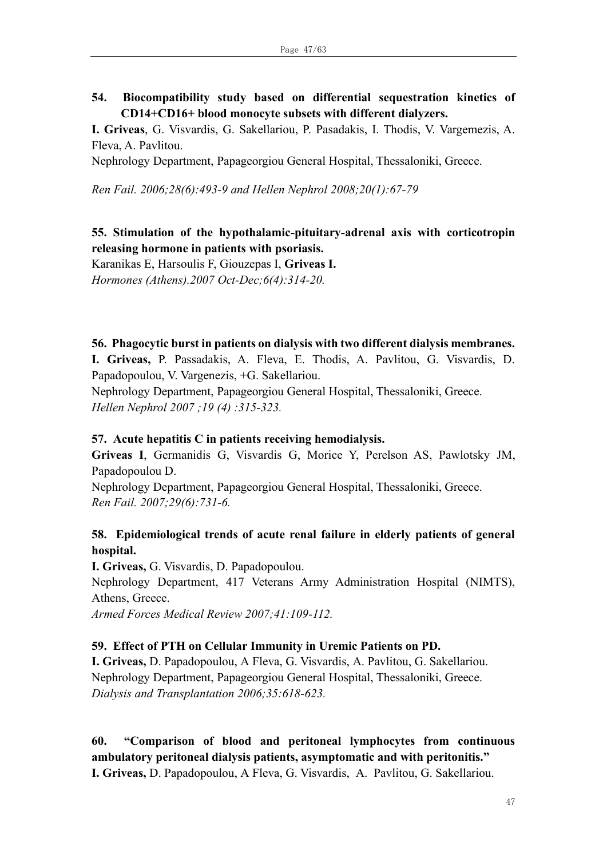### **54. Biocompatibility study based on differential sequestration kinetics of CD14+CD16+ blood monocyte subsets with different dialyzers.**

**Ι. Griveas**, G. Visvardis, G. Sakellariou, P. Pasadakis, I. Thodis, V. Vargemezis, A. Fleva, A. Pavlitou.

Nephrology Department, Papageorgiou General Hospital, Thessaloniki, Greece.

*Ren Fail. 2006;28(6):493-9 and Hellen Nephrol 2008;20(1):67-79*

#### **55. Stimulation of the hypothalamic-pituitary-adrenal axis with corticotropin releasing hormone in patients with psoriasis.**

[Karanikas E, Harsoulis F, Giouzepas I,](http://www.ncbi.nlm.nih.gov/sites/entrez?Db=pubmed&Cmd=Search&Term=) **[Griveas I.](http://www.ncbi.nlm.nih.gov/sites/entrez?Db=pubmed&Cmd=Search&Term=)** *[Hormones \(Athens\).2](javascript:AL_get(this,%20)007 Oct-Dec;6(4):314-20.*

#### **56. Phagocytic burst in patients on dialysis with two different dialysis membranes.**

**I. Griveas,** P. Passadakis, A. Fleva, E. Thodis, A. Pavlitou, G. Visvardis, D. Papadopoulou, V. Vargenezis, +G. Sakellariou.

Nephrology Department, Papageorgiou General Hospital, Thessaloniki, Greece. *Hellen Nephrol 2007 ;19 (4) :315-323.*

#### **57. Acute hepatitis C in patients receiving hemodialysis.**

**[Griveas I](http://www.ncbi.nlm.nih.gov/sites/entrez?Db=pubmed&Cmd=Search&Term=)**, [Germanidis G,](http://www.ncbi.nlm.nih.gov/sites/entrez?Db=pubmed&Cmd=Search&Term=) [Visvardis G,](http://www.ncbi.nlm.nih.gov/sites/entrez?Db=pubmed&Cmd=Search&Term=) [Morice Y,](http://www.ncbi.nlm.nih.gov/sites/entrez?Db=pubmed&Cmd=Search&Term=) [Perelson AS,](http://www.ncbi.nlm.nih.gov/sites/entrez?Db=pubmed&Cmd=Search&Term=) [Pawlotsky JM,](http://www.ncbi.nlm.nih.gov/sites/entrez?Db=pubmed&Cmd=Search&Term=) [Papadopoulou D.](http://www.ncbi.nlm.nih.gov/sites/entrez?Db=pubmed&Cmd=Search&Term=)

Nephrology Department, Papageorgiou General Hospital, Thessaloniki, Greece. *[Ren Fail.](javascript:AL_get(this,%20) 2007;29(6):731-6.*

#### **58. Epidemiological trends of acute renal failure in elderly patients of general hospital.**

**I. Griveas,** G. Visvardis, D. Papadopoulou.

Nephrology Department, 417 Veterans Army Administration Hospital (NIMTS), Athens, Greece.

*Armed Forces Medical Review 2007;41:109-112.*

#### **59. Effect of PTH on Cellular Immunity in Uremic Patients on PD.**

**Ι. Griveas,** D. Papadopoulou, Α Fleva, G. Visvardis, Α. Pavlitou, G. Sakellariou. Nephrology Department, Papageorgiou General Hospital, Thessaloniki, Greece. *Dialysis and Transplantation 2006;35:618-623.*

# **60. "Comparison of blood and peritoneal lymphocytes from continuous ambulatory peritoneal dialysis patients, asymptomatic and with peritonitis."**

**I. Griveas,** D. Papadopoulou, Α Fleva, G. Visvardis, Α. Pavlitou, G. Sakellariou.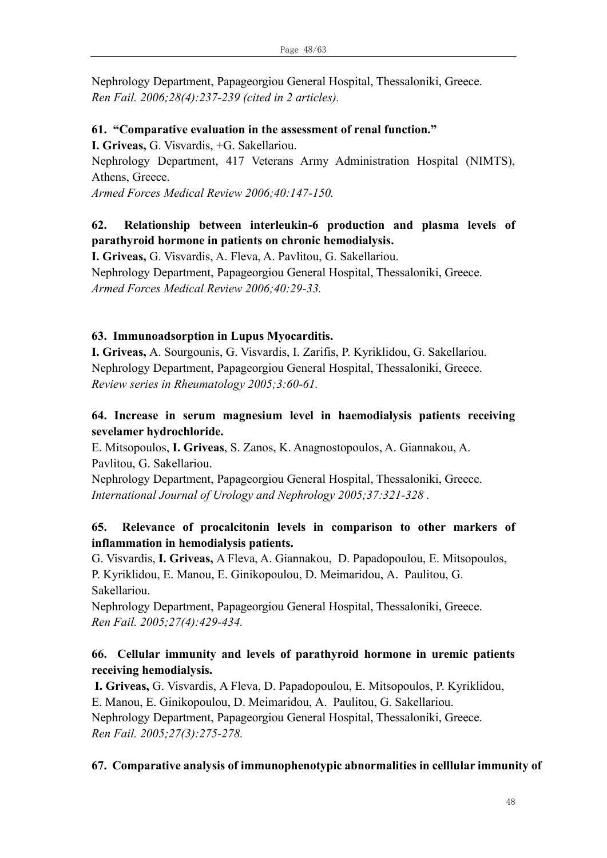Nephrology Department, Papageorgiou General Hospital, Thessaloniki, Greece. *Ren Fail. 2006;28(4):237-239 (cited in 2 articles).*

#### **61. "Comparative evaluation in the assessment of renal function."**

**I. Griveas,** G. Visvardis, +G. Sakellariou.

Nephrology Department, 417 Veterans Army Administration Hospital (NIMTS), Athens, Greece.

*Armed Forces Medical Review 2006;40:147-150.*

### **62. Relationship between interleukin-6 production and plasma levels of parathyroid hormone in patients on chronic hemodialysis.**

**I. Griveas,** G. Visvardis, A. Fleva, A. Pavlitou, G. Sakellariou. Nephrology Department, Papageorgiou General Hospital, Thessaloniki, Greece. *Armed Forces Medical Review 2006;40:29-33.*

#### **63. Ιmmunoadsorption in Lupus Myocarditis.**

**I. Griveas,** A. Sourgounis, G. Visvardis, I. Zarifis, P. Kyriklidou, G. Sakellariou. Nephrology Department, Papageorgiou General Hospital, Thessaloniki, Greece. *Review series in Rheumatology 2005;3:60-61.*

### **64. Increase in serum magnesium level in haemodialysis patients receiving sevelamer hydrochloride.**

E. Mitsopoulos, **I. Griveas**, S. Zanos, K. Anagnostopoulos, A. Giannakou, A. Pavlitou, G. Sakellariou.

Nephrology Department, Papageorgiou General Hospital, Thessaloniki, Greece. *International Journal of Urology and Nephrology 2005;37:321-328 .*

### **65. Relevance of procalcitonin levels in comparison to other markers of inflammation in hemodialysis patients.**

G. Visvardis, **I. Griveas,** Α Fleva, A. Giannakou, D. Papadopoulou, Ε. Μitsopoulos, P. Kyriklidou, Ε. Μanou, Ε. Ginikopoulou, D. Meimaridou, Α. Paulitou, G. Sakellariou.

Nephrology Department, Papageorgiou General Hospital, Thessaloniki, Greece. *Ren Fail. 2005;27(4):429-434.*

### **66. Cellular immunity and levels of parathyroid hormone in uremic patients receiving hemodialysis.**

**I. Griveas,** G. Visvardis, Α Fleva, D. Papadopoulou, Ε. Μitsopoulos, P. Kyriklidou, Ε. Μanou, Ε. Ginikopoulou, D. Meimaridou, Α. Paulitou, G. Sakellariou. Nephrology Department, Papageorgiou General Hospital, Thessaloniki, Greece. *Ren Fail. 2005;27(3):275-278.*

#### **67. Comparative analysis of immunophenotypic abnormalities in celllular immunity of**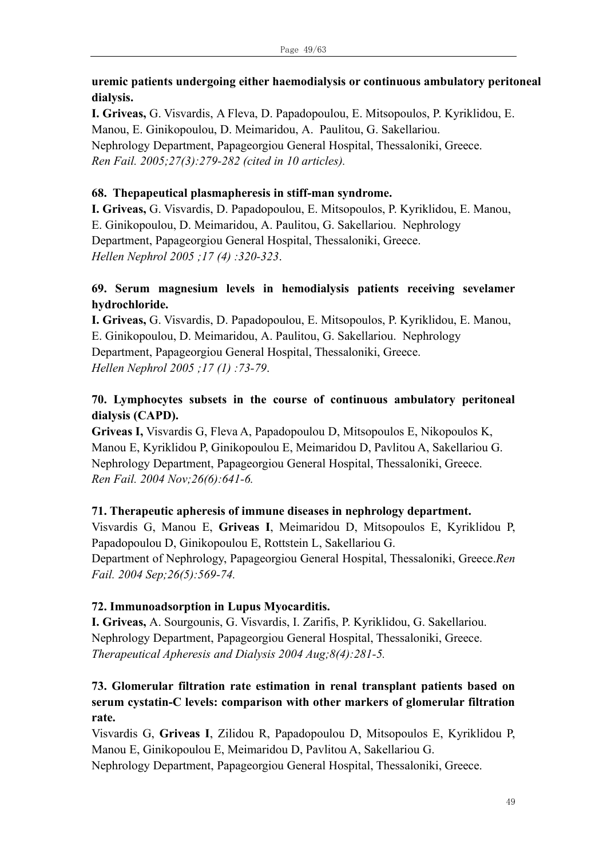### **uremic patients undergoing either haemodialysis or continuous ambulatory peritoneal dialysis.**

**I. Griveas,** G. Visvardis, Α Fleva, D. Papadopoulou, Ε. Μitsopoulos, P. Kyriklidou, Ε. Μanou, Ε. Ginikopoulou, D. Meimaridou, Α. Paulitou, G. Sakellariou. Nephrology Department, Papageorgiou General Hospital, Thessaloniki, Greece. *Ren Fail. 2005;27(3):279-282 (cited in 10 articles).*

### **68. Thepapeutical plasmapheresis in stiff-man syndrome.**

**I. Griveas,** G. Visvardis, D. Papadopoulou, Ε. Μitsopoulos, P. Kyriklidou, Ε. Μanou, Ε. Ginikopoulou, D. Meimaridou, Α. Paulitou, G. Sakellariou. Nephrology Department, Papageorgiou General Hospital, Thessaloniki, Greece. *Hellen Nephrol 2005 ;17 (4) :320-323*.

# **69. Serum magnesium levels in hemodialysis patients receiving sevelamer hydrochloride.**

**I. Griveas,** G. Visvardis, D. Papadopoulou, Ε. Μitsopoulos, P. Kyriklidou, Ε. Μanou, Ε. Ginikopoulou, D. Meimaridou, Α. Paulitou, G. Sakellariou. Nephrology Department, Papageorgiou General Hospital, Thessaloniki, Greece. *Hellen Nephrol 2005 ;17 (1) :73-79*.

# **70. Lymphocytes subsets in the course of continuous ambulatory peritoneal dialysis (CAPD).**

**Griveas I,** Visvardis G, Fleva A, Papadopoulou D, Mitsopoulos E, Nikopoulos K, Manou E, Kyriklidou P, Ginikopoulou E, Meimaridou D, Pavlitou A, Sakellariou G. Nephrology Department, Papageorgiou General Hospital, Thessaloniki, Greece. *Ren Fail. 2004 Nov;26(6):641-6.*

# **71. Therapeutic apheresis of immune diseases in nephrology department.**

Visvardis G, Manou E, **Griveas I**, Meimaridou D, Mitsopoulos E, Kyriklidou P, Papadopoulou D, Ginikopoulou E, Rottstein L, Sakellariou G. Department of Nephrology, Papageorgiou General Hospital, Thessaloniki, Greece.*Ren Fail. 2004 Sep;26(5):569-74.*

#### **72. Ιmmunoadsorption in Lupus Myocarditis.**

**I. Griveas,** A. Sourgounis, G. Visvardis, I. Zarifis, P. Kyriklidou, G. Sakellariou. Nephrology Department, Papageorgiou General Hospital, Thessaloniki, Greece. *Therapeutical Apheresis and Dialysis 2004 Aug;8(4):281-5.*

# **73. Glomerular filtration rate estimation in renal transplant patients based on serum cystatin-C levels: comparison with other markers of glomerular filtration rate.**

Visvardis G, **Griveas I**, Zilidou R, Papadopoulou D, Mitsopoulos E, Kyriklidou P, Manou E, Ginikopoulou E, Meimaridou D, Pavlitou A, Sakellariou G. Nephrology Department, Papageorgiou General Hospital, Thessaloniki, Greece.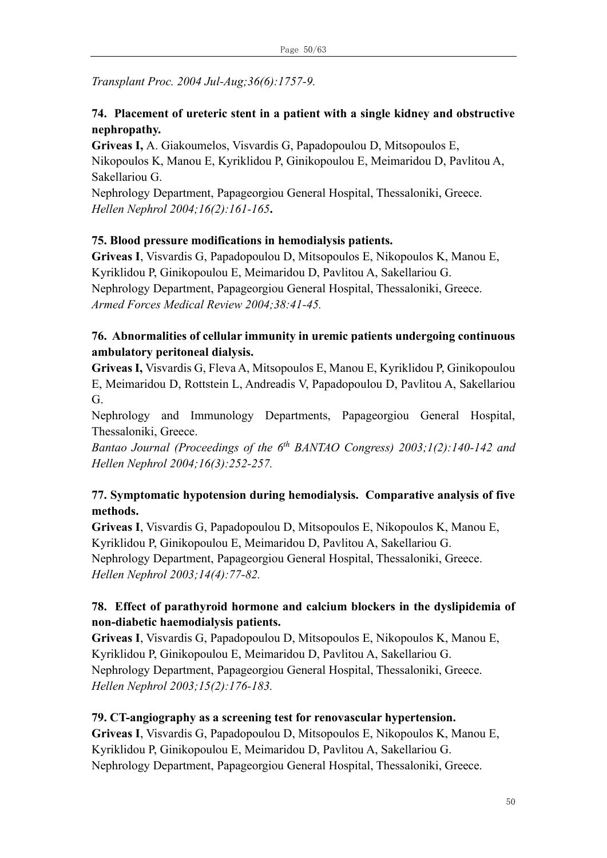*Transplant Proc. 2004 Jul-Aug;36(6):1757-9.*

# **74. Placement of ureteric stent in a patient with a single kidney and obstructive nephropathy.**

**Griveas I,** A. Giakoumelos, Visvardis G, Papadopoulou D, Mitsopoulos E, Nikopoulos K, Manou E, Kyriklidou P, Ginikopoulou E, Meimaridou D, Pavlitou A, Sakellariou G.

Nephrology Department, Papageorgiou General Hospital, Thessaloniki, Greece. *Hellen Nephrol 2004;16(2):161-165***.** 

# **75. Blood pressure modifications in hemodialysis patients.**

**Griveas I**, Visvardis G, Papadopoulou D, Mitsopoulos E, Nikopoulos K, Manou E, Kyriklidou P, Ginikopoulou E, Meimaridou D, Pavlitou A, Sakellariou G. Nephrology Department, Papageorgiou General Hospital, Thessaloniki, Greece. *Armed Forces Medical Review 2004;38:41-45.*

# **76. Abnormalities of cellular immunity in uremic patients undergoing continuous ambulatory peritoneal dialysis.**

**Griveas I,** Visvardis G, Fleva A, Mitsopoulos E, Manou E, Kyriklidou P, Ginikopoulou E, Meimaridou D, Rottstein L, Andreadis V, Papadopoulou D, Pavlitou A, Sakellariou G.

Nephrology and Immunology Departments, Papageorgiou General Hospital, Thessaloniki, Greece.

*Bantao Journal (Proceedings of the 6th BANTAO Congress) 2003;1(2):140-142 and Hellen Nephrol 2004;16(3):252-257.*

# **77. Symptomatic hypotension during hemodialysis. Comparative analysis of five methods.**

**Griveas I**, Visvardis G, Papadopoulou D, Mitsopoulos E, Nikopoulos K, Manou E, Kyriklidou P, Ginikopoulou E, Meimaridou D, Pavlitou A, Sakellariou G. Nephrology Department, Papageorgiou General Hospital, Thessaloniki, Greece. *Hellen Nephrol 2003;14(4):77-82.*

# **78. Effect of parathyroid hormone and calcium blockers in the dyslipidemia of non-diabetic haemodialysis patients.**

**Griveas I**, Visvardis G, Papadopoulou D, Mitsopoulos E, Nikopoulos K, Manou E, Kyriklidou P, Ginikopoulou E, Meimaridou D, Pavlitou A, Sakellariou G. Nephrology Department, Papageorgiou General Hospital, Thessaloniki, Greece. *Hellen Nephrol 2003;15(2):176-183.*

# **79. CT-angiography as a screening test for renovascular hypertension.**

**Griveas I**, Visvardis G, Papadopoulou D, Mitsopoulos E, Nikopoulos K, Manou E, Kyriklidou P, Ginikopoulou E, Meimaridou D, Pavlitou A, Sakellariou G. Nephrology Department, Papageorgiou General Hospital, Thessaloniki, Greece.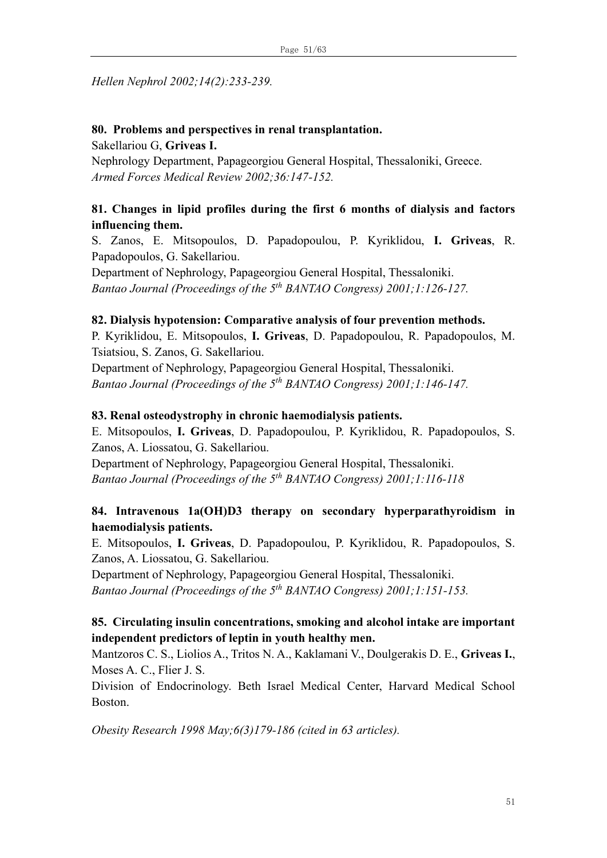#### *Hellen Nephrol 2002;14(2):233-239.*

# **80. Problems and perspectives in renal transplantation.**

Sakellariou G, **Griveas I.** 

Nephrology Department, Papageorgiou General Hospital, Thessaloniki, Greece. *Armed Forces Medical Review 2002;36:147-152.*

### **81. Changes in lipid profiles during the first 6 months of dialysis and factors influencing them.**

S. Zanos, E. Mitsopoulos, D. Papadopoulou, P. Kyriklidou, **I. Griveas**, R. Papadopoulos, G. Sakellariou.

Department of Nephrology, Papageorgiou General Hospital, Thessaloniki. *Bantao Journal (Proceedings of the 5th BANTAO Congress) 2001;1:126-127.*

#### **82. Dialysis hypotension: Comparative analysis of four prevention methods.**

P. Kyriklidou, E. Mitsopoulos, **I. Griveas**, D. Papadopoulou, R. Papadopoulos, M. Tsiatsiou, S. Zanos, G. Sakellariou.

Department of Nephrology, Papageorgiou General Hospital, Thessaloniki. *Bantao Journal (Proceedings of the 5th BANTAO Congress) 2001;1:146-147.*

#### **83. Renal osteodystrophy in chronic haemodialysis patients.**

E. Mitsopoulos, **I. Griveas**, D. Papadopoulou, P. Kyriklidou, R. Papadopoulos, S. Zanos, A. Liossatou, G. Sakellariou.

Department of Nephrology, Papageorgiou General Hospital, Thessaloniki. *Bantao Journal (Proceedings of the 5th BANTAO Congress) 2001;1:116-118*

### **84. Intravenous 1a(OH)D3 therapy on secondary hyperparathyroidism in haemodialysis patients.**

E. Mitsopoulos, **I. Griveas**, D. Papadopoulou, P. Kyriklidou, R. Papadopoulos, S. Zanos, A. Liossatou, G. Sakellariou.

Department of Nephrology, Papageorgiou General Hospital, Thessaloniki. *Bantao Journal (Proceedings of the 5th BANTAO Congress) 2001;1:151-153.*

### **85. Circulating insulin concentrations, smoking and alcohol intake are important independent predictors of leptin in youth healthy men.**

Mantzoros C. S., Liolios A., Tritos N. A., Kaklamani V., Doulgerakis D. E., **Griveas I.**, Moses A. C., Flier J. S.

Division of Endocrinology. Beth Israel Medical Center, Harvard Medical School Boston.

*Obesity Research 1998 May;6(3)179-186 (cited in 63 articles).*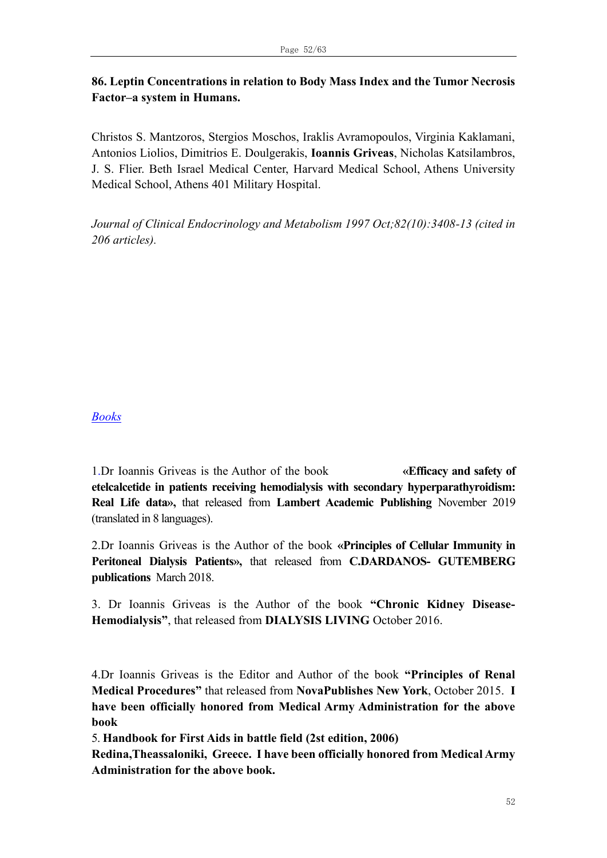### **86. Leptin Concentrations in relation to Body Mass Index and the Tumor Necrosis Factor–a system in Humans.**

Christos S. Mantzoros, Stergios Moschos, Iraklis Avramopoulos, Virginia Kaklamani, Antonios Liolios, Dimitrios E. Doulgerakis, **Ioannis Griveas**, Nicholas Katsilambros, J. S. Flier. Beth Israel Medical Center, Harvard Medical School, Athens University Medical School, Athens 401 Military Hospital.

*Journal of Clinical Endocrinology and Metabolism 1997 Oct;82(10):3408-13 (cited in 206 articles).*

#### *Books*

1.Dr Ioannis Griveas is the Author of the book **«Efficacy and safety of etelcalcetide in patients receiving hemodialysis with secondary hyperparathyroidism: Real Life data»,** that released from **Lambert Academic Publishing** November 2019 (translated in 8 languages).

2.Dr Ioannis Griveas is the Author of the book **«Principles of Cellular Immunity in Peritoneal Dialysis Patients»,** that released from **C.DARDANOS- GUTEMBERG publications** March 2018.

3. Dr Ioannis Griveas is the Author of the book **"Chronic Kidney Disease-Hemodialysis"**, that released from **DIALYSIS LIVING** October 2016.

4.Dr Ioannis Griveas is the Editor and Author of the book **"Principles of Renal Medical Procedures"** that released from **NovaPublishes New York**, October 2015. **I have been officially honored from Medical Army Administration for the above book**

5. **Handbook for First Aids in battle field (2st edition, 2006)**

**Redina,Theassaloniki, Greece. I have been officially honored from Medical Army Administration for the above book.**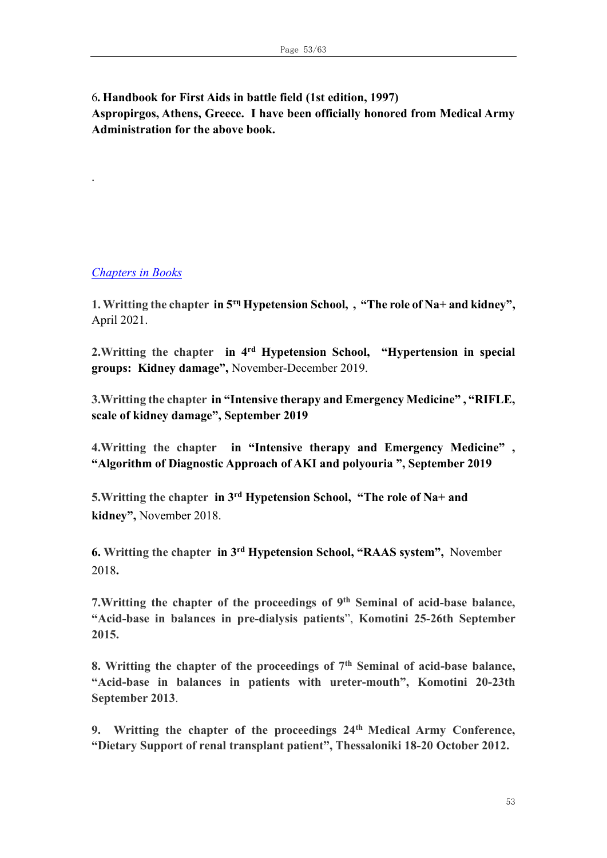6**. Handbook for First Aids in battle field (1st edition, 1997) Aspropirgos, Athens, Greece. I have been officially honored from Medical Army Administration for the above book.** 

#### *Chapters in Books*

.

**1. Writting the chapter in 5τη Hypetension School, , "The role of Na+ and kidney",**  April 2021.

**2.Writting the chapter in 4rd Hypetension School, "Hypertension in special groups: Kidney damage",** November-December 2019.

**3.Writting the chapter in "Intensive therapy and Emergency Medicine" , "RIFLE, scale of kidney damage", September 2019**

**4.Writting the chapter in "Intensive therapy and Emergency Medicine" , "Algorithm of Diagnostic Approach of AKI and polyouria ", September 2019**

**5.Writting the chapter in 3 rd Hypetension School, "The role of Na+ and kidney",** November 2018.

**6. Writting the chapter in 3 rd Hypetension School, "RAAS system",** November 2018**.**

7. Writting the chapter of the proceedings of 9<sup>th</sup> Seminal of acid-base balance, **"Acid-base in balances in pre-dialysis patients**", **Komotini 25-26th September 2015.**

**8. Writting the chapter of the proceedings of 7th Seminal of acid-base balance, "Acid-base in balances in patients with ureter-mouth", Komotini 20-23th September 2013**.

**9. Writting the chapter of the proceedings 24th Medical Army Conference, "Dietary Support of renal transplant patient", Thessaloniki 18-20 October 2012.**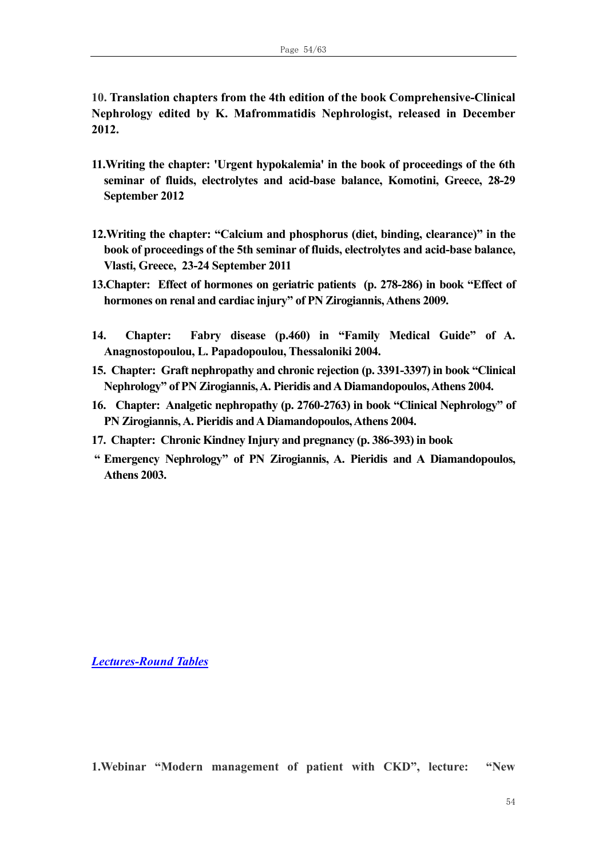**10. Translation chapters from the 4th edition of the book Comprehensive-Clinical Nephrology edited by K. Mafrommatidis Nephrologist, released in December 2012.**

- **11.Writing the chapter: 'Urgent hypokalemia' in the book of proceedings of the 6th seminar of fluids, electrolytes and acid-base balance, Komotini, Greece, 28-29 September 2012**
- **12.Writing the chapter: "Calcium and phosphorus (diet, binding, clearance)" in the book of proceedings of the 5th seminar of fluids, electrolytes and acid-base balance, Vlasti, Greece, 23-24 September 2011**
- **13.Chapter: Effect of hormones on geriatric patients (p. 278-286) in book "Effect of hormones on renal and cardiac injury" of PN Zirogiannis, Athens 2009.**
- **14. Chapter: Fabry disease (p.460) in "Family Medical Guide" of A. Anagnostopoulou, L. Papadopoulou, Thessaloniki 2004.**
- **15. Chapter: Graft nephropathy and chronic rejection (p. 3391-3397) in book "Clinical Nephrology" of PN Zirogiannis, A. Pieridis andA Diamandopoulos, Athens 2004.**
- **16. Chapter: Analgetic nephropathy (p. 2760-2763) in book "Clinical Nephrology" of PN Zirogiannis, A. Pieridis and A Diamandopoulos, Athens 2004.**
- **17. Chapter: Chronic Kindney Injury and pregnancy (p. 386-393) in book**
- **" Emergency Nephrology" of PN Zirogiannis, A. Pieridis and A Diamandopoulos, Athens 2003.**

*Lectures-Round Tables*

**1.Webinar "Modern management of patient with CKD", lecture: "New**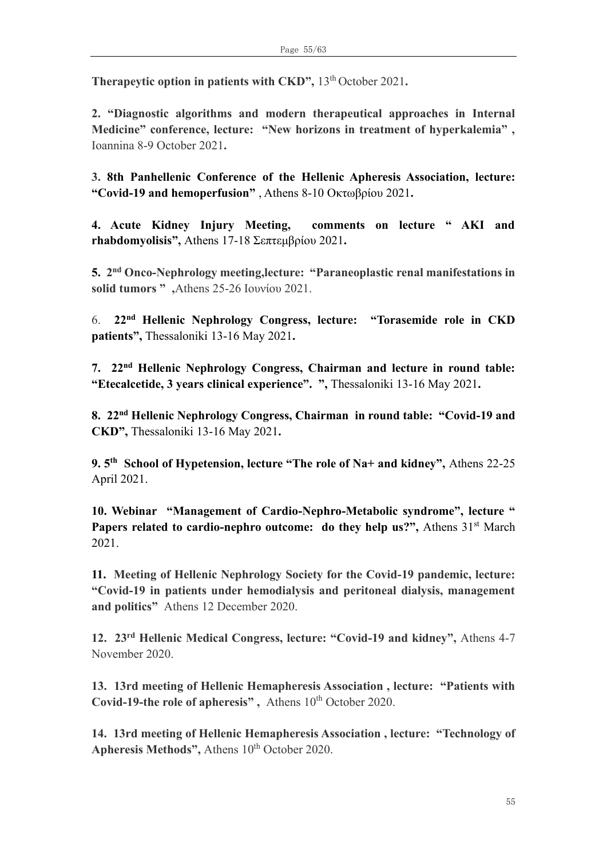**Therapeytic option in patients with CKD", 13<sup>th</sup> October 2021.** 

**2. "Diagnostic algorithms and modern therapeutical approaches in Internal Medicine" conference, lecture: "New horizons in treatment of hyperkalemia" ,**  Ioannina 8-9 October 2021**.** 

**3. 8th Panhellenic Conference of the Hellenic Apheresis Association, lecture: "Covid-19 and hemoperfusion"** , Athens 8-10 Οκτωβρίου 2021**.**

**4. Acute Kidney Injury Meeting, comments on lecture " AKI and rhabdomyolisis",** Athens 17-18 Σεπτεμβρίου 2021**.** 

**5.** 2<sup>nd</sup> Onco-Nephrology meeting, lecture: "Paraneoplastic renal manifestations in **solid tumors " ,**Athens 25-26 Iουνίου 2021.

6. **22nd Hellenic Nephrology Congress, lecture: "Torasemide role in CKD patients",** Thessaloniki 13-16 May 2021**.**

**7. 22nd Hellenic Nephrology Congress, Chairman and lecture in round table: "Etecalcetide, 3 years clinical experience". ",** Thessaloniki 13-16 May 2021**.**

**8. 22nd Hellenic Nephrology Congress, Chairman in round table: "Covid-19 and CKD",** Thessaloniki 13-16 May 2021**.**

**9. 5 th School of Hypetension, lecture "The role of Na+ and kidney",** Athens 22-25 April 2021.

**10. Webinar "Management of Cardio-Nephro-Metabolic syndrome", lecture "**  Papers related to cardio-nephro outcome: do they help us?", Athens 31<sup>st</sup> March 2021.

**11. Meeting of Hellenic Nephrology Society for the Covid-19 pandemic, lecture: "Covid-19 in patients under hemodialysis and peritoneal dialysis, management and politics"** Athens 12 December 2020.

**12. 23rd Hellenic Medical Congress, lecture: "Covid-19 and kidney",** Athens 4-7 November 2020.

**13. 13rd meeting of Hellenic Hemapheresis Association , lecture: "Patients with**  Covid-19-the role of apheresis", Athens 10<sup>th</sup> October 2020.

**14. 13rd meeting of Hellenic Hemapheresis Association , lecture: "Technology of**  Apheresis Methods", Athens 10<sup>th</sup> October 2020.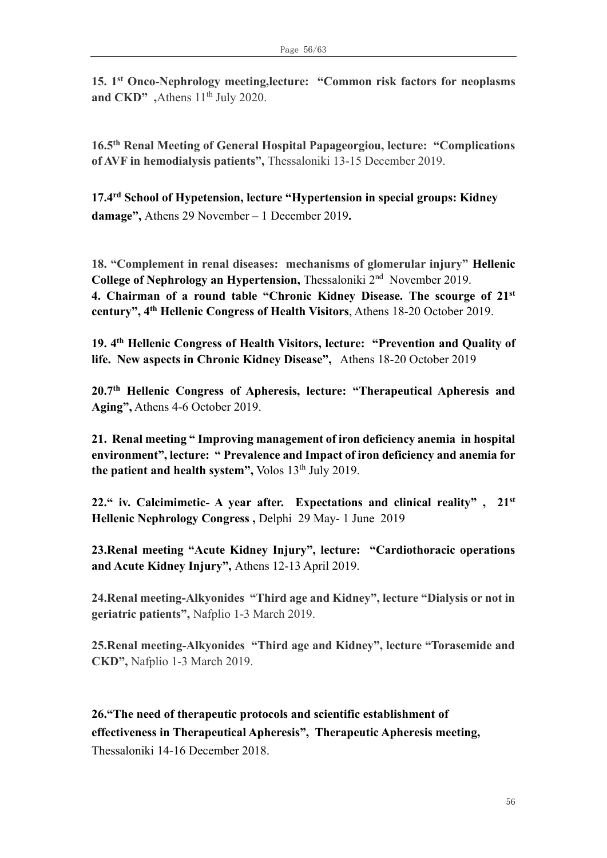**15. 1 st Onco-Nephrology meeting,lecture: "Common risk factors for neoplasms**  and CKD" ,Athens 11<sup>th</sup> July 2020.

**16.5th Renal Meeting of General Hospital Papageorgiou, lecture: "Complications of AVF in hemodialysis patients",** Thessaloniki 13-15 December 2019.

**17.4 rd School of Hypetension, lecture "Ηypertension in special groups: Kidney damage",** Athens 29 November – 1 December 2019**.**

**18. "Complement in renal diseases: mechanisms of glomerular injury" Hellenic**  College of Nephrology an Hypertension, Thessaloniki 2<sup>nd</sup> November 2019. **4. Chairman of a round table "Chronic Kidney Disease. Τhe scourge of 21st century", 4th Hellenic Congress of Health Visitors**, Athens 18-20 October 2019.

**19. 4th Hellenic Congress of Health Visitors, lecture: "Prevention and Quality of life. New aspects in Chronic Kidney Disease",** Athens 18-20 October 2019

**20.7th Hellenic Congress of Apheresis, lecture: "Therapeutical Apheresis and Aging",** Athens 4-6 October 2019.

**21. Renal meeting " Improving management of iron deficiency anemia in hospital environment", lecture: " Prevalence and Impact of iron deficiency and anemia for**  the patient and health system", Volos 13<sup>th</sup> July 2019.

**22." iv. Calcimimetic- A year after. Expectations and clinical reality" , 21st Hellenic Nephrology Congress ,** Delphi 29 May- 1 June 2019

**23.Renal meeting "Acute Kidney Injury", lecture: "Cardiothoracic operations and Acute Kidney Injury",** Athens 12-13 April 2019.

**24.Renal meeting-Alkyonides "Third age and Kidney", lecture "Dialysis or not in geriatric patients",** Nafplio 1-3 March 2019.

**25.Renal meeting-Alkyonides "Third age and Kidney", lecture "Torasemide and CKD",** Nafplio 1-3 March 2019.

**26."The need of therapeutic protocols and scientific establishment of effectiveness in Therapeutical Apheresis", Therapeutic Apheresis meeting,**  Thessaloniki 14-16 December 2018.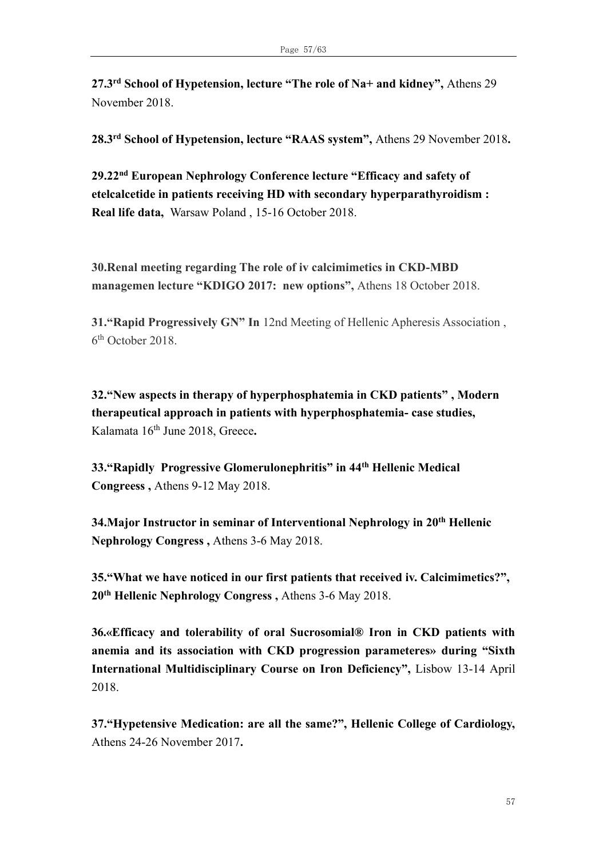**27.3 rd School of Hypetension, lecture "The role of Na+ and kidney",** Athens 29 November 2018.

**28.3 rd School of Hypetension, lecture "RAAS system",** Athens 29 November 2018**.**

**29.22nd European Nephrology Conference lecture "Efficacy and safety of etelcalcetide in patients receiving HD with secondary hyperparathyroidism : Real life data,** Warsaw Poland , 15-16 October 2018.

**30.Renal meeting regarding The role of iv calcimimetics in CKD-MBD managemen lecture "KDIGO 2017: new options",** Athens 18 October 2018.

**31."Rapid Progressively GN" In** 12nd Meeting of Hellenic Apheresis Association , 6 th October 2018.

**32."New aspects in therapy of hyperphosphatemia in CKD patients" , Modern therapeutical approach in patients with hyperphosphatemia- case studies,**  Kalamata 16th June 2018, Greece**.**

**33."Rapidly Progressive Glomerulonephritis" in 44th Hellenic Medical Congreess ,** Athens 9-12 May 2018.

**34.Major Instructor in seminar of Interventional Nephrology in 20th Hellenic Nephrology Congress ,** Athens 3-6 May 2018.

**35."What we have noticed in our first patients that received iv. Calcimimetics?", 20th Hellenic Nephrology Congress ,** Athens 3-6 May 2018.

**36.«Efficacy and tolerability of oral Sucrosomial® Iron in CKD patients with anemia and its association with CKD progression parameteres» during "Sixth International Multidisciplinary Course on Iron Deficiency",** Lisbow 13-14 Αpril 2018.

**37."Hypetensive Medication: are all the same?", Hellenic College of Cardiology,**  Athens 24-26 November 2017**.**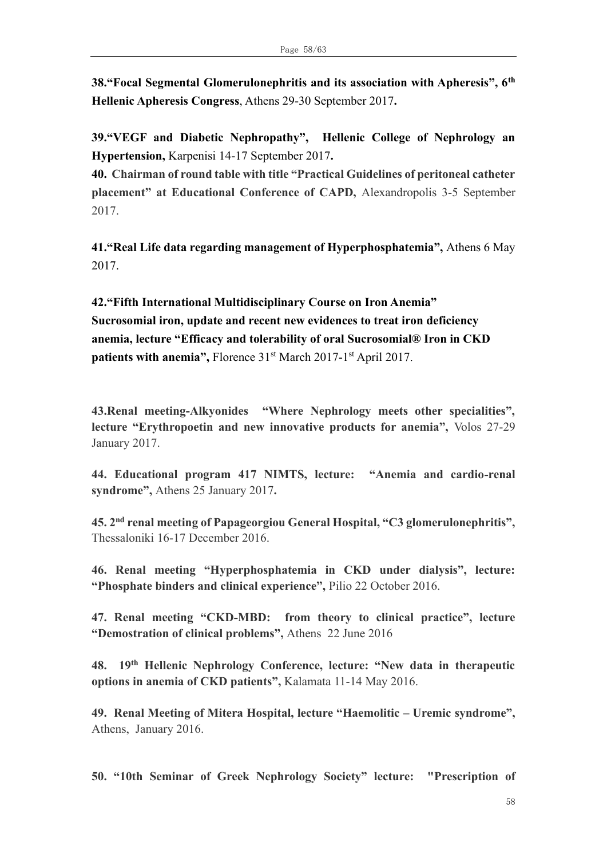**38."Focal Segmental Glomerulonephritis and its association with Apheresis", 6th Hellenic Apheresis Congress**, Athens 29-30 September 2017**.**

**39."VEGF and Diabetic Nephropathy", Hellenic College of Nephrology an Hypertension,** Karpenisi 14-17 September 2017**.**

**40. Chairman of round table with title "Practical Guidelines of peritoneal catheter placement" at Educational Conference of CAPD,** Alexandropolis 3-5 September 2017.

**41."Real Life data regarding management of Hyperphosphatemia",** Athens 6 May 2017.

**42."Fifth International Multidisciplinary Course on Iron Anemia" Sucrosomial iron, update and recent new evidences to treat iron deficiency anemia, lecture "Efficacy and tolerability of oral Sucrosomial® Iron in CKD**  patients with anemia", Florence 31<sup>st</sup> March 2017-1<sup>st</sup> April 2017.

**43.Renal meeting-Alkyonides "Where Nephrology meets other specialities", lecture "Erythropoetin and new innovative products for anemia",** Volos 27-29 January 2017.

**44. Educational program 417 NIMTS, lecture: "Anemia and cardio-renal syndrome",** Athens 25 January 2017**.** 

**45. 2 nd renal meeting of Papageorgiou General Hospital, "C3 glomerulonephritis",**  Thessaloniki 16-17 December 2016.

**46. Renal meeting "Hyperphosphatemia in CKD under dialysis", lecture: "Phosphate binders and clinical experience",** Pilio 22 October 2016.

**47. Renal meeting "CKD-MBD: from theory to clinical practice", lecture "Demostration of clinical problems",** Athens 22 June 2016

**48. 19th Hellenic Nephrology Conference, lecture: "New data in therapeutic options in anemia of CKD patients",** Kalamata 11-14 May 2016.

**49. Renal Meeting of Mitera Hospital, lecture "Haemolitic – Uremic syndrome",**  Athens, January 2016.

**50. "10th Seminar of Greek Nephrology Society" lecture: "Prescription of**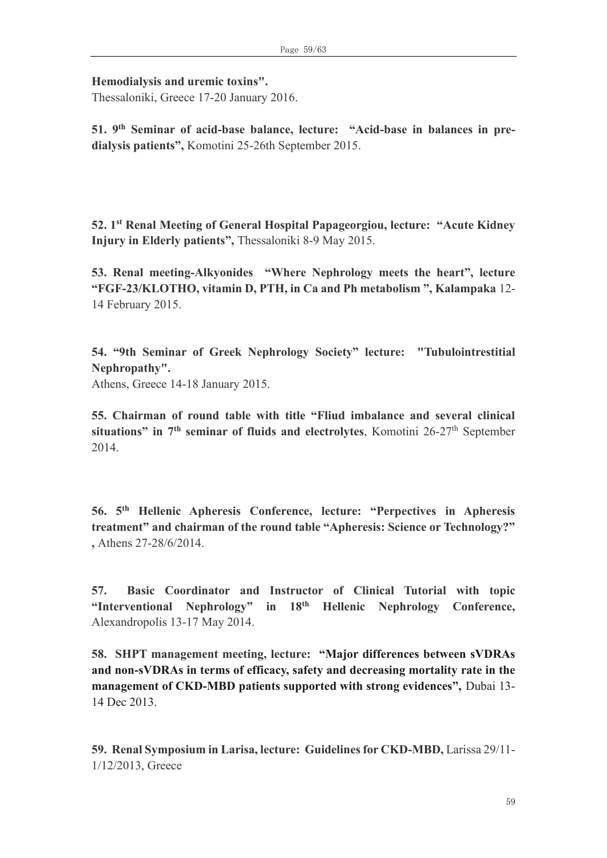**Hemodialysis and uremic toxins".**

Thessaloniki, Greece 17-20 January 2016.

**51. 9th Seminar of acid-base balance, lecture: "Acid-base in balances in predialysis patients",** Komotini 25-26th September 2015.

**52. 1 st Renal Meeting of General Hospital Papageorgiou, lecture: "Acute Kidney Injury in Elderly patients",** Thessaloniki 8-9 May 2015.

**53. Renal meeting-Alkyonides "Where Nephrology meets the heart", lecture "FGF-23/KLOTHO, vitamin D, PTH, in Ca and Ph metabolism ", Kalampaka** 12- 14 February 2015.

**54. "9th Seminar of Greek Nephrology Society" lecture: "Tubulointrestitial Nephropathy".**

Athens, Greece 14-18 January 2015.

**55. Chairman of round table with title "Fliud imbalance and several clinical**  situations" in  $7<sup>th</sup>$  **seminar of fluids and electrolytes**, Komotini 26-27<sup>th</sup> September 2014.

**56. 5th Hellenic Apheresis Conference, lecture: "Perpectives in Apheresis treatment" and chairman of the round table "Apheresis: Science or Technology?" ,** Athens 27-28/6/2014.

**57. Basic Coordinator and Instructor of Clinical Tutorial with topic "Interventional Nephrology" in 18th Hellenic Nephrology Conference,**  Alexandropolis 13-17 May 2014.

**58. SHPT management meeting, lecture: "Major differences between sVDRAs and non-sVDRAs in terms of efficacy, safety and decreasing mortality rate in the management of CKD-MBD patients supported with strong evidences",** Dubai 13- 14 Dec 2013.

**59. Renal Symposium in Larisa, lecture: Guidelines for CKD-MBD,** Larissa 29/11- 1/12/2013, Greece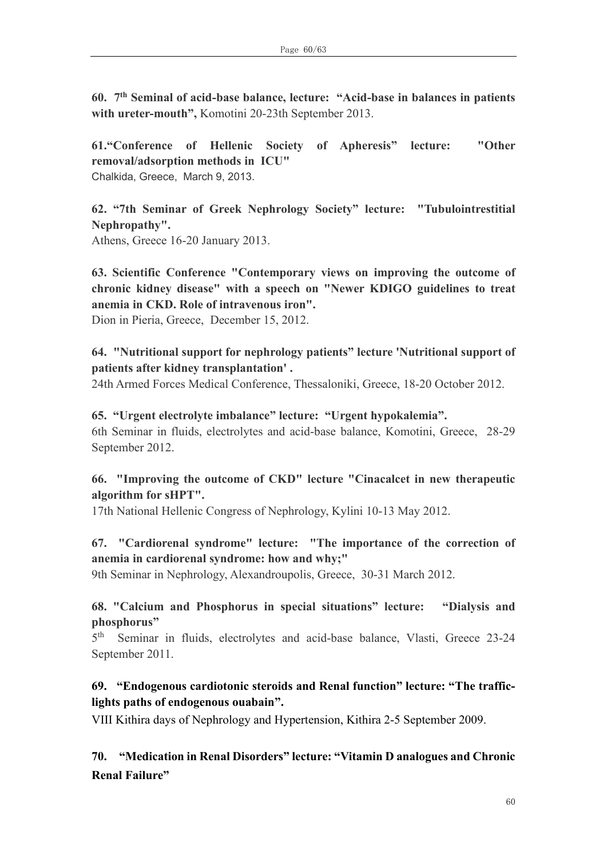**60. 7th Seminal of acid-base balance, lecture: "Acid-base in balances in patients with ureter-mouth",** Komotini 20-23th September 2013.

**61."Conference of Hellenic Society of Apheresis" lecture: "Other removal/adsorption methods in ICU"**  Chalkida, Greece, March 9, 2013.

**62. "7th Seminar of Greek Nephrology Society" lecture: "Tubulointrestitial Nephropathy".**

Athens, Greece 16-20 January 2013.

**63. Scientific Conference "Contemporary views on improving the outcome of chronic kidney disease" with a speech on "Newer KDIGO guidelines to treat anemia in CKD. Role of intravenous iron".**

Dion in Pieria, Greece, December 15, 2012.

### **64. "Nutritional support for nephrology patients" lecture 'Nutritional support of patients after kidney transplantation' .**

24th Armed Forces Medical Conference, Thessaloniki, Greece, 18-20 October 2012.

### **65. "Urgent electrolyte imbalance" lecture: "Urgent hypokalemia".**  6th Seminar in fluids, electrolytes and acid-base balance, Komotini, Greece, 28-29 September 2012.

### **66. "Improving the outcome of CKD" lecture "Cinacalcet in new therapeutic algorithm for sHPT".**

17th National Hellenic Congress of Nephrology, Kylini 10-13 May 2012.

# **67. "Cardiorenal syndrome" lecture: "The importance of the correction of anemia in cardiorenal syndrome: how and why;"**

9th Seminar in Nephrology, Alexandroupolis, Greece, 30-31 March 2012.

#### **68. "Calcium and Phosphorus in special situations" lecture: "Dialysis and phosphorus"**

 $5<sup>th</sup>$ Seminar in fluids, electrolytes and acid-base balance, Vlasti, Greece 23-24 September 2011.

# **69. "Endogenous cardiotonic steroids and Renal function" lecture: "The trafficlights paths of endogenous ouabain".**

VIII Kithira days of Nephrology and Hypertension, Kithira 2-5 September 2009.

# **70. "Medication in Renal Disorders" lecture: "Vitamin D analogues and Chronic Renal Failure"**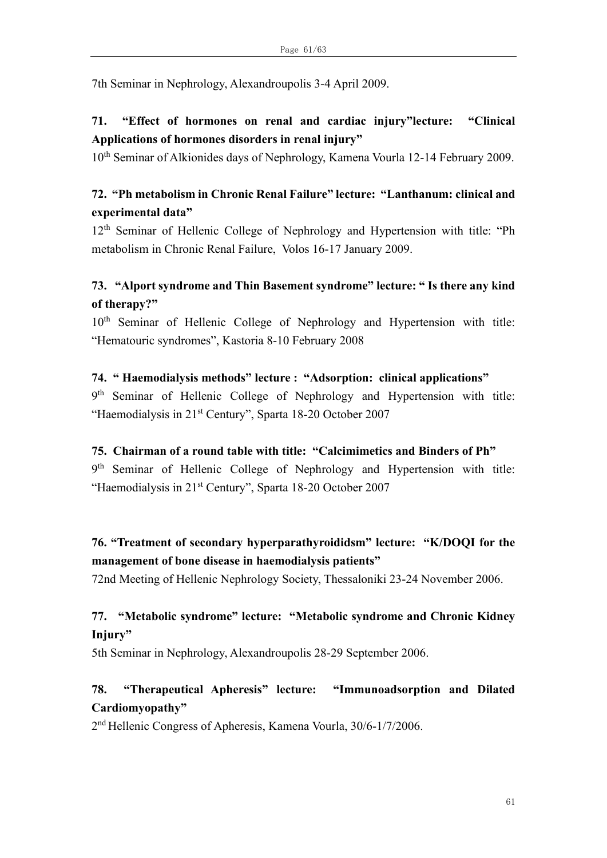7th Seminar in Nephrology, Alexandroupolis 3-4 April 2009.

# **71. "Effect of hormones on renal and cardiac injury"lecture: "Clinical Applications of hormones disorders in renal injury"**

10<sup>th</sup> Seminar of Alkionides days of Nephrology, Kamena Vourla 12-14 February 2009.

# **72. "Ph metabolism in Chronic Renal Failure" lecture: "Lanthanum: clinical and experimental data"**

12<sup>th</sup> Seminar of Hellenic College of Nephrology and Hypertension with title: "Ph metabolism in Chronic Renal Failure, Volos 16-17 January 2009.

# **73. "Alport syndrome and Thin Basement syndrome" lecture: " Is there any kind of therapy?"**

10<sup>th</sup> Seminar of Hellenic College of Nephrology and Hypertension with title: "Hematouric syndromes", Kastoria 8-10 February 2008

# **74. " Haemodialysis methods" lecture : "Adsorption: clinical applications"**

9<sup>th</sup> Seminar of Hellenic College of Nephrology and Hypertension with title: "Haemodialysis in 21<sup>st</sup> Century", Sparta 18-20 October 2007

# **75. Chairman of a round table with title: "Calcimimetics and Binders of Ph"**

9<sup>th</sup> Seminar of Hellenic College of Nephrology and Hypertension with title: "Haemodialysis in 21<sup>st</sup> Century", Sparta 18-20 October 2007

# **76. "Treatment of secondary hyperparathyroididsm" lecture: "K/DOQI for the management of bone disease in haemodialysis patients"**

72nd Meeting of Hellenic Nephrology Society, Thessaloniki 23-24 November 2006.

# **77. "Metabolic syndrome" lecture: "Metabolic syndrome and Chronic Kidney Injury"**

5th Seminar in Nephrology, Alexandroupolis 28-29 September 2006.

# **78. "Therapeutical Apheresis" lecture: "Immunoadsorption and Dilated Cardiomyopathy"**

2<sup>nd</sup> Hellenic Congress of Apheresis, Kamena Vourla, 30/6-1/7/2006.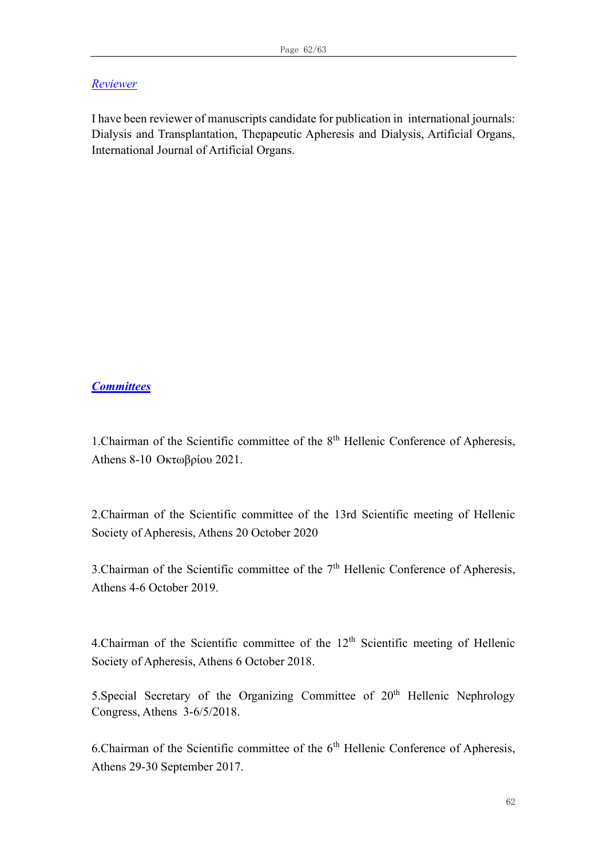#### *Reviewer*

I have been reviewer of manuscripts candidate for publication in international journals: Dialysis and Transplantation, Thepapeutic Apheresis and Dialysis, Artificial Organs, International Journal of Artificial Organs.

#### *Committees*

1.Chairman of the Scientific committee of the 8th Hellenic Conference of Apheresis, Athens 8-10 Oκτωβρίου 2021.

2.Chairman of the Scientific committee of the 13rd Scientific meeting of Hellenic Society of Apheresis, Athens 20 October 2020

3. Chairman of the Scientific committee of the  $7<sup>th</sup>$  Hellenic Conference of Apheresis, Athens 4-6 October 2019.

4. Chairman of the Scientific committee of the  $12<sup>th</sup>$  Scientific meeting of Hellenic Society of Apheresis, Athens 6 October 2018.

5. Special Secretary of the Organizing Committee of  $20<sup>th</sup>$  Hellenic Nephrology Congress, Athens 3-6/5/2018.

6. Chairman of the Scientific committee of the  $6<sup>th</sup>$  Hellenic Conference of Apheresis, Athens 29-30 September 2017.